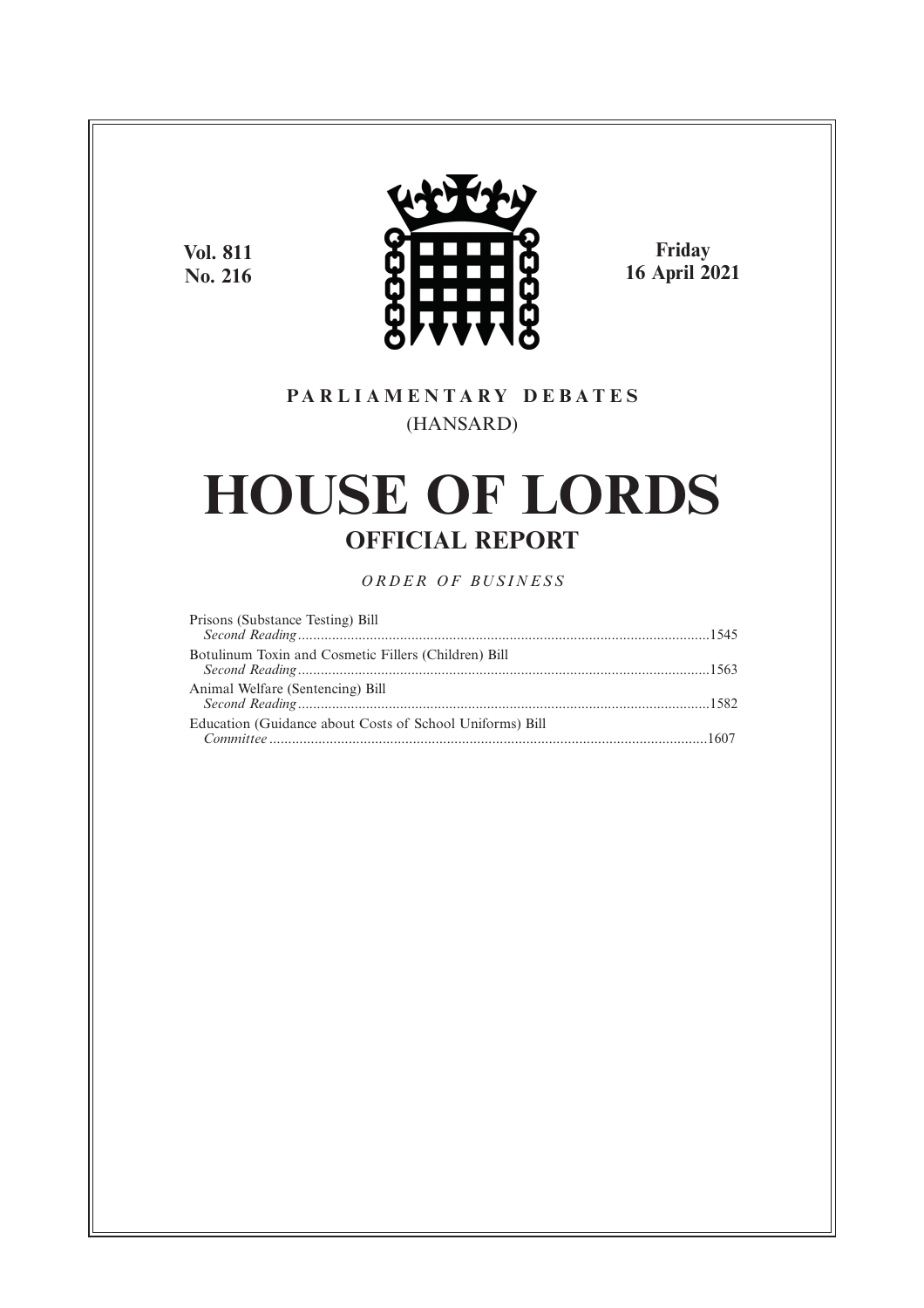**Vol. 811 No. 216**



**Friday 16 April 2021**

# **P A R L I A M E N T A R Y D E B A T E S** (HANSARD)

# **HOUSE OF LORDS OFFICIAL REPORT**

*O R D E R O F BU S I N E S S*

| Prisons (Substance Testing) Bill                         |  |
|----------------------------------------------------------|--|
|                                                          |  |
| Botulinum Toxin and Cosmetic Fillers (Children) Bill     |  |
|                                                          |  |
| Animal Welfare (Sentencing) Bill                         |  |
|                                                          |  |
| Education (Guidance about Costs of School Uniforms) Bill |  |
|                                                          |  |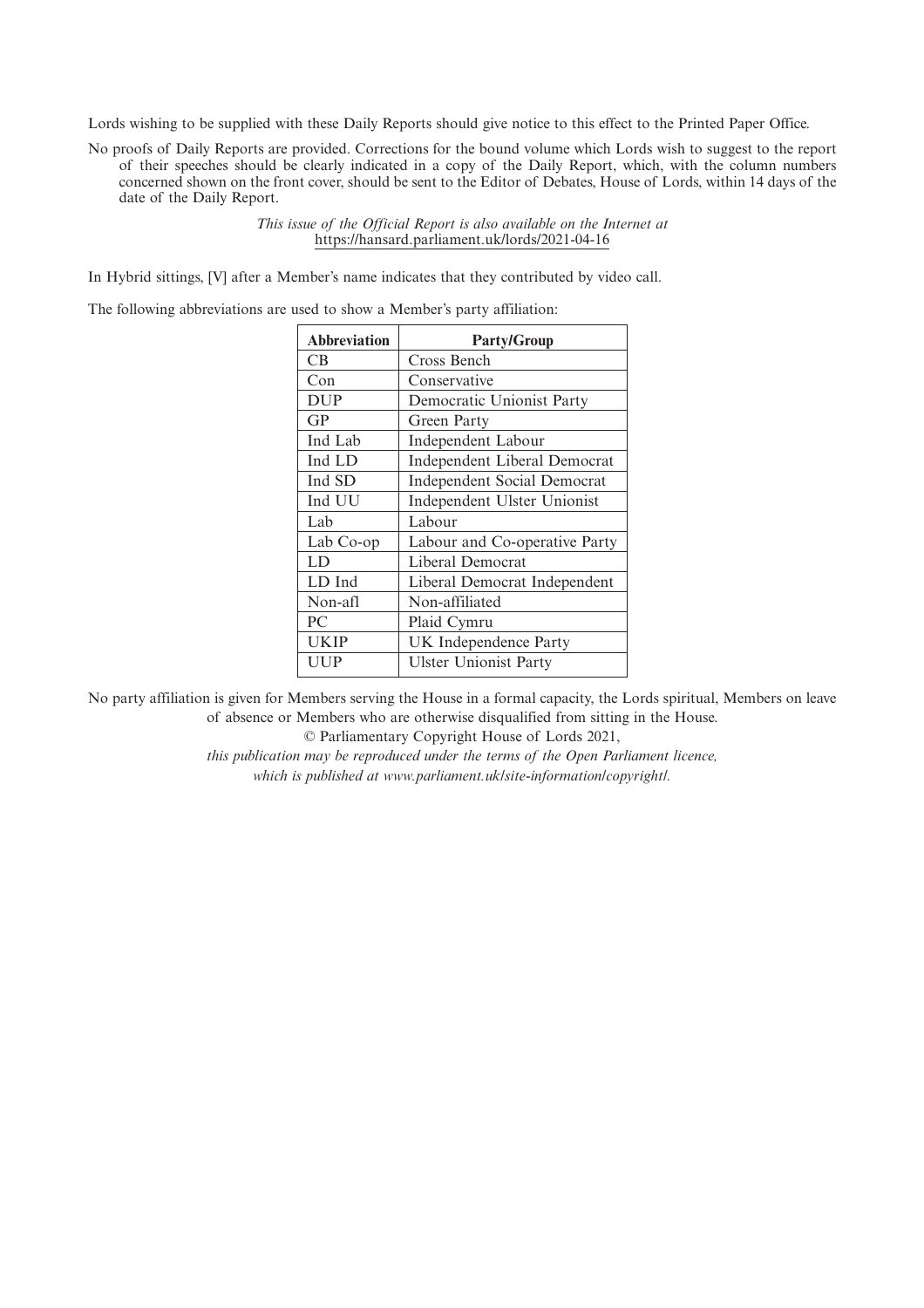Lords wishing to be supplied with these Daily Reports should give notice to this effect to the Printed Paper Office.

No proofs of Daily Reports are provided. Corrections for the bound volume which Lords wish to suggest to the report of their speeches should be clearly indicated in a copy of the Daily Report, which, with the column numbers concerned shown on the front cover, should be sent to the Editor of Debates, House of Lords, within 14 days of the date of the Daily Report.

> *This issue of the Official Report is also available on the Internet at* https://hansard.parliament.uk/lords/2021-04-16

In Hybrid sittings, [V] after a Member's name indicates that they contributed by video call.

The following abbreviations are used to show a Member's party affiliation:

| <b>Abbreviation</b> | <b>Party/Group</b>                 |
|---------------------|------------------------------------|
| CВ                  | Cross Bench                        |
| Con                 | Conservative                       |
| <b>DUP</b>          | Democratic Unionist Party          |
| GP                  | Green Party                        |
| Ind Lab             | Independent Labour                 |
| Ind LD              | Independent Liberal Democrat       |
| Ind SD              | <b>Independent Social Democrat</b> |
| Ind UU              | Independent Ulster Unionist        |
| Lab                 | Labour                             |
| Lab Co-op           | Labour and Co-operative Party      |
| LD                  | Liberal Democrat                   |
| LD Ind              | Liberal Democrat Independent       |
| Non-afl             | Non-affiliated                     |
| PC.                 | Plaid Cymru                        |
| UKIP                | UK Independence Party              |
| UUP                 | <b>Ulster Unionist Party</b>       |
|                     |                                    |

No party affiliation is given for Members serving the House in a formal capacity, the Lords spiritual, Members on leave of absence or Members who are otherwise disqualified from sitting in the House.

© Parliamentary Copyright House of Lords 2021,

*this publication may be reproduced under the terms of the Open Parliament licence, which is published at www.parliament.uk/site-information/copyright/.*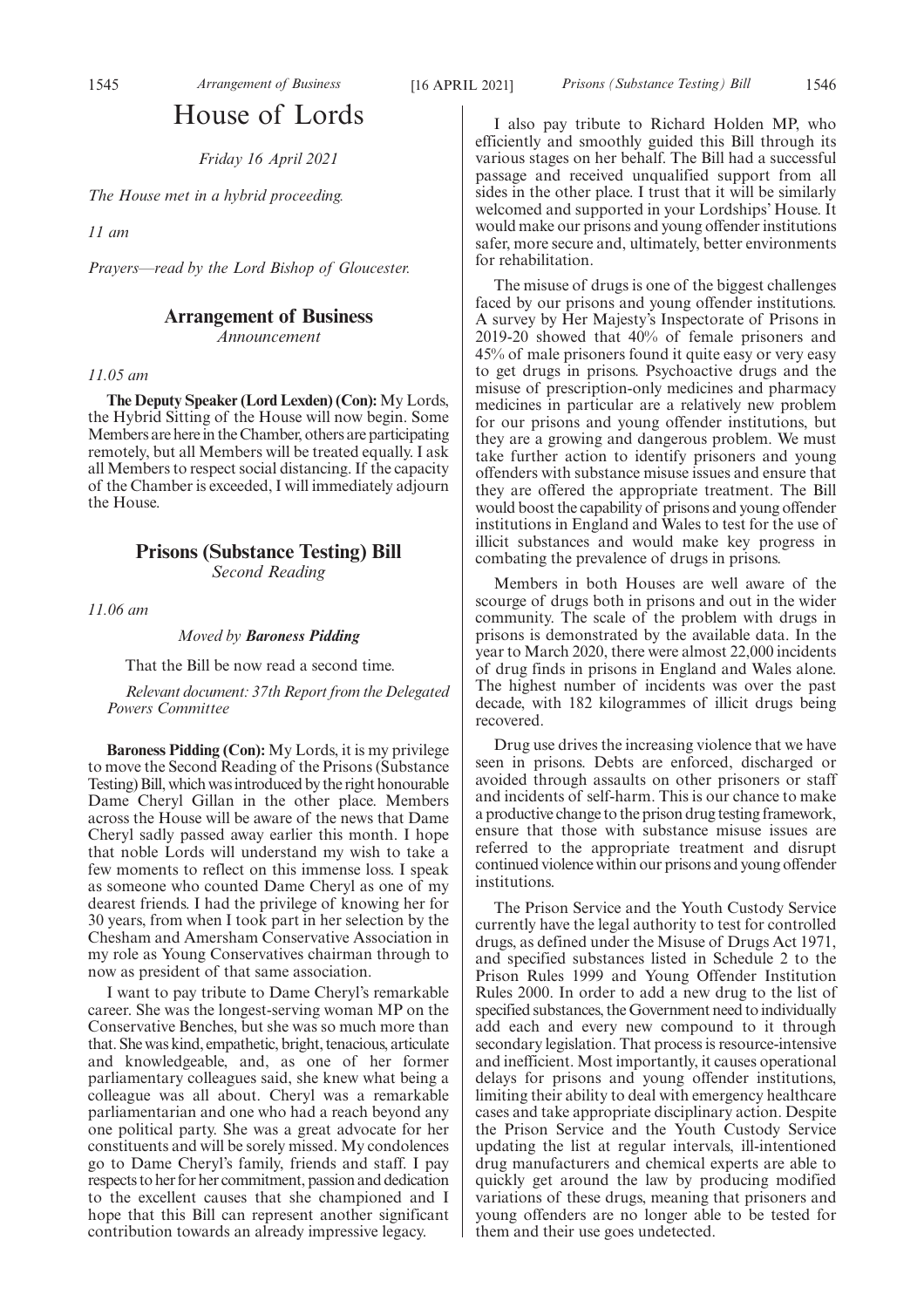# House of Lords

*Friday 16 April 2021*

*The House met in a hybrid proceeding.*

*11 am*

*Prayers—read by the Lord Bishop of Gloucester.*

# **Arrangement of Business**

*Announcement*

*11.05 am*

**The Deputy Speaker (Lord Lexden) (Con):** My Lords, the Hybrid Sitting of the House will now begin. Some Members are here in the Chamber, others are participating remotely, but all Members will be treated equally. I ask all Members to respect social distancing. If the capacity of the Chamber is exceeded, I will immediately adjourn the House.

# **Prisons (Substance Testing) Bill**

*Second Reading*

*11.06 am*

*Moved by Baroness Pidding*

That the Bill be now read a second time.

*Relevant document: 37th Report from the Delegated Powers Committee*

**Baroness Pidding (Con):** My Lords, it is my privilege to move the Second Reading of the Prisons (Substance Testing) Bill, which was introduced by the right honourable Dame Cheryl Gillan in the other place. Members across the House will be aware of the news that Dame Cheryl sadly passed away earlier this month. I hope that noble Lords will understand my wish to take a few moments to reflect on this immense loss. I speak as someone who counted Dame Cheryl as one of my dearest friends. I had the privilege of knowing her for 30 years, from when I took part in her selection by the Chesham and Amersham Conservative Association in my role as Young Conservatives chairman through to now as president of that same association.

I want to pay tribute to Dame Cheryl's remarkable career. She was the longest-serving woman MP on the Conservative Benches, but she was so much more than that. She was kind, empathetic, bright, tenacious, articulate and knowledgeable, and, as one of her former parliamentary colleagues said, she knew what being a colleague was all about. Cheryl was a remarkable parliamentarian and one who had a reach beyond any one political party. She was a great advocate for her constituents and will be sorely missed. My condolences go to Dame Cheryl's family, friends and staff. I pay respects to her for her commitment, passion and dedication to the excellent causes that she championed and I hope that this Bill can represent another significant contribution towards an already impressive legacy.

I also pay tribute to Richard Holden MP, who efficiently and smoothly guided this Bill through its various stages on her behalf. The Bill had a successful passage and received unqualified support from all sides in the other place. I trust that it will be similarly welcomed and supported in your Lordships' House. It would make our prisons and young offender institutions safer, more secure and, ultimately, better environments for rehabilitation.

The misuse of drugs is one of the biggest challenges faced by our prisons and young offender institutions. A survey by Her Majesty's Inspectorate of Prisons in 2019-20 showed that 40% of female prisoners and 45% of male prisoners found it quite easy or very easy to get drugs in prisons. Psychoactive drugs and the misuse of prescription-only medicines and pharmacy medicines in particular are a relatively new problem for our prisons and young offender institutions, but they are a growing and dangerous problem. We must take further action to identify prisoners and young offenders with substance misuse issues and ensure that they are offered the appropriate treatment. The Bill would boost the capability of prisons and young offender institutions in England and Wales to test for the use of illicit substances and would make key progress in combating the prevalence of drugs in prisons.

Members in both Houses are well aware of the scourge of drugs both in prisons and out in the wider community. The scale of the problem with drugs in prisons is demonstrated by the available data. In the year to March 2020, there were almost 22,000 incidents of drug finds in prisons in England and Wales alone. The highest number of incidents was over the past decade, with 182 kilogrammes of illicit drugs being recovered.

Drug use drives the increasing violence that we have seen in prisons. Debts are enforced, discharged or avoided through assaults on other prisoners or staff and incidents of self-harm. This is our chance to make a productive change to the prison drug testing framework, ensure that those with substance misuse issues are referred to the appropriate treatment and disrupt continued violence within our prisons and young offender institutions.

The Prison Service and the Youth Custody Service currently have the legal authority to test for controlled drugs, as defined under the Misuse of Drugs Act 1971, and specified substances listed in Schedule 2 to the Prison Rules 1999 and Young Offender Institution Rules 2000. In order to add a new drug to the list of specified substances, the Government need to individually add each and every new compound to it through secondary legislation. That process is resource-intensive and inefficient. Most importantly, it causes operational delays for prisons and young offender institutions, limiting their ability to deal with emergency healthcare cases and take appropriate disciplinary action. Despite the Prison Service and the Youth Custody Service updating the list at regular intervals, ill-intentioned drug manufacturers and chemical experts are able to quickly get around the law by producing modified variations of these drugs, meaning that prisoners and young offenders are no longer able to be tested for them and their use goes undetected.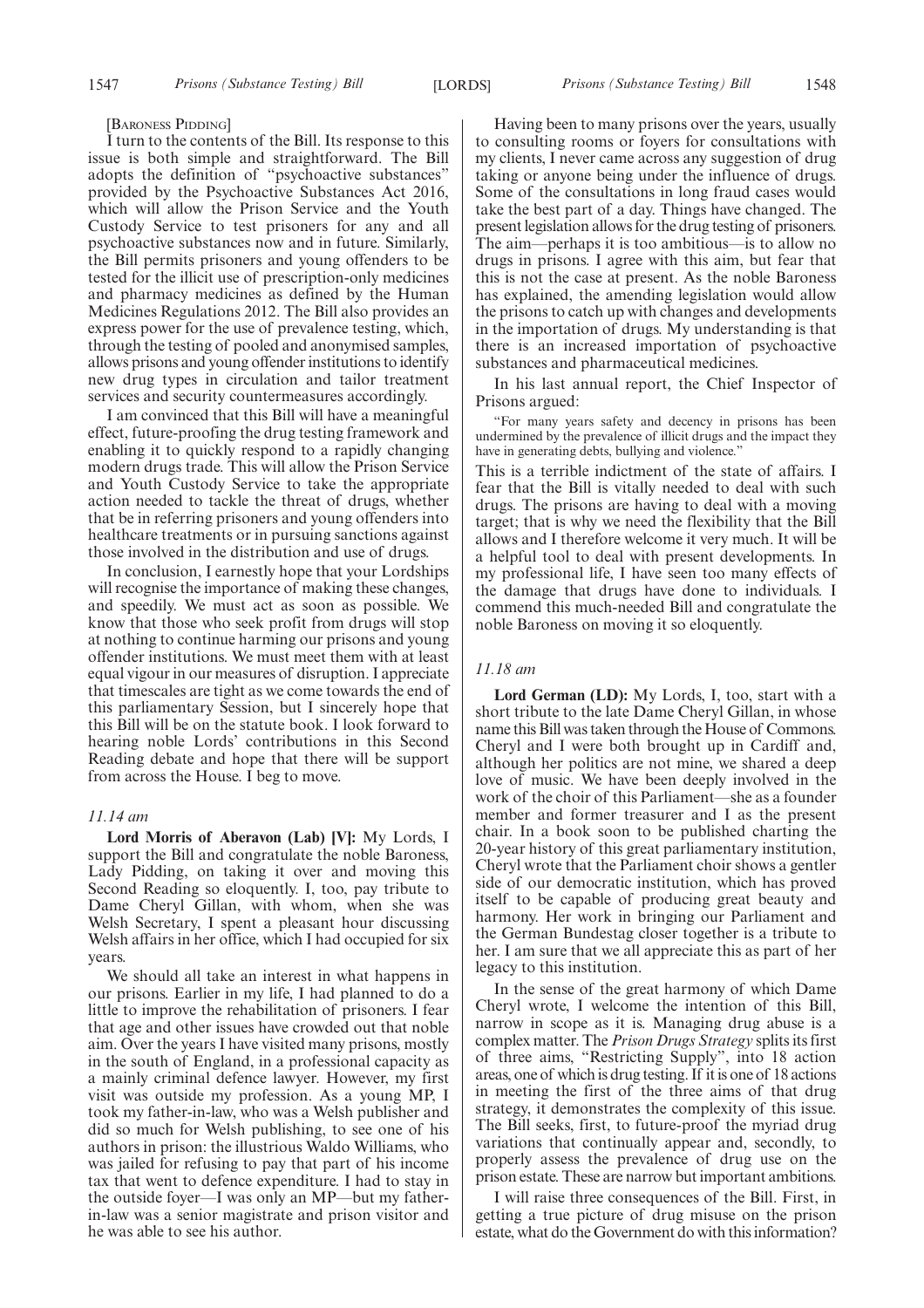#### [BARONESS PIDDING]

I turn to the contents of the Bill. Its response to this issue is both simple and straightforward. The Bill adopts the definition of "psychoactive substances" provided by the Psychoactive Substances Act 2016, which will allow the Prison Service and the Youth Custody Service to test prisoners for any and all psychoactive substances now and in future. Similarly, the Bill permits prisoners and young offenders to be tested for the illicit use of prescription-only medicines and pharmacy medicines as defined by the Human Medicines Regulations 2012. The Bill also provides an express power for the use of prevalence testing, which, through the testing of pooled and anonymised samples, allows prisons and young offender institutions to identify new drug types in circulation and tailor treatment services and security countermeasures accordingly.

I am convinced that this Bill will have a meaningful effect, future-proofing the drug testing framework and enabling it to quickly respond to a rapidly changing modern drugs trade. This will allow the Prison Service and Youth Custody Service to take the appropriate action needed to tackle the threat of drugs, whether that be in referring prisoners and young offenders into healthcare treatments or in pursuing sanctions against those involved in the distribution and use of drugs.

In conclusion, I earnestly hope that your Lordships will recognise the importance of making these changes. and speedily. We must act as soon as possible. We know that those who seek profit from drugs will stop at nothing to continue harming our prisons and young offender institutions. We must meet them with at least equal vigour in our measures of disruption. I appreciate that timescales are tight as we come towards the end of this parliamentary Session, but I sincerely hope that this Bill will be on the statute book. I look forward to hearing noble Lords' contributions in this Second Reading debate and hope that there will be support from across the House. I beg to move.

### *11.14 am*

**Lord Morris of Aberavon (Lab) [V]:** My Lords, I support the Bill and congratulate the noble Baroness, Lady Pidding, on taking it over and moving this Second Reading so eloquently. I, too, pay tribute to Dame Cheryl Gillan, with whom, when she was Welsh Secretary, I spent a pleasant hour discussing Welsh affairs in her office, which I had occupied for six years.

We should all take an interest in what happens in our prisons. Earlier in my life, I had planned to do a little to improve the rehabilitation of prisoners. I fear that age and other issues have crowded out that noble aim. Over the years I have visited many prisons, mostly in the south of England, in a professional capacity as a mainly criminal defence lawyer. However, my first visit was outside my profession. As a young MP, I took my father-in-law, who was a Welsh publisher and did so much for Welsh publishing, to see one of his authors in prison: the illustrious Waldo Williams, who was jailed for refusing to pay that part of his income tax that went to defence expenditure. I had to stay in the outside foyer—I was only an MP—but my fatherin-law was a senior magistrate and prison visitor and he was able to see his author.

Having been to many prisons over the years, usually to consulting rooms or foyers for consultations with my clients, I never came across any suggestion of drug taking or anyone being under the influence of drugs. Some of the consultations in long fraud cases would take the best part of a day. Things have changed. The present legislation allows for the drug testing of prisoners. The aim—perhaps it is too ambitious—is to allow no drugs in prisons. I agree with this aim, but fear that this is not the case at present. As the noble Baroness has explained, the amending legislation would allow the prisons to catch up with changes and developments in the importation of drugs. My understanding is that there is an increased importation of psychoactive substances and pharmaceutical medicines.

In his last annual report, the Chief Inspector of Prisons argued:

"For many years safety and decency in prisons has been undermined by the prevalence of illicit drugs and the impact they have in generating debts, bullying and violence."

This is a terrible indictment of the state of affairs. I fear that the Bill is vitally needed to deal with such drugs. The prisons are having to deal with a moving target; that is why we need the flexibility that the Bill allows and I therefore welcome it very much. It will be a helpful tool to deal with present developments. In my professional life, I have seen too many effects of the damage that drugs have done to individuals. I commend this much-needed Bill and congratulate the noble Baroness on moving it so eloquently.

# *11.18 am*

**Lord German (LD):** My Lords, I, too, start with a short tribute to the late Dame Cheryl Gillan, in whose name this Bill was taken through the House of Commons. Cheryl and I were both brought up in Cardiff and, although her politics are not mine, we shared a deep love of music. We have been deeply involved in the work of the choir of this Parliament—she as a founder member and former treasurer and I as the present chair. In a book soon to be published charting the 20-year history of this great parliamentary institution, Cheryl wrote that the Parliament choir shows a gentler side of our democratic institution, which has proved itself to be capable of producing great beauty and harmony. Her work in bringing our Parliament and the German Bundestag closer together is a tribute to her. I am sure that we all appreciate this as part of her legacy to this institution.

In the sense of the great harmony of which Dame Cheryl wrote, I welcome the intention of this Bill, narrow in scope as it is. Managing drug abuse is a complex matter. The *Prison Drugs Strategy* splits its first of three aims, "Restricting Supply", into 18 action areas, one of which is drug testing. If it is one of 18 actions in meeting the first of the three aims of that drug strategy, it demonstrates the complexity of this issue. The Bill seeks, first, to future-proof the myriad drug variations that continually appear and, secondly, to properly assess the prevalence of drug use on the prison estate. These are narrow but important ambitions.

I will raise three consequences of the Bill. First, in getting a true picture of drug misuse on the prison estate, what do the Government do with this information?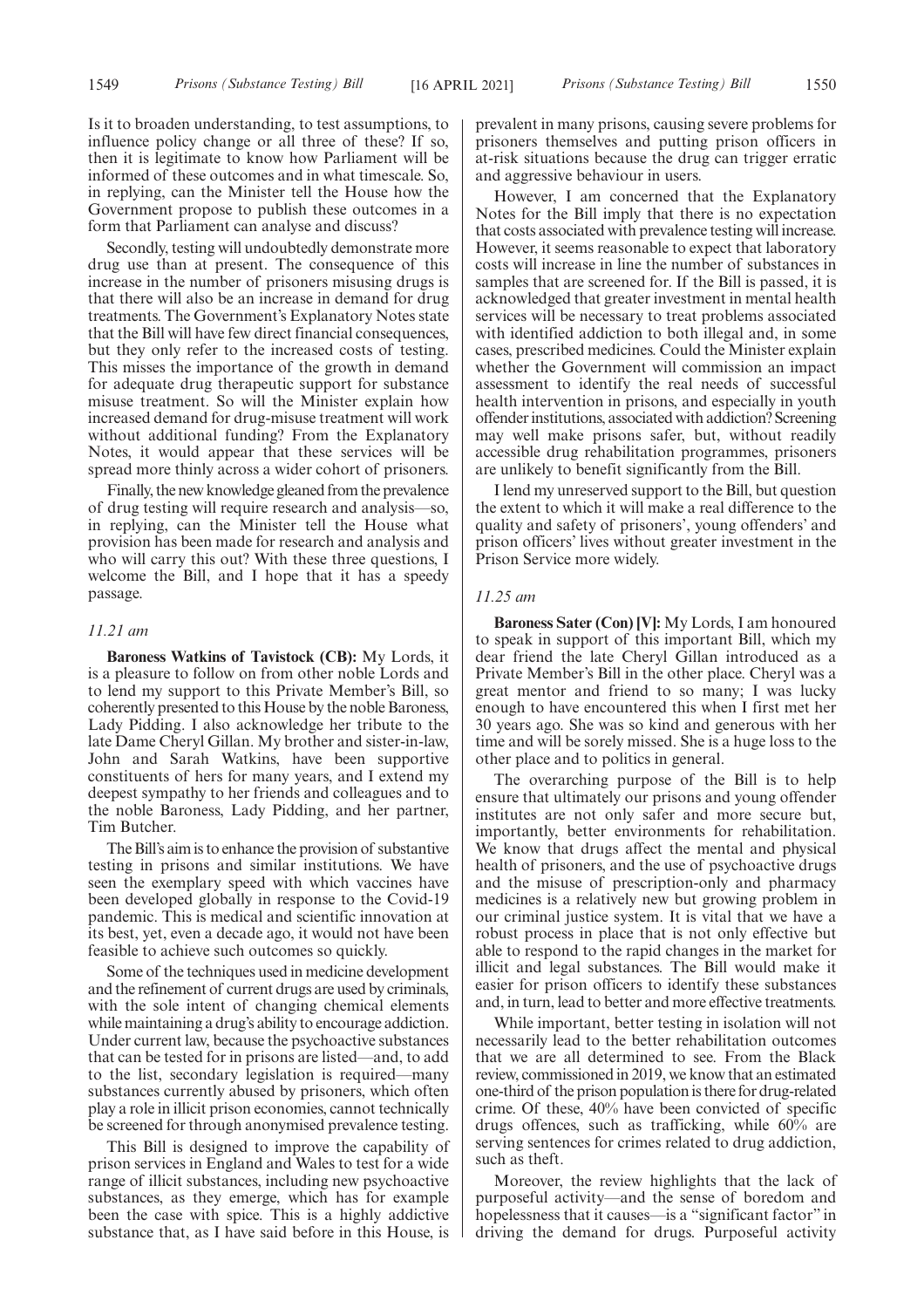Is it to broaden understanding, to test assumptions, to influence policy change or all three of these? If so, then it is legitimate to know how Parliament will be informed of these outcomes and in what timescale. So, in replying, can the Minister tell the House how the Government propose to publish these outcomes in a form that Parliament can analyse and discuss?

Secondly, testing will undoubtedly demonstrate more drug use than at present. The consequence of this increase in the number of prisoners misusing drugs is that there will also be an increase in demand for drug treatments. The Government's Explanatory Notes state that the Bill will have few direct financial consequences, but they only refer to the increased costs of testing. This misses the importance of the growth in demand for adequate drug therapeutic support for substance misuse treatment. So will the Minister explain how increased demand for drug-misuse treatment will work without additional funding? From the Explanatory Notes, it would appear that these services will be spread more thinly across a wider cohort of prisoners.

Finally, the new knowledge gleaned from the prevalence of drug testing will require research and analysis—so, in replying, can the Minister tell the House what provision has been made for research and analysis and who will carry this out? With these three questions, I welcome the Bill, and I hope that it has a speedy passage.

#### *11.21 am*

**Baroness Watkins of Tavistock (CB):** My Lords, it is a pleasure to follow on from other noble Lords and to lend my support to this Private Member's Bill, so coherently presented to this House by the noble Baroness, Lady Pidding. I also acknowledge her tribute to the late Dame Cheryl Gillan. My brother and sister-in-law, John and Sarah Watkins, have been supportive constituents of hers for many years, and I extend my deepest sympathy to her friends and colleagues and to the noble Baroness, Lady Pidding, and her partner, Tim Butcher.

The Bill's aim is to enhance the provision of substantive testing in prisons and similar institutions. We have seen the exemplary speed with which vaccines have been developed globally in response to the Covid-19 pandemic. This is medical and scientific innovation at its best, yet, even a decade ago, it would not have been feasible to achieve such outcomes so quickly.

Some of the techniques used in medicine development and the refinement of current drugs are used by criminals, with the sole intent of changing chemical elements while maintaining a drug's ability to encourage addiction. Under current law, because the psychoactive substances that can be tested for in prisons are listed—and, to add to the list, secondary legislation is required—many substances currently abused by prisoners, which often play a role in illicit prison economies, cannot technically be screened for through anonymised prevalence testing.

This Bill is designed to improve the capability of prison services in England and Wales to test for a wide range of illicit substances, including new psychoactive substances, as they emerge, which has for example been the case with spice. This is a highly addictive substance that, as I have said before in this House, is prevalent in many prisons, causing severe problems for prisoners themselves and putting prison officers in at-risk situations because the drug can trigger erratic and aggressive behaviour in users.

However, I am concerned that the Explanatory Notes for the Bill imply that there is no expectation that costs associated with prevalence testing will increase. However, it seems reasonable to expect that laboratory costs will increase in line the number of substances in samples that are screened for. If the Bill is passed, it is acknowledged that greater investment in mental health services will be necessary to treat problems associated with identified addiction to both illegal and, in some cases, prescribed medicines. Could the Minister explain whether the Government will commission an impact assessment to identify the real needs of successful health intervention in prisons, and especially in youth offender institutions, associated with addiction? Screening may well make prisons safer, but, without readily accessible drug rehabilitation programmes, prisoners are unlikely to benefit significantly from the Bill.

I lend my unreserved support to the Bill, but question the extent to which it will make a real difference to the quality and safety of prisoners', young offenders' and prison officers' lives without greater investment in the Prison Service more widely.

# *11.25 am*

**Baroness Sater (Con) [V]:** My Lords, I am honoured to speak in support of this important Bill, which my dear friend the late Cheryl Gillan introduced as a Private Member's Bill in the other place. Cheryl was a great mentor and friend to so many; I was lucky enough to have encountered this when I first met her 30 years ago. She was so kind and generous with her time and will be sorely missed. She is a huge loss to the other place and to politics in general.

The overarching purpose of the Bill is to help ensure that ultimately our prisons and young offender institutes are not only safer and more secure but, importantly, better environments for rehabilitation. We know that drugs affect the mental and physical health of prisoners, and the use of psychoactive drugs and the misuse of prescription-only and pharmacy medicines is a relatively new but growing problem in our criminal justice system. It is vital that we have a robust process in place that is not only effective but able to respond to the rapid changes in the market for illicit and legal substances. The Bill would make it easier for prison officers to identify these substances and, in turn, lead to better and more effective treatments.

While important, better testing in isolation will not necessarily lead to the better rehabilitation outcomes that we are all determined to see. From the Black review, commissioned in 2019, we know that an estimated one-third of the prison population is there for drug-related crime. Of these, 40% have been convicted of specific drugs offences, such as trafficking, while 60% are serving sentences for crimes related to drug addiction, such as theft.

Moreover, the review highlights that the lack of purposeful activity—and the sense of boredom and hopelessness that it causes—is a "significant factor" in driving the demand for drugs. Purposeful activity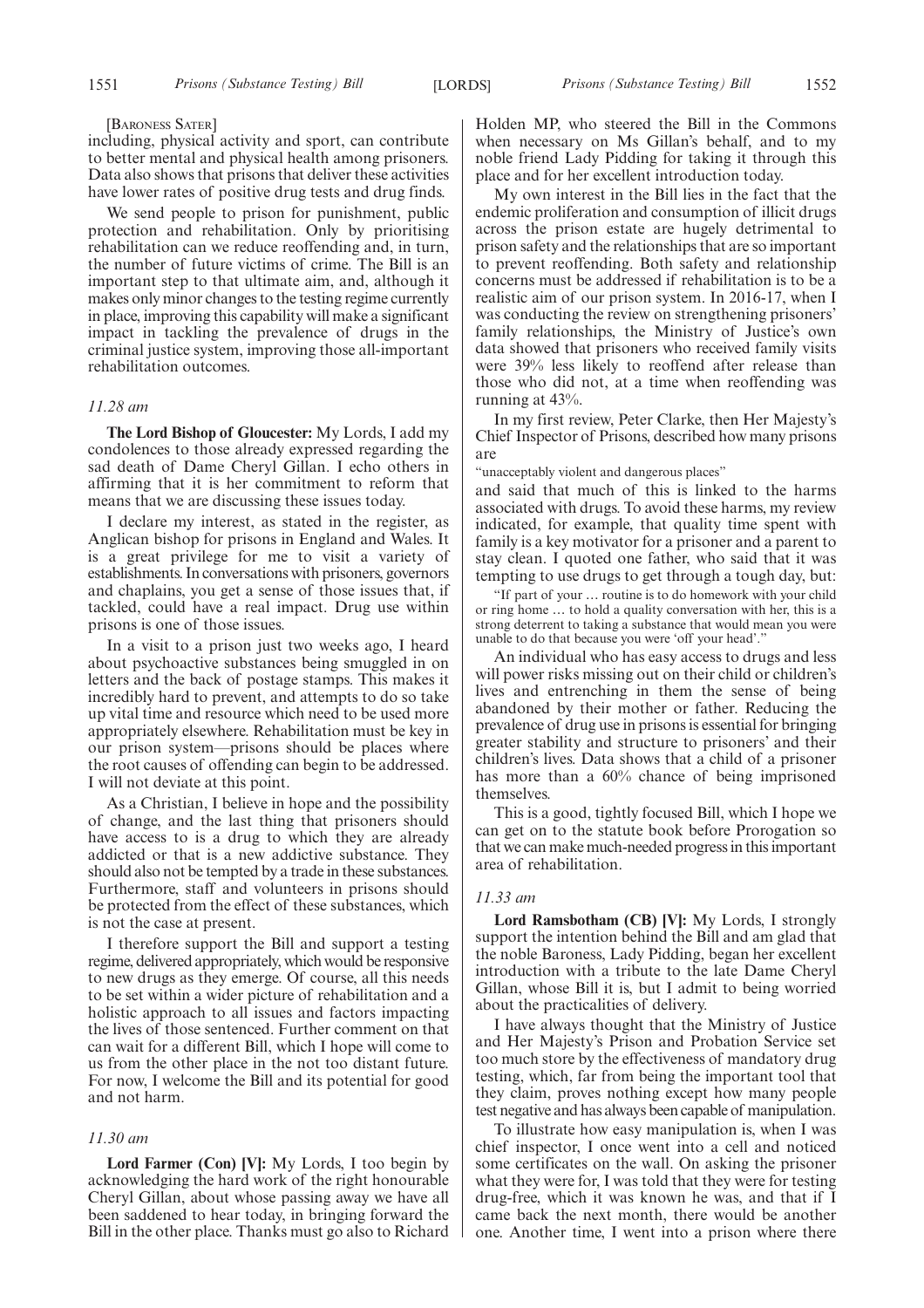#### [BARONESS SATER]

including, physical activity and sport, can contribute to better mental and physical health among prisoners. Data also shows that prisons that deliver these activities have lower rates of positive drug tests and drug finds.

We send people to prison for punishment, public protection and rehabilitation. Only by prioritising rehabilitation can we reduce reoffending and, in turn, the number of future victims of crime. The Bill is an important step to that ultimate aim, and, although it makes only minor changes to the testing regime currently in place, improving this capability will make a significant impact in tackling the prevalence of drugs in the criminal justice system, improving those all-important rehabilitation outcomes.

#### *11.28 am*

**The Lord Bishop of Gloucester:** My Lords, I add my condolences to those already expressed regarding the sad death of Dame Cheryl Gillan. I echo others in affirming that it is her commitment to reform that means that we are discussing these issues today.

I declare my interest, as stated in the register, as Anglican bishop for prisons in England and Wales. It is a great privilege for me to visit a variety of establishments. In conversations with prisoners, governors and chaplains, you get a sense of those issues that, if tackled, could have a real impact. Drug use within prisons is one of those issues.

In a visit to a prison just two weeks ago, I heard about psychoactive substances being smuggled in on letters and the back of postage stamps. This makes it incredibly hard to prevent, and attempts to do so take up vital time and resource which need to be used more appropriately elsewhere. Rehabilitation must be key in our prison system—prisons should be places where the root causes of offending can begin to be addressed. I will not deviate at this point.

As a Christian, I believe in hope and the possibility of change, and the last thing that prisoners should have access to is a drug to which they are already addicted or that is a new addictive substance. They should also not be tempted by a trade in these substances. Furthermore, staff and volunteers in prisons should be protected from the effect of these substances, which is not the case at present.

I therefore support the Bill and support a testing regime, delivered appropriately, which would be responsive to new drugs as they emerge. Of course, all this needs to be set within a wider picture of rehabilitation and a holistic approach to all issues and factors impacting the lives of those sentenced. Further comment on that can wait for a different Bill, which I hope will come to us from the other place in the not too distant future. For now, I welcome the Bill and its potential for good and not harm.

# *11.30 am*

**Lord Farmer (Con) [V]:** My Lords, I too begin by acknowledging the hard work of the right honourable Cheryl Gillan, about whose passing away we have all been saddened to hear today, in bringing forward the Bill in the other place. Thanks must go also to Richard Holden MP, who steered the Bill in the Commons when necessary on Ms Gillan's behalf, and to my noble friend Lady Pidding for taking it through this place and for her excellent introduction today.

My own interest in the Bill lies in the fact that the endemic proliferation and consumption of illicit drugs across the prison estate are hugely detrimental to prison safety and the relationships that are so important to prevent reoffending. Both safety and relationship concerns must be addressed if rehabilitation is to be a realistic aim of our prison system. In 2016-17, when I was conducting the review on strengthening prisoners' family relationships, the Ministry of Justice's own data showed that prisoners who received family visits were 39% less likely to reoffend after release than those who did not, at a time when reoffending was running at 43%.

In my first review, Peter Clarke, then Her Majesty's Chief Inspector of Prisons, described how many prisons are

"unacceptably violent and dangerous places"

and said that much of this is linked to the harms associated with drugs. To avoid these harms, my review indicated, for example, that quality time spent with family is a key motivator for a prisoner and a parent to stay clean. I quoted one father, who said that it was tempting to use drugs to get through a tough day, but:

"If part of your … routine is to do homework with your child or ring home … to hold a quality conversation with her, this is a strong deterrent to taking a substance that would mean you were unable to do that because you were 'off your head'."

An individual who has easy access to drugs and less will power risks missing out on their child or children's lives and entrenching in them the sense of being abandoned by their mother or father. Reducing the prevalence of drug use in prisons is essential for bringing greater stability and structure to prisoners' and their children's lives. Data shows that a child of a prisoner has more than a 60% chance of being imprisoned themselves.

This is a good, tightly focused Bill, which I hope we can get on to the statute book before Prorogation so that we can make much-needed progress in this important area of rehabilitation.

## *11.33 am*

**Lord Ramsbotham (CB) [V]:** My Lords, I strongly support the intention behind the Bill and am glad that the noble Baroness, Lady Pidding, began her excellent introduction with a tribute to the late Dame Cheryl Gillan, whose Bill it is, but I admit to being worried about the practicalities of delivery.

I have always thought that the Ministry of Justice and Her Majesty's Prison and Probation Service set too much store by the effectiveness of mandatory drug testing, which, far from being the important tool that they claim, proves nothing except how many people test negative and has always been capable of manipulation.

To illustrate how easy manipulation is, when I was chief inspector, I once went into a cell and noticed some certificates on the wall. On asking the prisoner what they were for, I was told that they were for testing drug-free, which it was known he was, and that if I came back the next month, there would be another one. Another time, I went into a prison where there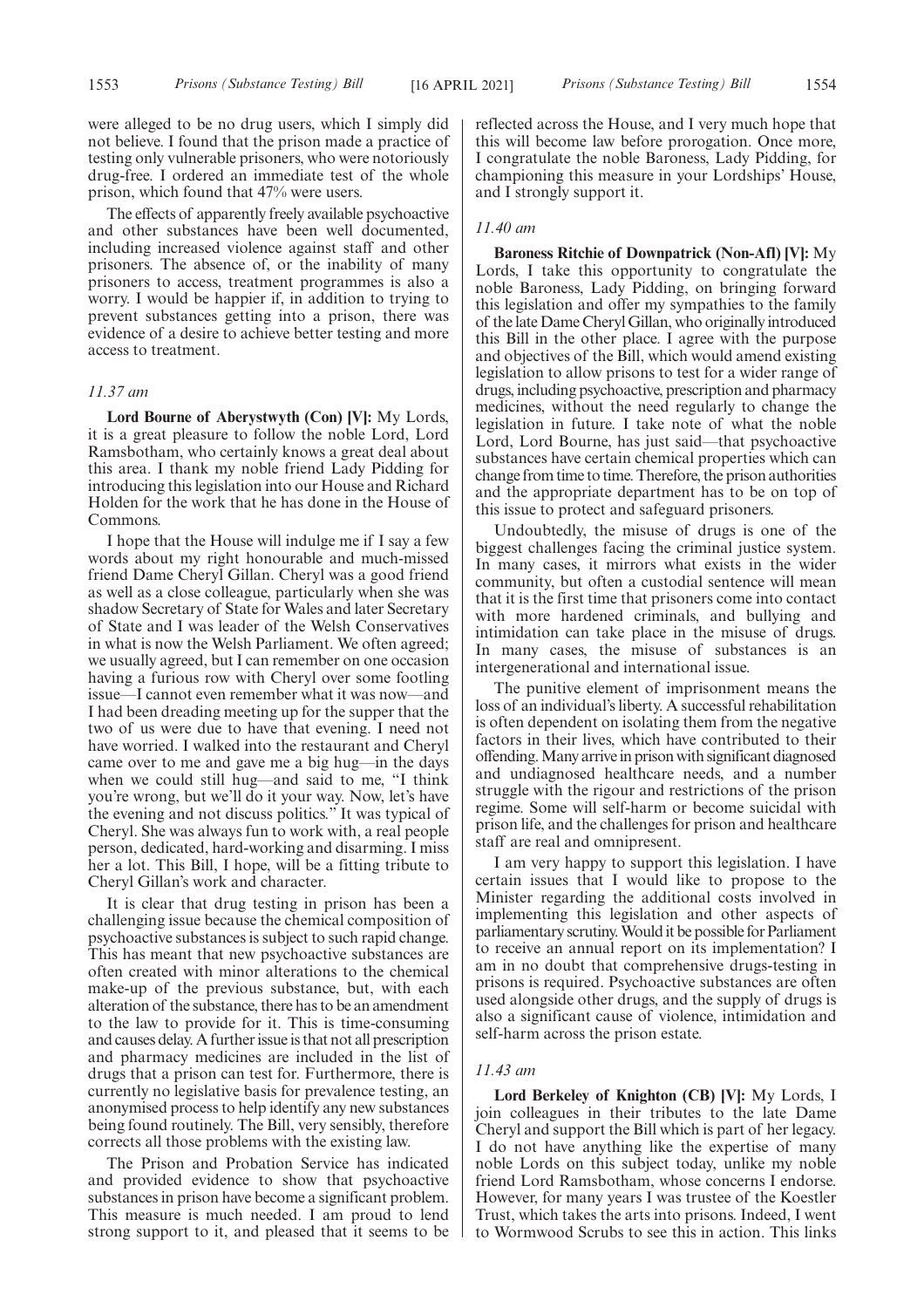were alleged to be no drug users, which I simply did not believe. I found that the prison made a practice of testing only vulnerable prisoners, who were notoriously drug-free. I ordered an immediate test of the whole prison, which found that 47% were users.

The effects of apparently freely available psychoactive and other substances have been well documented, including increased violence against staff and other prisoners. The absence of, or the inability of many prisoners to access, treatment programmes is also a worry. I would be happier if, in addition to trying to prevent substances getting into a prison, there was evidence of a desire to achieve better testing and more access to treatment.

#### *11.37 am*

**Lord Bourne of Aberystwyth (Con) [V]:** My Lords, it is a great pleasure to follow the noble Lord, Lord Ramsbotham, who certainly knows a great deal about this area. I thank my noble friend Lady Pidding for introducing this legislation into our House and Richard Holden for the work that he has done in the House of Commons.

I hope that the House will indulge me if I say a few words about my right honourable and much-missed friend Dame Cheryl Gillan. Cheryl was a good friend as well as a close colleague, particularly when she was shadow Secretary of State for Wales and later Secretary of State and I was leader of the Welsh Conservatives in what is now the Welsh Parliament. We often agreed; we usually agreed, but I can remember on one occasion having a furious row with Cheryl over some footling issue—I cannot even remember what it was now—and I had been dreading meeting up for the supper that the two of us were due to have that evening. I need not have worried. I walked into the restaurant and Cheryl came over to me and gave me a big hug—in the days when we could still hug—and said to me, "I think you're wrong, but we'll do it your way. Now, let's have the evening and not discuss politics." It was typical of Cheryl. She was always fun to work with, a real people person, dedicated, hard-working and disarming. I miss her a lot. This Bill, I hope, will be a fitting tribute to Cheryl Gillan's work and character.

It is clear that drug testing in prison has been a challenging issue because the chemical composition of psychoactive substances is subject to such rapid change. This has meant that new psychoactive substances are often created with minor alterations to the chemical make-up of the previous substance, but, with each alteration of the substance, there has to be an amendment to the law to provide for it. This is time-consuming and causes delay. A further issue is that not all prescription and pharmacy medicines are included in the list of drugs that a prison can test for. Furthermore, there is currently no legislative basis for prevalence testing, an anonymised process to help identify any new substances being found routinely. The Bill, very sensibly, therefore corrects all those problems with the existing law.

The Prison and Probation Service has indicated and provided evidence to show that psychoactive substances in prison have become a significant problem. This measure is much needed. I am proud to lend strong support to it, and pleased that it seems to be reflected across the House, and I very much hope that this will become law before prorogation. Once more, I congratulate the noble Baroness, Lady Pidding, for championing this measure in your Lordships' House, and I strongly support it.

# *11.40 am*

**Baroness Ritchie of Downpatrick (Non-Afl) [V]:** My Lords, I take this opportunity to congratulate the noble Baroness, Lady Pidding, on bringing forward this legislation and offer my sympathies to the family of the late Dame Cheryl Gillan, who originally introduced this Bill in the other place. I agree with the purpose and objectives of the Bill, which would amend existing legislation to allow prisons to test for a wider range of drugs, including psychoactive, prescription and pharmacy medicines, without the need regularly to change the legislation in future. I take note of what the noble Lord, Lord Bourne, has just said—that psychoactive substances have certain chemical properties which can change from time to time. Therefore, the prison authorities and the appropriate department has to be on top of this issue to protect and safeguard prisoners.

Undoubtedly, the misuse of drugs is one of the biggest challenges facing the criminal justice system. In many cases, it mirrors what exists in the wider community, but often a custodial sentence will mean that it is the first time that prisoners come into contact with more hardened criminals, and bullying and intimidation can take place in the misuse of drugs. In many cases, the misuse of substances is an intergenerational and international issue.

The punitive element of imprisonment means the loss of an individual's liberty. A successful rehabilitation is often dependent on isolating them from the negative factors in their lives, which have contributed to their offending. Many arrive in prison with significant diagnosed and undiagnosed healthcare needs, and a number struggle with the rigour and restrictions of the prison regime. Some will self-harm or become suicidal with prison life, and the challenges for prison and healthcare staff are real and omnipresent.

I am very happy to support this legislation. I have certain issues that I would like to propose to the Minister regarding the additional costs involved in implementing this legislation and other aspects of parliamentary scrutiny. Would it be possible for Parliament to receive an annual report on its implementation? I am in no doubt that comprehensive drugs-testing in prisons is required. Psychoactive substances are often used alongside other drugs, and the supply of drugs is also a significant cause of violence, intimidation and self-harm across the prison estate.

#### *11.43 am*

**Lord Berkeley of Knighton (CB) [V]:** My Lords, I join colleagues in their tributes to the late Dame Cheryl and support the Bill which is part of her legacy. I do not have anything like the expertise of many noble Lords on this subject today, unlike my noble friend Lord Ramsbotham, whose concerns I endorse. However, for many years I was trustee of the Koestler Trust, which takes the arts into prisons. Indeed, I went to Wormwood Scrubs to see this in action. This links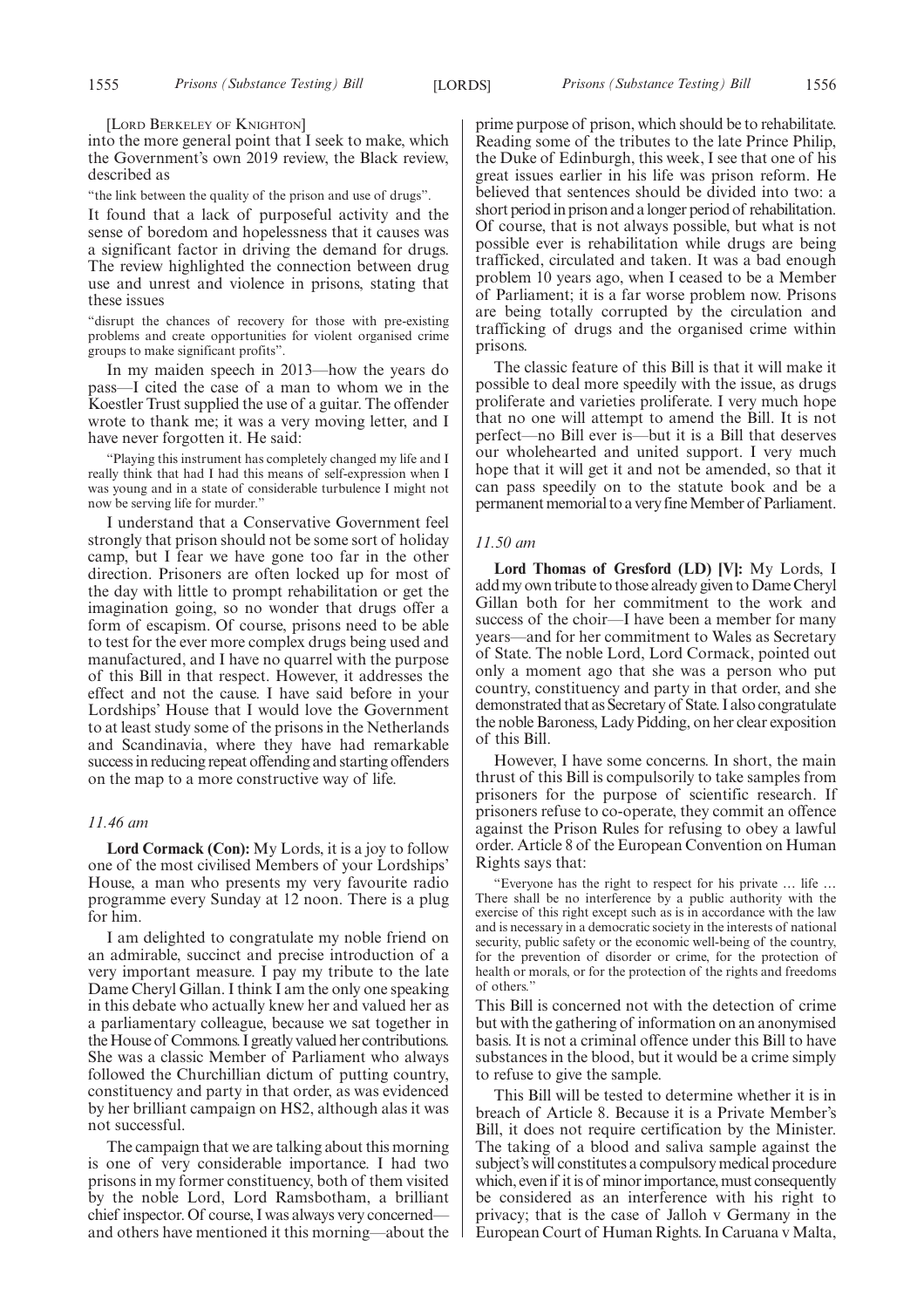[LORD BERKELEY OF KNIGHTON]

into the more general point that I seek to make, which the Government's own 2019 review, the Black review, described as

"the link between the quality of the prison and use of drugs".

It found that a lack of purposeful activity and the sense of boredom and hopelessness that it causes was a significant factor in driving the demand for drugs. The review highlighted the connection between drug use and unrest and violence in prisons, stating that these issues

"disrupt the chances of recovery for those with pre-existing problems and create opportunities for violent organised crime groups to make significant profits".

In my maiden speech in 2013—how the years do pass—I cited the case of a man to whom we in the Koestler Trust supplied the use of a guitar. The offender wrote to thank me; it was a very moving letter, and I have never forgotten it. He said:

"Playing this instrument has completely changed my life and I really think that had I had this means of self-expression when I was young and in a state of considerable turbulence I might not now be serving life for murder."

I understand that a Conservative Government feel strongly that prison should not be some sort of holiday camp, but I fear we have gone too far in the other direction. Prisoners are often locked up for most of the day with little to prompt rehabilitation or get the imagination going, so no wonder that drugs offer a form of escapism. Of course, prisons need to be able to test for the ever more complex drugs being used and manufactured, and I have no quarrel with the purpose of this Bill in that respect. However, it addresses the effect and not the cause. I have said before in your Lordships' House that I would love the Government to at least study some of the prisons in the Netherlands and Scandinavia, where they have had remarkable success in reducing repeat offending and starting offenders on the map to a more constructive way of life.

#### *11.46 am*

**Lord Cormack (Con):** My Lords, it is a joy to follow one of the most civilised Members of your Lordships' House, a man who presents my very favourite radio programme every Sunday at 12 noon. There is a plug for him.

I am delighted to congratulate my noble friend on an admirable, succinct and precise introduction of a very important measure. I pay my tribute to the late Dame Cheryl Gillan. I think I am the only one speaking in this debate who actually knew her and valued her as a parliamentary colleague, because we sat together in the House of Commons. I greatly valued her contributions. She was a classic Member of Parliament who always followed the Churchillian dictum of putting country, constituency and party in that order, as was evidenced by her brilliant campaign on HS2, although alas it was not successful.

The campaign that we are talking about this morning is one of very considerable importance. I had two prisons in my former constituency, both of them visited by the noble Lord, Lord Ramsbotham, a brilliant chief inspector. Of course, I was always very concerned and others have mentioned it this morning—about the prime purpose of prison, which should be to rehabilitate. Reading some of the tributes to the late Prince Philip, the Duke of Edinburgh, this week, I see that one of his great issues earlier in his life was prison reform. He believed that sentences should be divided into two: a short period in prison and a longer period of rehabilitation. Of course, that is not always possible, but what is not possible ever is rehabilitation while drugs are being trafficked, circulated and taken. It was a bad enough problem 10 years ago, when I ceased to be a Member of Parliament; it is a far worse problem now. Prisons are being totally corrupted by the circulation and trafficking of drugs and the organised crime within prisons.

The classic feature of this Bill is that it will make it possible to deal more speedily with the issue, as drugs proliferate and varieties proliferate. I very much hope that no one will attempt to amend the Bill. It is not perfect—no Bill ever is—but it is a Bill that deserves our wholehearted and united support. I very much hope that it will get it and not be amended, so that it can pass speedily on to the statute book and be a permanent memorial to a very fine Member of Parliament.

#### *11.50 am*

**Lord Thomas of Gresford (LD) [V]:** My Lords, I add my own tribute to those already given to Dame Cheryl Gillan both for her commitment to the work and success of the choir—I have been a member for many years—and for her commitment to Wales as Secretary of State. The noble Lord, Lord Cormack, pointed out only a moment ago that she was a person who put country, constituency and party in that order, and she demonstrated that as Secretary of State. I also congratulate the noble Baroness, Lady Pidding, on her clear exposition of this Bill.

However, I have some concerns. In short, the main thrust of this Bill is compulsorily to take samples from prisoners for the purpose of scientific research. If prisoners refuse to co-operate, they commit an offence against the Prison Rules for refusing to obey a lawful order. Article 8 of the European Convention on Human Rights says that:

"Everyone has the right to respect for his private … life … There shall be no interference by a public authority with the exercise of this right except such as is in accordance with the law and is necessary in a democratic society in the interests of national security, public safety or the economic well-being of the country, for the prevention of disorder or crime, for the protection of health or morals, or for the protection of the rights and freedoms of others."

This Bill is concerned not with the detection of crime but with the gathering of information on an anonymised basis. It is not a criminal offence under this Bill to have substances in the blood, but it would be a crime simply to refuse to give the sample.

This Bill will be tested to determine whether it is in breach of Article 8. Because it is a Private Member's Bill, it does not require certification by the Minister. The taking of a blood and saliva sample against the subject's will constitutes a compulsory medical procedure which, even if it is of minor importance, must consequently be considered as an interference with his right to privacy; that is the case of Jalloh v Germany in the European Court of Human Rights. In Caruana v Malta,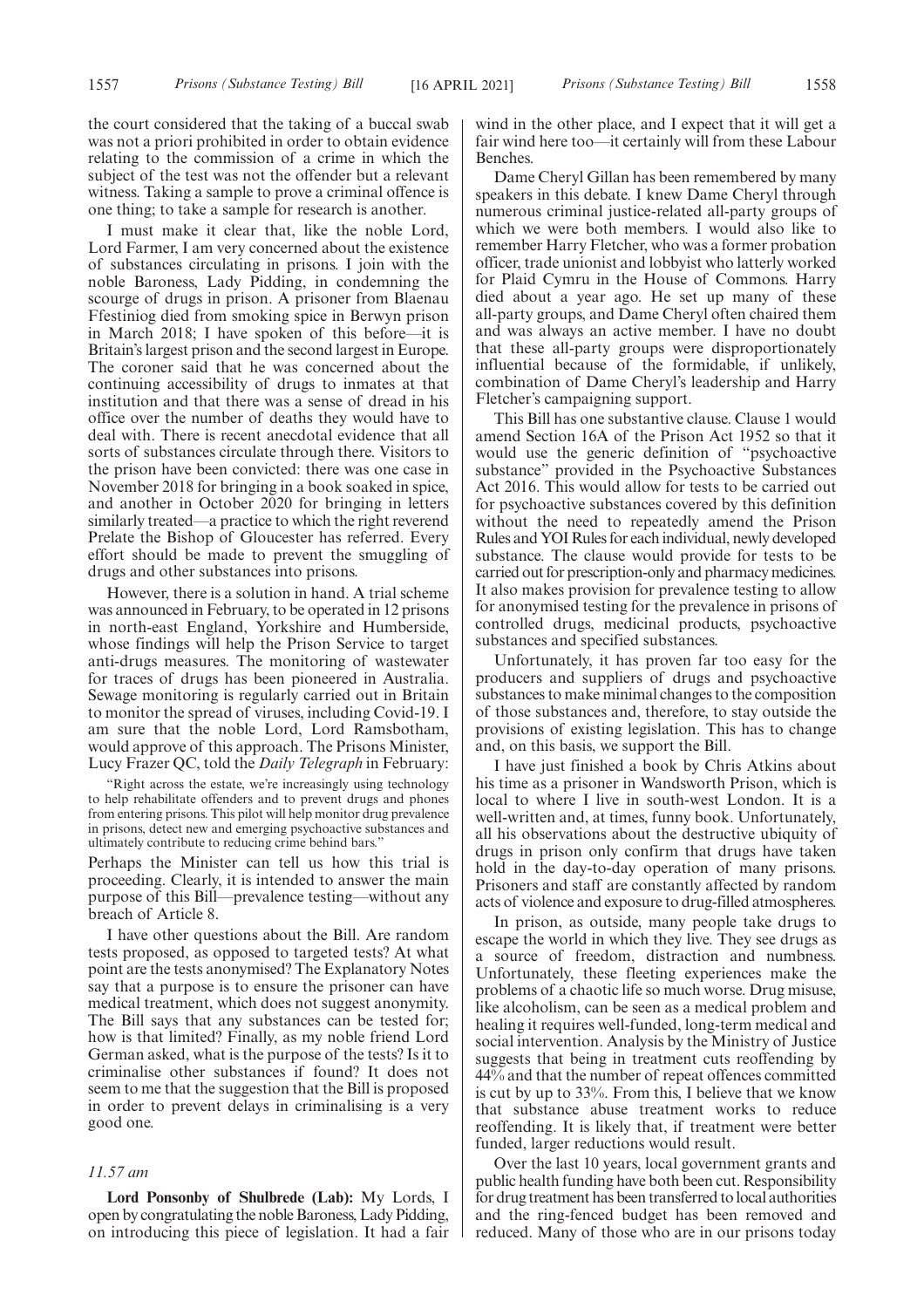the court considered that the taking of a buccal swab was not a priori prohibited in order to obtain evidence relating to the commission of a crime in which the subject of the test was not the offender but a relevant witness. Taking a sample to prove a criminal offence is one thing; to take a sample for research is another.

I must make it clear that, like the noble Lord, Lord Farmer, I am very concerned about the existence of substances circulating in prisons. I join with the noble Baroness, Lady Pidding, in condemning the scourge of drugs in prison. A prisoner from Blaenau Ffestiniog died from smoking spice in Berwyn prison in March 2018; I have spoken of this before—it is Britain's largest prison and the second largest in Europe. The coroner said that he was concerned about the continuing accessibility of drugs to inmates at that institution and that there was a sense of dread in his office over the number of deaths they would have to deal with. There is recent anecdotal evidence that all sorts of substances circulate through there. Visitors to the prison have been convicted: there was one case in November 2018 for bringing in a book soaked in spice, and another in October 2020 for bringing in letters similarly treated—a practice to which the right reverend Prelate the Bishop of Gloucester has referred. Every effort should be made to prevent the smuggling of drugs and other substances into prisons.

However, there is a solution in hand. A trial scheme was announced in February, to be operated in 12 prisons in north-east England, Yorkshire and Humberside, whose findings will help the Prison Service to target anti-drugs measures. The monitoring of wastewater for traces of drugs has been pioneered in Australia. Sewage monitoring is regularly carried out in Britain to monitor the spread of viruses, including Covid-19. I am sure that the noble Lord, Lord Ramsbotham, would approve of this approach. The Prisons Minister, Lucy Frazer QC, told the *Daily Telegraph* in February:

"Right across the estate, we're increasingly using technology to help rehabilitate offenders and to prevent drugs and phones from entering prisons. This pilot will help monitor drug prevalence in prisons, detect new and emerging psychoactive substances and ultimately contribute to reducing crime behind bars."

Perhaps the Minister can tell us how this trial is proceeding. Clearly, it is intended to answer the main purpose of this Bill—prevalence testing—without any breach of Article 8.

I have other questions about the Bill. Are random tests proposed, as opposed to targeted tests? At what point are the tests anonymised? The Explanatory Notes say that a purpose is to ensure the prisoner can have medical treatment, which does not suggest anonymity. The Bill says that any substances can be tested for; how is that limited? Finally, as my noble friend Lord German asked, what is the purpose of the tests? Is it to criminalise other substances if found? It does not seem to me that the suggestion that the Bill is proposed in order to prevent delays in criminalising is a very good one.

#### *11.57 am*

**Lord Ponsonby of Shulbrede (Lab):** My Lords, I open by congratulating the noble Baroness, Lady Pidding, on introducing this piece of legislation. It had a fair wind in the other place, and I expect that it will get a fair wind here too—it certainly will from these Labour Benches.

Dame Cheryl Gillan has been remembered by many speakers in this debate. I knew Dame Cheryl through numerous criminal justice-related all-party groups of which we were both members. I would also like to remember Harry Fletcher, who was a former probation officer, trade unionist and lobbyist who latterly worked for Plaid Cymru in the House of Commons. Harry died about a year ago. He set up many of these all-party groups, and Dame Cheryl often chaired them and was always an active member. I have no doubt that these all-party groups were disproportionately influential because of the formidable, if unlikely, combination of Dame Cheryl's leadership and Harry Fletcher's campaigning support.

This Bill has one substantive clause. Clause 1 would amend Section 16A of the Prison Act 1952 so that it would use the generic definition of "psychoactive substance" provided in the Psychoactive Substances Act 2016. This would allow for tests to be carried out for psychoactive substances covered by this definition without the need to repeatedly amend the Prison Rules and YOI Rules for each individual, newly developed substance. The clause would provide for tests to be carried out for prescription-only and pharmacy medicines. It also makes provision for prevalence testing to allow for anonymised testing for the prevalence in prisons of controlled drugs, medicinal products, psychoactive substances and specified substances.

Unfortunately, it has proven far too easy for the producers and suppliers of drugs and psychoactive substances to make minimal changes to the composition of those substances and, therefore, to stay outside the provisions of existing legislation. This has to change and, on this basis, we support the Bill.

I have just finished a book by Chris Atkins about his time as a prisoner in Wandsworth Prison, which is local to where I live in south-west London. It is a well-written and, at times, funny book. Unfortunately, all his observations about the destructive ubiquity of drugs in prison only confirm that drugs have taken hold in the day-to-day operation of many prisons. Prisoners and staff are constantly affected by random acts of violence and exposure to drug-filled atmospheres.

In prison, as outside, many people take drugs to escape the world in which they live. They see drugs as a source of freedom, distraction and numbness. Unfortunately, these fleeting experiences make the problems of a chaotic life so much worse. Drug misuse, like alcoholism, can be seen as a medical problem and healing it requires well-funded, long-term medical and social intervention. Analysis by the Ministry of Justice suggests that being in treatment cuts reoffending by 44% and that the number of repeat offences committed is cut by up to 33%. From this, I believe that we know that substance abuse treatment works to reduce reoffending. It is likely that, if treatment were better funded, larger reductions would result.

Over the last 10 years, local government grants and public health funding have both been cut. Responsibility for drug treatment has been transferred to local authorities and the ring-fenced budget has been removed and reduced. Many of those who are in our prisons today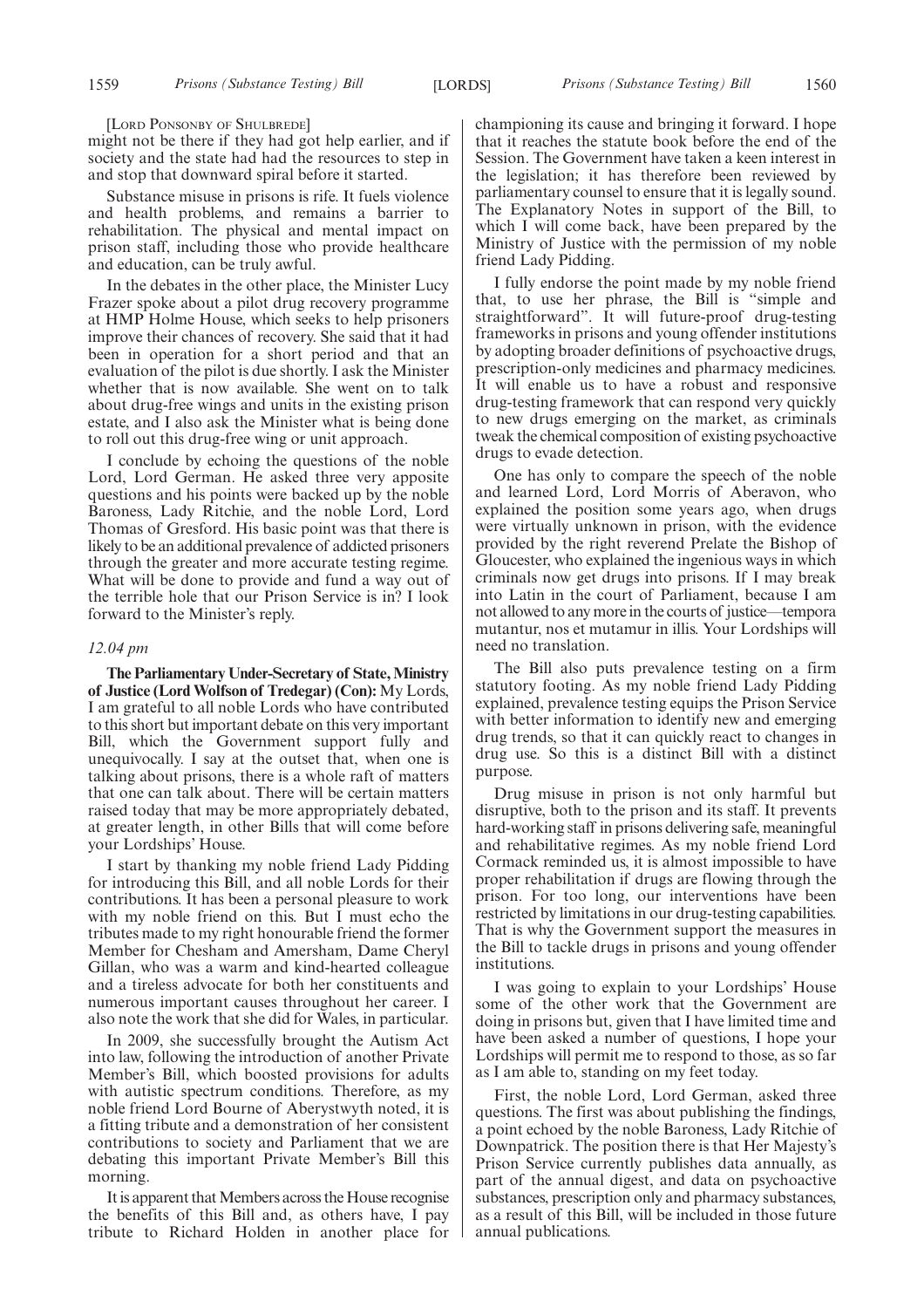[LORD PONSONBY OF SHULBREDE]

might not be there if they had got help earlier, and if society and the state had had the resources to step in and stop that downward spiral before it started.

Substance misuse in prisons is rife. It fuels violence and health problems, and remains a barrier to rehabilitation. The physical and mental impact on prison staff, including those who provide healthcare and education, can be truly awful.

In the debates in the other place, the Minister Lucy Frazer spoke about a pilot drug recovery programme at HMP Holme House, which seeks to help prisoners improve their chances of recovery. She said that it had been in operation for a short period and that an evaluation of the pilot is due shortly. I ask the Minister whether that is now available. She went on to talk about drug-free wings and units in the existing prison estate, and I also ask the Minister what is being done to roll out this drug-free wing or unit approach.

I conclude by echoing the questions of the noble Lord, Lord German. He asked three very apposite questions and his points were backed up by the noble Baroness, Lady Ritchie, and the noble Lord, Lord Thomas of Gresford. His basic point was that there is likely to be an additional prevalence of addicted prisoners through the greater and more accurate testing regime. What will be done to provide and fund a way out of the terrible hole that our Prison Service is in? I look forward to the Minister's reply.

#### *12.04 pm*

**The Parliamentary Under-Secretary of State, Ministry of Justice (Lord Wolfson of Tredegar) (Con):** My Lords, I am grateful to all noble Lords who have contributed to this short but important debate on this very important Bill, which the Government support fully and unequivocally. I say at the outset that, when one is talking about prisons, there is a whole raft of matters that one can talk about. There will be certain matters raised today that may be more appropriately debated, at greater length, in other Bills that will come before your Lordships' House.

I start by thanking my noble friend Lady Pidding for introducing this Bill, and all noble Lords for their contributions. It has been a personal pleasure to work with my noble friend on this. But I must echo the tributes made to my right honourable friend the former Member for Chesham and Amersham, Dame Cheryl Gillan, who was a warm and kind-hearted colleague and a tireless advocate for both her constituents and numerous important causes throughout her career. I also note the work that she did for Wales, in particular.

In 2009, she successfully brought the Autism Act into law, following the introduction of another Private Member's Bill, which boosted provisions for adults with autistic spectrum conditions. Therefore, as my noble friend Lord Bourne of Aberystwyth noted, it is a fitting tribute and a demonstration of her consistent contributions to society and Parliament that we are debating this important Private Member's Bill this morning.

It is apparent that Members across the House recognise the benefits of this Bill and, as others have, I pay tribute to Richard Holden in another place for championing its cause and bringing it forward. I hope that it reaches the statute book before the end of the Session. The Government have taken a keen interest in the legislation; it has therefore been reviewed by parliamentary counsel to ensure that it is legally sound. The Explanatory Notes in support of the Bill, to which I will come back, have been prepared by the Ministry of Justice with the permission of my noble friend Lady Pidding.

I fully endorse the point made by my noble friend that, to use her phrase, the Bill is "simple and straightforward". It will future-proof drug-testing frameworks in prisons and young offender institutions by adopting broader definitions of psychoactive drugs, prescription-only medicines and pharmacy medicines. It will enable us to have a robust and responsive drug-testing framework that can respond very quickly to new drugs emerging on the market, as criminals tweak the chemical composition of existing psychoactive drugs to evade detection.

One has only to compare the speech of the noble and learned Lord, Lord Morris of Aberavon, who explained the position some years ago, when drugs were virtually unknown in prison, with the evidence provided by the right reverend Prelate the Bishop of Gloucester, who explained the ingenious ways in which criminals now get drugs into prisons. If I may break into Latin in the court of Parliament, because I am not allowed to any more in the courts of justice—tempora mutantur, nos et mutamur in illis. Your Lordships will need no translation.

The Bill also puts prevalence testing on a firm statutory footing. As my noble friend Lady Pidding explained, prevalence testing equips the Prison Service with better information to identify new and emerging drug trends, so that it can quickly react to changes in drug use. So this is a distinct Bill with a distinct purpose.

Drug misuse in prison is not only harmful but disruptive, both to the prison and its staff. It prevents hard-working staff in prisons delivering safe, meaningful and rehabilitative regimes. As my noble friend Lord Cormack reminded us, it is almost impossible to have proper rehabilitation if drugs are flowing through the prison. For too long, our interventions have been restricted by limitations in our drug-testing capabilities. That is why the Government support the measures in the Bill to tackle drugs in prisons and young offender institutions.

I was going to explain to your Lordships' House some of the other work that the Government are doing in prisons but, given that I have limited time and have been asked a number of questions, I hope your Lordships will permit me to respond to those, as so far as I am able to, standing on my feet today.

First, the noble Lord, Lord German, asked three questions. The first was about publishing the findings, a point echoed by the noble Baroness, Lady Ritchie of Downpatrick. The position there is that Her Majesty's Prison Service currently publishes data annually, as part of the annual digest, and data on psychoactive substances, prescription only and pharmacy substances, as a result of this Bill, will be included in those future annual publications.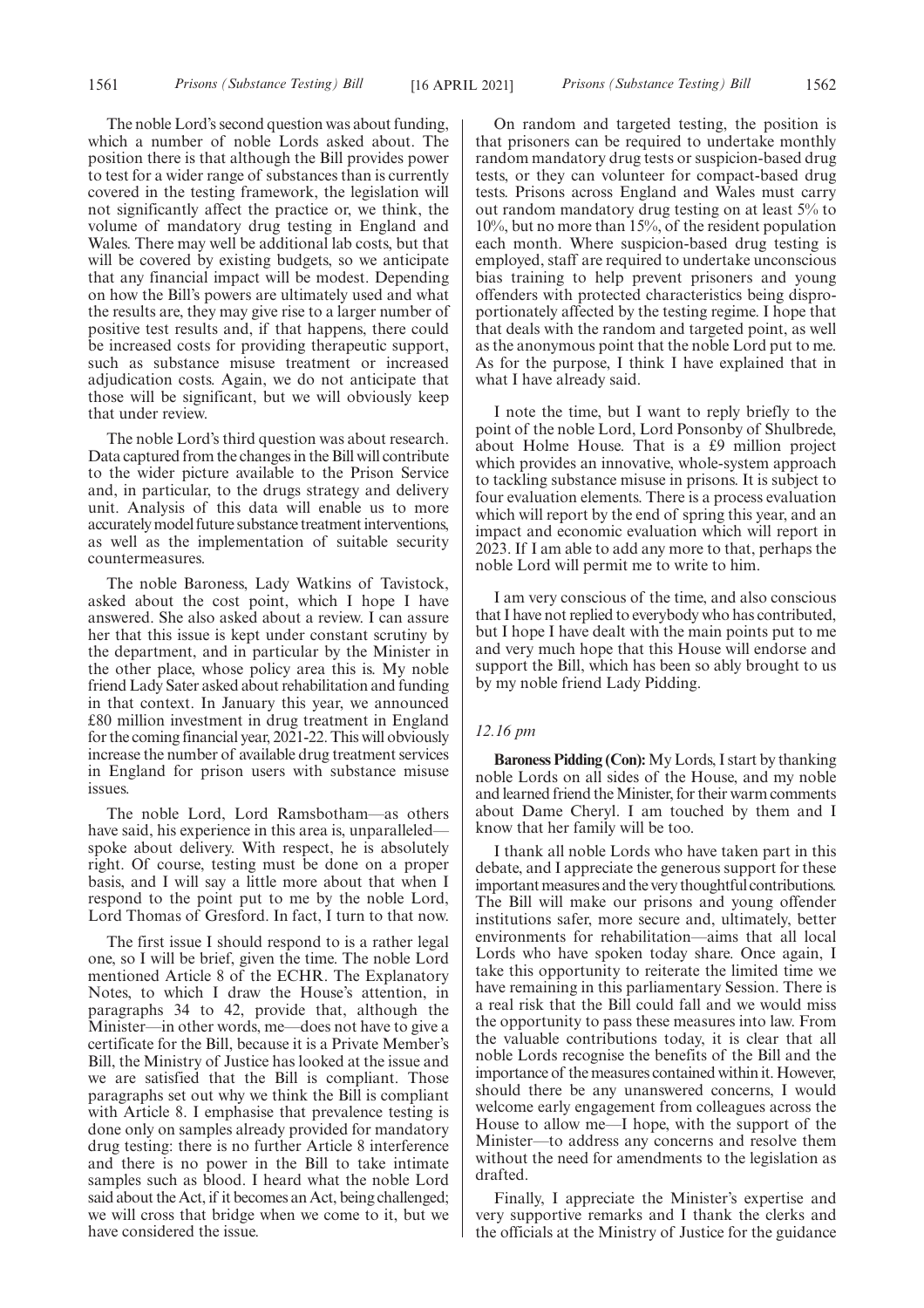The noble Lord's second question was about funding, which a number of noble Lords asked about. The position there is that although the Bill provides power to test for a wider range of substances than is currently covered in the testing framework, the legislation will not significantly affect the practice or, we think, the volume of mandatory drug testing in England and Wales. There may well be additional lab costs, but that will be covered by existing budgets, so we anticipate that any financial impact will be modest. Depending on how the Bill's powers are ultimately used and what the results are, they may give rise to a larger number of positive test results and, if that happens, there could be increased costs for providing therapeutic support, such as substance misuse treatment or increased adjudication costs. Again, we do not anticipate that those will be significant, but we will obviously keep that under review.

The noble Lord's third question was about research. Data captured from the changes in the Bill will contribute to the wider picture available to the Prison Service and, in particular, to the drugs strategy and delivery unit. Analysis of this data will enable us to more accurately model future substance treatment interventions, as well as the implementation of suitable security countermeasures.

The noble Baroness, Lady Watkins of Tavistock, asked about the cost point, which I hope I have answered. She also asked about a review. I can assure her that this issue is kept under constant scrutiny by the department, and in particular by the Minister in the other place, whose policy area this is. My noble friend Lady Sater asked about rehabilitation and funding in that context. In January this year, we announced £80 million investment in drug treatment in England for the coming financial year, 2021-22. This will obviously increase the number of available drug treatment services in England for prison users with substance misuse issues.

The noble Lord, Lord Ramsbotham—as others have said, his experience in this area is, unparalleled spoke about delivery. With respect, he is absolutely right. Of course, testing must be done on a proper basis, and I will say a little more about that when I respond to the point put to me by the noble Lord, Lord Thomas of Gresford. In fact, I turn to that now.

The first issue I should respond to is a rather legal one, so I will be brief, given the time. The noble Lord mentioned Article 8 of the ECHR. The Explanatory Notes, to which I draw the House's attention, in paragraphs 34 to 42, provide that, although the Minister—in other words, me—does not have to give a certificate for the Bill, because it is a Private Member's Bill, the Ministry of Justice has looked at the issue and we are satisfied that the Bill is compliant. Those paragraphs set out why we think the Bill is compliant with Article 8. I emphasise that prevalence testing is done only on samples already provided for mandatory drug testing: there is no further Article 8 interference and there is no power in the Bill to take intimate samples such as blood. I heard what the noble Lord said about the Act, if it becomes an Act, being challenged; we will cross that bridge when we come to it, but we have considered the issue.

On random and targeted testing, the position is that prisoners can be required to undertake monthly random mandatory drug tests or suspicion-based drug tests, or they can volunteer for compact-based drug tests. Prisons across England and Wales must carry out random mandatory drug testing on at least 5% to 10%, but no more than 15%, of the resident population each month. Where suspicion-based drug testing is employed, staff are required to undertake unconscious bias training to help prevent prisoners and young offenders with protected characteristics being disproportionately affected by the testing regime. I hope that that deals with the random and targeted point, as well as the anonymous point that the noble Lord put to me. As for the purpose, I think I have explained that in what I have already said.

I note the time, but I want to reply briefly to the point of the noble Lord, Lord Ponsonby of Shulbrede, about Holme House. That is a £9 million project which provides an innovative, whole-system approach to tackling substance misuse in prisons. It is subject to four evaluation elements. There is a process evaluation which will report by the end of spring this year, and an impact and economic evaluation which will report in 2023. If I am able to add any more to that, perhaps the noble Lord will permit me to write to him.

I am very conscious of the time, and also conscious that I have not replied to everybody who has contributed, but I hope I have dealt with the main points put to me and very much hope that this House will endorse and support the Bill, which has been so ably brought to us by my noble friend Lady Pidding.

#### *12.16 pm*

**Baroness Pidding (Con):**My Lords, I start by thanking noble Lords on all sides of the House, and my noble and learned friend the Minister, for their warm comments about Dame Cheryl. I am touched by them and I know that her family will be too.

I thank all noble Lords who have taken part in this debate, and I appreciate the generous support for these important measures and the very thoughtful contributions. The Bill will make our prisons and young offender institutions safer, more secure and, ultimately, better environments for rehabilitation—aims that all local Lords who have spoken today share. Once again, I take this opportunity to reiterate the limited time we have remaining in this parliamentary Session. There is a real risk that the Bill could fall and we would miss the opportunity to pass these measures into law. From the valuable contributions today, it is clear that all noble Lords recognise the benefits of the Bill and the importance of the measures contained within it. However, should there be any unanswered concerns, I would welcome early engagement from colleagues across the House to allow me—I hope, with the support of the Minister—to address any concerns and resolve them without the need for amendments to the legislation as drafted.

Finally, I appreciate the Minister's expertise and very supportive remarks and I thank the clerks and the officials at the Ministry of Justice for the guidance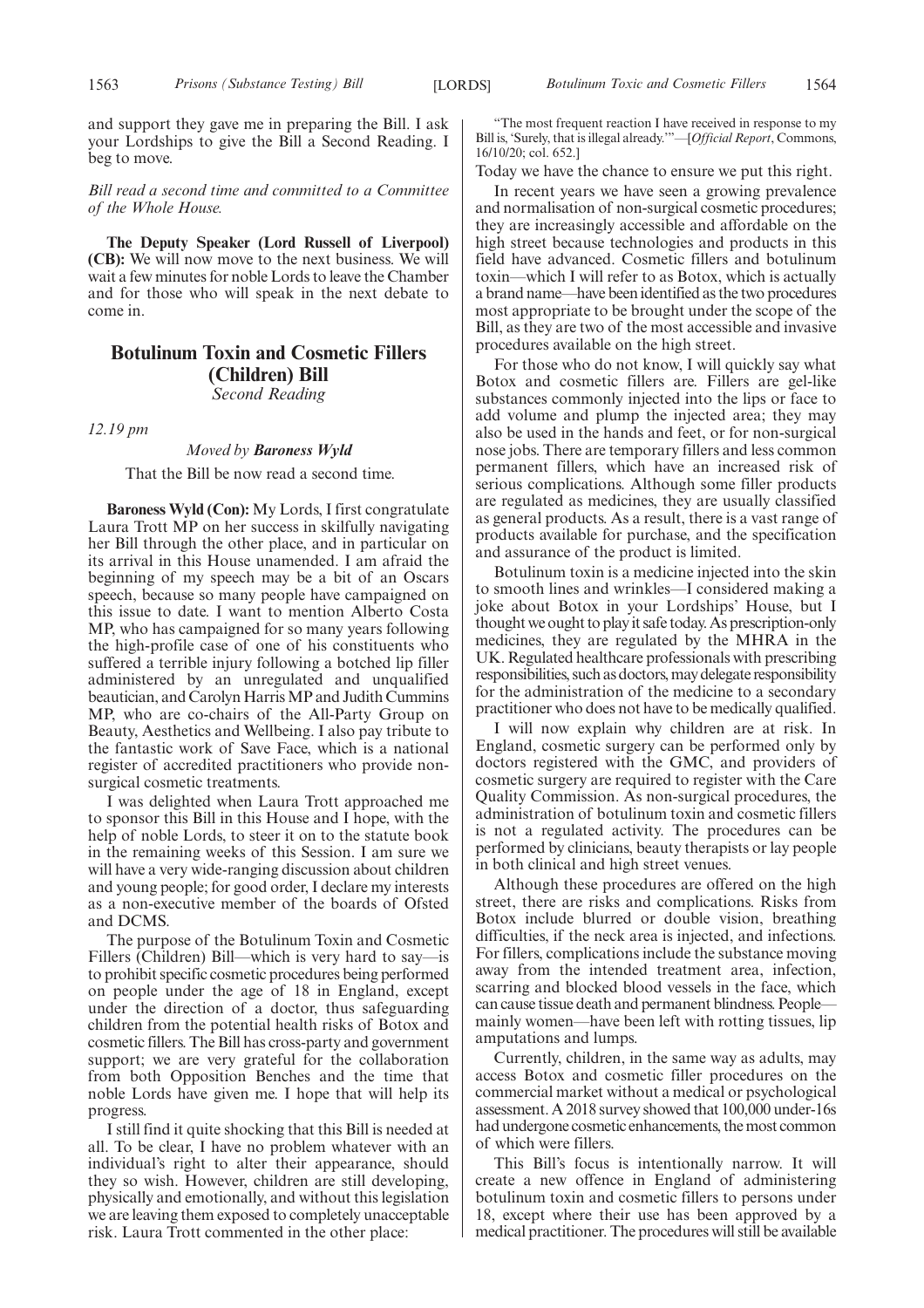and support they gave me in preparing the Bill. I ask your Lordships to give the Bill a Second Reading. I beg to move.

*Bill read a second time and committed to a Committee of the Whole House.*

**The Deputy Speaker (Lord Russell of Liverpool) (CB):** We will now move to the next business. We will wait a few minutes for noble Lords to leave the Chamber and for those who will speak in the next debate to come in.

# **Botulinum Toxin and Cosmetic Fillers (Children) Bill** *Second Reading*

*12.19 pm*

# *Moved by Baroness Wyld*

That the Bill be now read a second time.

**Baroness Wyld (Con):** My Lords, I first congratulate Laura Trott MP on her success in skilfully navigating her Bill through the other place, and in particular on its arrival in this House unamended. I am afraid the beginning of my speech may be a bit of an Oscars speech, because so many people have campaigned on this issue to date. I want to mention Alberto Costa MP, who has campaigned for so many years following the high-profile case of one of his constituents who suffered a terrible injury following a botched lip filler administered by an unregulated and unqualified beautician, and Carolyn Harris MP and Judith Cummins MP, who are co-chairs of the All-Party Group on Beauty, Aesthetics and Wellbeing. I also pay tribute to the fantastic work of Save Face, which is a national register of accredited practitioners who provide nonsurgical cosmetic treatments.

I was delighted when Laura Trott approached me to sponsor this Bill in this House and I hope, with the help of noble Lords, to steer it on to the statute book in the remaining weeks of this Session. I am sure we will have a very wide-ranging discussion about children and young people; for good order, I declare my interests as a non-executive member of the boards of Ofsted and DCMS.

The purpose of the Botulinum Toxin and Cosmetic Fillers (Children) Bill—which is very hard to say—is to prohibit specific cosmetic procedures being performed on people under the age of 18 in England, except under the direction of a doctor, thus safeguarding children from the potential health risks of Botox and cosmetic fillers. The Bill has cross-party and government support; we are very grateful for the collaboration from both Opposition Benches and the time that noble Lords have given me. I hope that will help its progress.

I still find it quite shocking that this Bill is needed at all. To be clear, I have no problem whatever with an individual's right to alter their appearance, should they so wish. However, children are still developing, physically and emotionally, and without this legislation we are leaving them exposed to completely unacceptable risk. Laura Trott commented in the other place:

"The most frequent reaction I have received in response to my Bill is, 'Surely, that is illegal already.'"—[*Official Report*, Commons, 16/10/20; col. 652.]

Today we have the chance to ensure we put this right.

In recent years we have seen a growing prevalence and normalisation of non-surgical cosmetic procedures; they are increasingly accessible and affordable on the high street because technologies and products in this field have advanced. Cosmetic fillers and botulinum toxin—which I will refer to as Botox, which is actually a brand name—have been identified as the two procedures most appropriate to be brought under the scope of the Bill, as they are two of the most accessible and invasive procedures available on the high street.

For those who do not know, I will quickly say what Botox and cosmetic fillers are. Fillers are gel-like substances commonly injected into the lips or face to add volume and plump the injected area; they may also be used in the hands and feet, or for non-surgical nose jobs. There are temporary fillers and less common permanent fillers, which have an increased risk of serious complications. Although some filler products are regulated as medicines, they are usually classified as general products. As a result, there is a vast range of products available for purchase, and the specification and assurance of the product is limited.

Botulinum toxin is a medicine injected into the skin to smooth lines and wrinkles—I considered making a joke about Botox in your Lordships' House, but I thought we ought to play it safe today. As prescription-only medicines, they are regulated by the MHRA in the UK. Regulated healthcare professionals with prescribing responsibilities, such as doctors, may delegate responsibility for the administration of the medicine to a secondary practitioner who does not have to be medically qualified.

I will now explain why children are at risk. In England, cosmetic surgery can be performed only by doctors registered with the GMC, and providers of cosmetic surgery are required to register with the Care Quality Commission. As non-surgical procedures, the administration of botulinum toxin and cosmetic fillers is not a regulated activity. The procedures can be performed by clinicians, beauty therapists or lay people in both clinical and high street venues.

Although these procedures are offered on the high street, there are risks and complications. Risks from Botox include blurred or double vision, breathing difficulties, if the neck area is injected, and infections. For fillers, complications include the substance moving away from the intended treatment area, infection, scarring and blocked blood vessels in the face, which can cause tissue death and permanent blindness. People mainly women—have been left with rotting tissues, lip amputations and lumps.

Currently, children, in the same way as adults, may access Botox and cosmetic filler procedures on the commercial market without a medical or psychological assessment. A 2018 survey showed that 100,000 under-16s had undergone cosmetic enhancements, the most common of which were fillers.

This Bill's focus is intentionally narrow. It will create a new offence in England of administering botulinum toxin and cosmetic fillers to persons under 18, except where their use has been approved by a medical practitioner. The procedures will still be available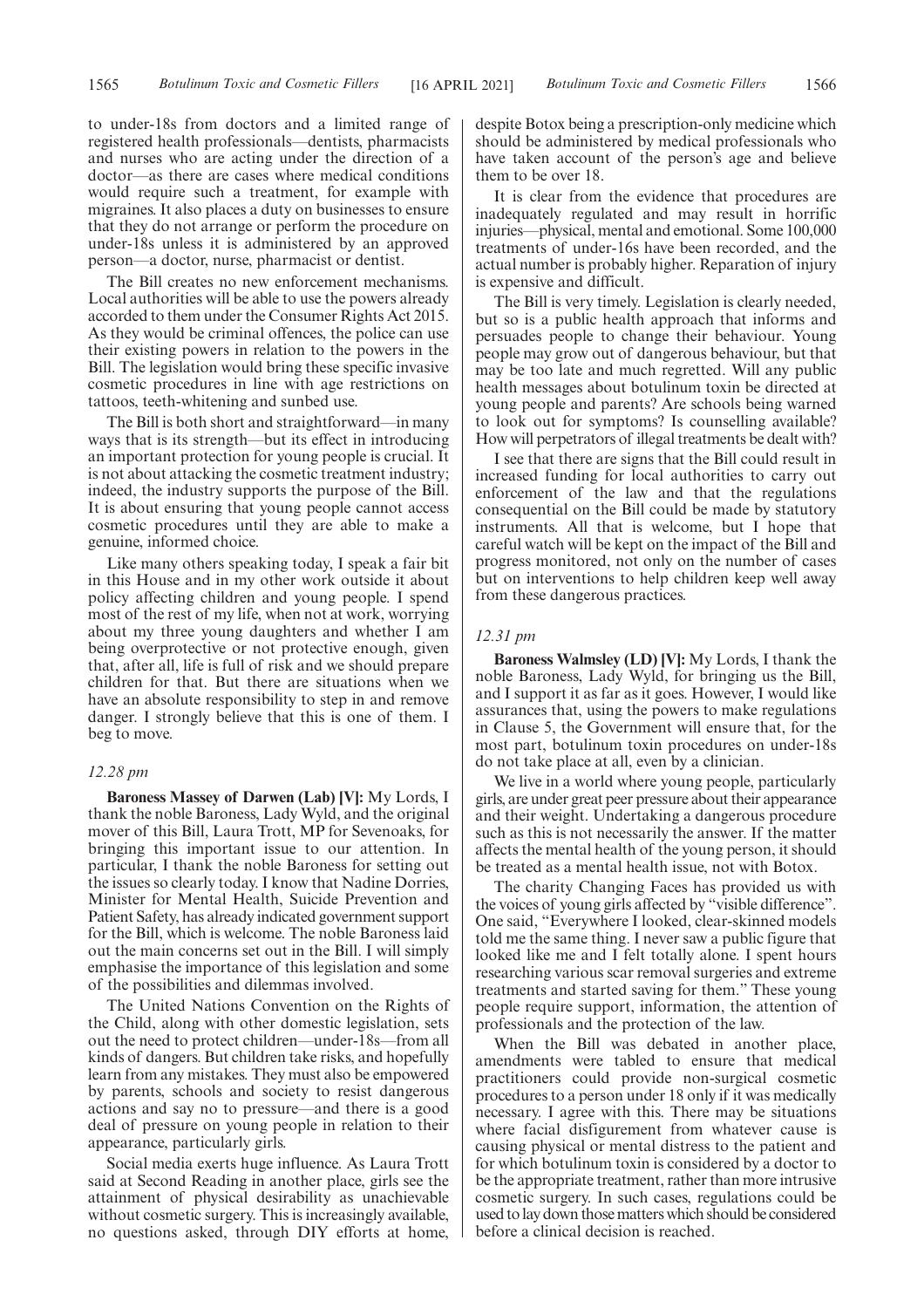to under-18s from doctors and a limited range of registered health professionals—dentists, pharmacists and nurses who are acting under the direction of a doctor—as there are cases where medical conditions would require such a treatment, for example with migraines. It also places a duty on businesses to ensure that they do not arrange or perform the procedure on under-18s unless it is administered by an approved person—a doctor, nurse, pharmacist or dentist.

The Bill creates no new enforcement mechanisms. Local authorities will be able to use the powers already accorded to them under the Consumer Rights Act 2015. As they would be criminal offences, the police can use their existing powers in relation to the powers in the Bill. The legislation would bring these specific invasive cosmetic procedures in line with age restrictions on tattoos, teeth-whitening and sunbed use.

The Bill is both short and straightforward—in many ways that is its strength—but its effect in introducing an important protection for young people is crucial. It is not about attacking the cosmetic treatment industry; indeed, the industry supports the purpose of the Bill. It is about ensuring that young people cannot access cosmetic procedures until they are able to make a genuine, informed choice.

Like many others speaking today, I speak a fair bit in this House and in my other work outside it about policy affecting children and young people. I spend most of the rest of my life, when not at work, worrying about my three young daughters and whether I am being overprotective or not protective enough, given that, after all, life is full of risk and we should prepare children for that. But there are situations when we have an absolute responsibility to step in and remove danger. I strongly believe that this is one of them. I beg to move.

# *12.28 pm*

**Baroness Massey of Darwen (Lab) [V]:** My Lords, I thank the noble Baroness, Lady Wyld, and the original mover of this Bill, Laura Trott, MP for Sevenoaks, for bringing this important issue to our attention. In particular, I thank the noble Baroness for setting out the issues so clearly today. I know that Nadine Dorries, Minister for Mental Health, Suicide Prevention and Patient Safety, has already indicated government support for the Bill, which is welcome. The noble Baroness laid out the main concerns set out in the Bill. I will simply emphasise the importance of this legislation and some of the possibilities and dilemmas involved.

The United Nations Convention on the Rights of the Child, along with other domestic legislation, sets out the need to protect children—under-18s—from all kinds of dangers. But children take risks, and hopefully learn from any mistakes. They must also be empowered by parents, schools and society to resist dangerous actions and say no to pressure—and there is a good deal of pressure on young people in relation to their appearance, particularly girls.

Social media exerts huge influence. As Laura Trott said at Second Reading in another place, girls see the attainment of physical desirability as unachievable without cosmetic surgery. This is increasingly available, no questions asked, through DIY efforts at home, despite Botox being a prescription-only medicine which should be administered by medical professionals who have taken account of the person's age and believe them to be over 18.

It is clear from the evidence that procedures are inadequately regulated and may result in horrific injuries—physical, mental and emotional. Some 100,000 treatments of under-16s have been recorded, and the actual number is probably higher. Reparation of injury is expensive and difficult.

The Bill is very timely. Legislation is clearly needed, but so is a public health approach that informs and persuades people to change their behaviour. Young people may grow out of dangerous behaviour, but that may be too late and much regretted. Will any public health messages about botulinum toxin be directed at young people and parents? Are schools being warned to look out for symptoms? Is counselling available? How will perpetrators of illegal treatments be dealt with?

I see that there are signs that the Bill could result in increased funding for local authorities to carry out enforcement of the law and that the regulations consequential on the Bill could be made by statutory instruments. All that is welcome, but I hope that careful watch will be kept on the impact of the Bill and progress monitored, not only on the number of cases but on interventions to help children keep well away from these dangerous practices.

#### *12.31 pm*

**Baroness Walmsley (LD) [V]:** My Lords, I thank the noble Baroness, Lady Wyld, for bringing us the Bill, and I support it as far as it goes. However, I would like assurances that, using the powers to make regulations in Clause 5, the Government will ensure that, for the most part, botulinum toxin procedures on under-18s do not take place at all, even by a clinician.

We live in a world where young people, particularly girls, are under great peer pressure about their appearance and their weight. Undertaking a dangerous procedure such as this is not necessarily the answer. If the matter affects the mental health of the young person, it should be treated as a mental health issue, not with Botox.

The charity Changing Faces has provided us with the voices of young girls affected by "visible difference". One said, "Everywhere I looked, clear-skinned models told me the same thing. I never saw a public figure that looked like me and I felt totally alone. I spent hours researching various scar removal surgeries and extreme treatments and started saving for them." These young people require support, information, the attention of professionals and the protection of the law.

When the Bill was debated in another place, amendments were tabled to ensure that medical practitioners could provide non-surgical cosmetic procedures to a person under 18 only if it was medically necessary. I agree with this. There may be situations where facial disfigurement from whatever cause is causing physical or mental distress to the patient and for which botulinum toxin is considered by a doctor to be the appropriate treatment, rather than more intrusive cosmetic surgery. In such cases, regulations could be used to lay down those matters which should be considered before a clinical decision is reached.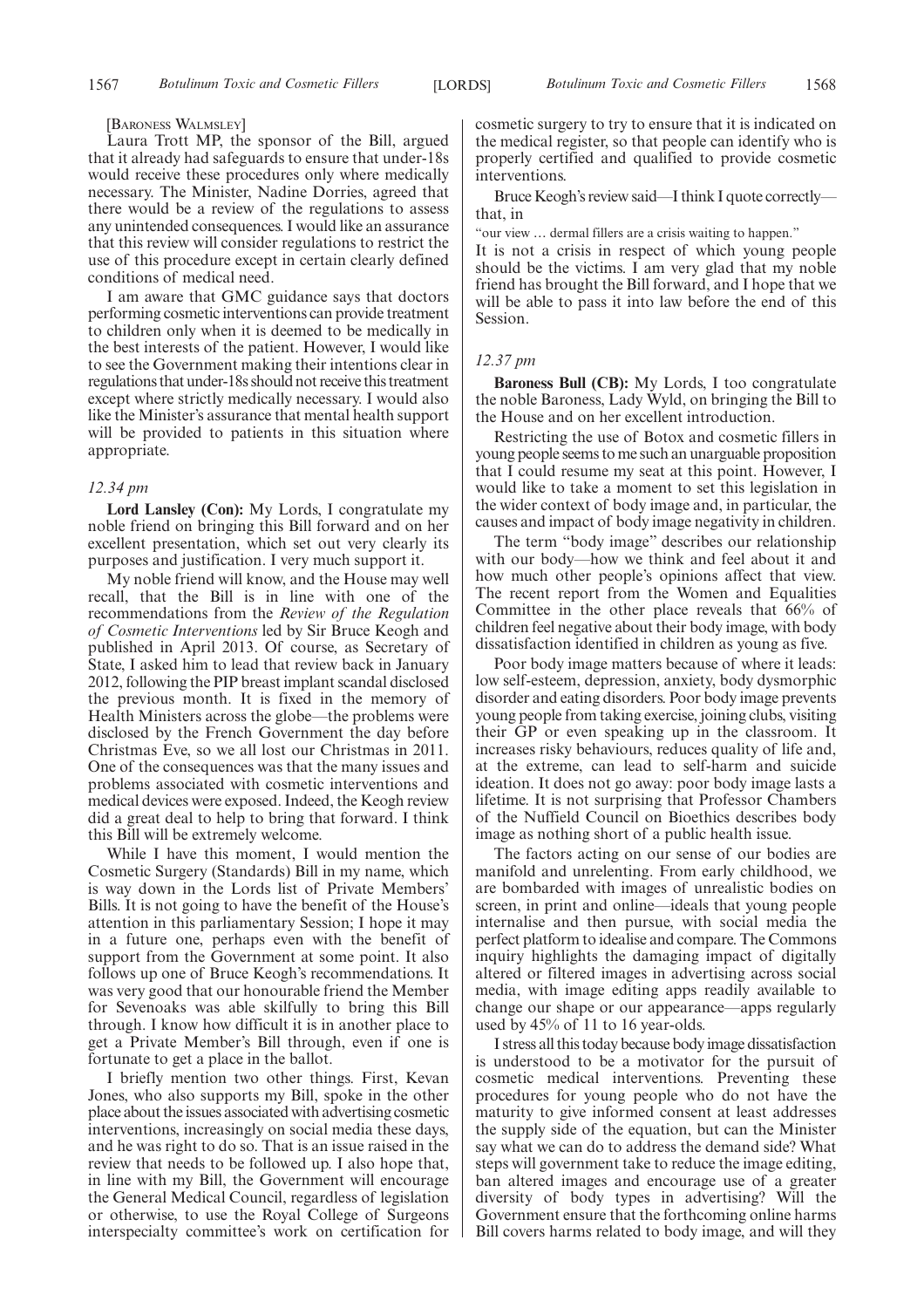#### [BARONESS WALMSLEY]

Laura Trott MP, the sponsor of the Bill, argued that it already had safeguards to ensure that under-18s would receive these procedures only where medically necessary. The Minister, Nadine Dorries, agreed that there would be a review of the regulations to assess any unintended consequences. I would like an assurance that this review will consider regulations to restrict the use of this procedure except in certain clearly defined conditions of medical need.

I am aware that GMC guidance says that doctors performing cosmetic interventions can provide treatment to children only when it is deemed to be medically in the best interests of the patient. However, I would like to see the Government making their intentions clear in regulations that under-18s should not receive this treatment except where strictly medically necessary. I would also like the Minister's assurance that mental health support will be provided to patients in this situation where appropriate.

#### *12.34 pm*

**Lord Lansley (Con):** My Lords, I congratulate my noble friend on bringing this Bill forward and on her excellent presentation, which set out very clearly its purposes and justification. I very much support it.

My noble friend will know, and the House may well recall, that the Bill is in line with one of the recommendations from the *Review of the Regulation of Cosmetic Interventions* led by Sir Bruce Keogh and published in April 2013. Of course, as Secretary of State, I asked him to lead that review back in January 2012, following the PIP breast implant scandal disclosed the previous month. It is fixed in the memory of Health Ministers across the globe—the problems were disclosed by the French Government the day before Christmas Eve, so we all lost our Christmas in 2011. One of the consequences was that the many issues and problems associated with cosmetic interventions and medical devices were exposed. Indeed, the Keogh review did a great deal to help to bring that forward. I think this Bill will be extremely welcome.

While I have this moment, I would mention the Cosmetic Surgery (Standards) Bill in my name, which is way down in the Lords list of Private Members' Bills. It is not going to have the benefit of the House's attention in this parliamentary Session; I hope it may in a future one, perhaps even with the benefit of support from the Government at some point. It also follows up one of Bruce Keogh's recommendations. It was very good that our honourable friend the Member for Sevenoaks was able skilfully to bring this Bill through. I know how difficult it is in another place to get a Private Member's Bill through, even if one is fortunate to get a place in the ballot.

I briefly mention two other things. First, Kevan Jones, who also supports my Bill, spoke in the other place about the issues associated with advertising cosmetic interventions, increasingly on social media these days, and he was right to do so. That is an issue raised in the review that needs to be followed up. I also hope that, in line with my Bill, the Government will encourage the General Medical Council, regardless of legislation or otherwise, to use the Royal College of Surgeons interspecialty committee's work on certification for

cosmetic surgery to try to ensure that it is indicated on the medical register, so that people can identify who is properly certified and qualified to provide cosmetic interventions.

Bruce Keogh's review said—I think I quote correctly that, in

"our view … dermal fillers are a crisis waiting to happen."

It is not a crisis in respect of which young people should be the victims. I am very glad that my noble friend has brought the Bill forward, and I hope that we will be able to pass it into law before the end of this Session.

## *12.37 pm*

**Baroness Bull (CB):** My Lords, I too congratulate the noble Baroness, Lady Wyld, on bringing the Bill to the House and on her excellent introduction.

Restricting the use of Botox and cosmetic fillers in young people seems to me such an unarguable proposition that I could resume my seat at this point. However, I would like to take a moment to set this legislation in the wider context of body image and, in particular, the causes and impact of body image negativity in children.

The term "body image" describes our relationship with our body—how we think and feel about it and how much other people's opinions affect that view. The recent report from the Women and Equalities Committee in the other place reveals that 66% of children feel negative about their body image, with body dissatisfaction identified in children as young as five.

Poor body image matters because of where it leads: low self-esteem, depression, anxiety, body dysmorphic disorder and eating disorders. Poor body image prevents young people from taking exercise, joining clubs, visiting their GP or even speaking up in the classroom. It increases risky behaviours, reduces quality of life and, at the extreme, can lead to self-harm and suicide ideation. It does not go away: poor body image lasts a lifetime. It is not surprising that Professor Chambers of the Nuffield Council on Bioethics describes body image as nothing short of a public health issue.

The factors acting on our sense of our bodies are manifold and unrelenting. From early childhood, we are bombarded with images of unrealistic bodies on screen, in print and online—ideals that young people internalise and then pursue, with social media the perfect platform to idealise and compare. The Commons inquiry highlights the damaging impact of digitally altered or filtered images in advertising across social media, with image editing apps readily available to change our shape or our appearance—apps regularly used by 45% of 11 to 16 year-olds.

I stress all this today because body image dissatisfaction is understood to be a motivator for the pursuit of cosmetic medical interventions. Preventing these procedures for young people who do not have the maturity to give informed consent at least addresses the supply side of the equation, but can the Minister say what we can do to address the demand side? What steps will government take to reduce the image editing, ban altered images and encourage use of a greater diversity of body types in advertising? Will the Government ensure that the forthcoming online harms Bill covers harms related to body image, and will they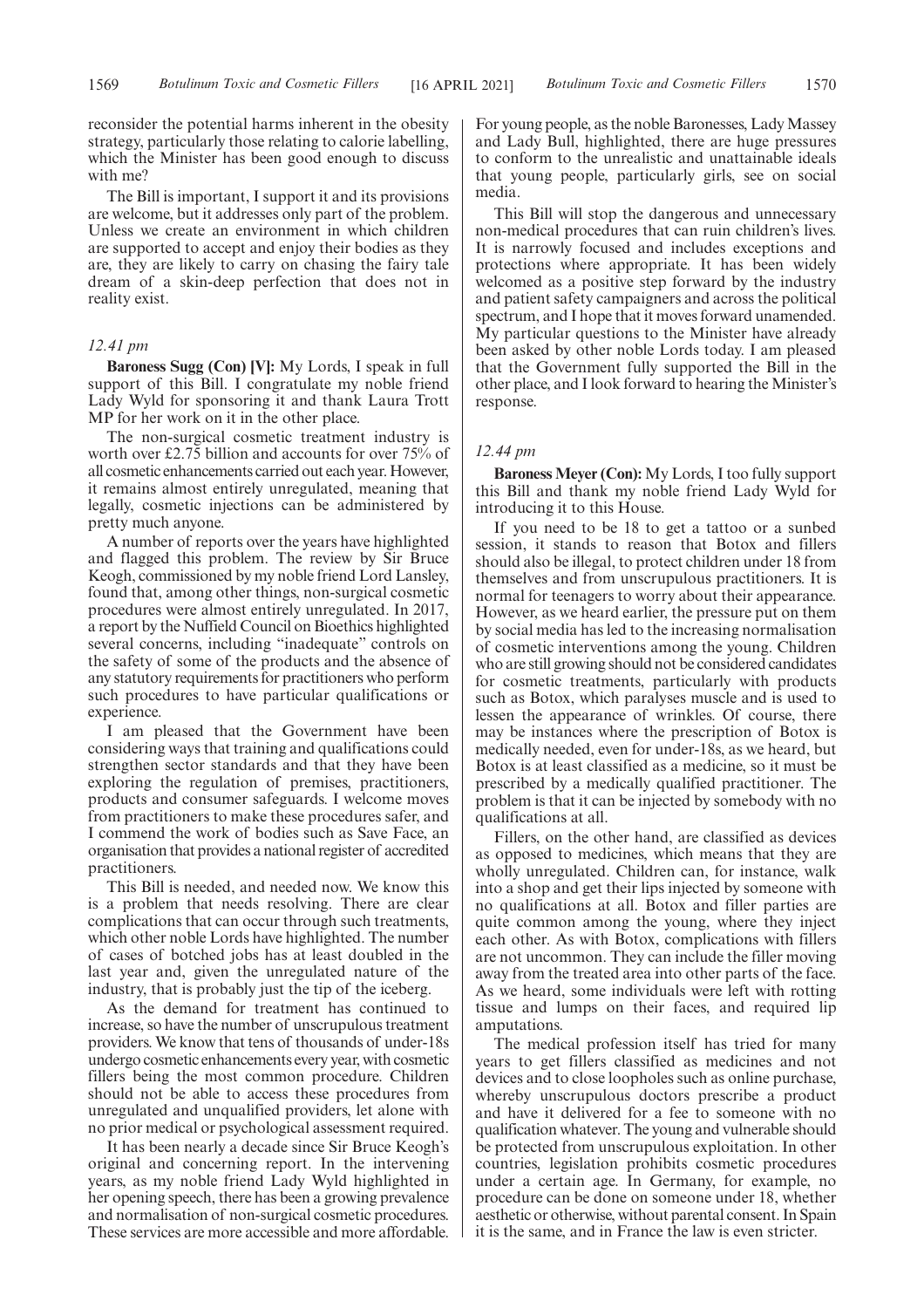reconsider the potential harms inherent in the obesity strategy, particularly those relating to calorie labelling, which the Minister has been good enough to discuss with me?

The Bill is important, I support it and its provisions are welcome, but it addresses only part of the problem. Unless we create an environment in which children are supported to accept and enjoy their bodies as they are, they are likely to carry on chasing the fairy tale dream of a skin-deep perfection that does not in reality exist.

# *12.41 pm*

**Baroness Sugg (Con) [V]:** My Lords, I speak in full support of this Bill. I congratulate my noble friend Lady Wyld for sponsoring it and thank Laura Trott MP for her work on it in the other place.

The non-surgical cosmetic treatment industry is worth over £2.75 billion and accounts for over  $75\%$  of all cosmetic enhancements carried out each year. However, it remains almost entirely unregulated, meaning that legally, cosmetic injections can be administered by pretty much anyone.

A number of reports over the years have highlighted and flagged this problem. The review by Sir Bruce Keogh, commissioned by my noble friend Lord Lansley, found that, among other things, non-surgical cosmetic procedures were almost entirely unregulated. In 2017, a report by the Nuffield Council on Bioethics highlighted several concerns, including "inadequate" controls on the safety of some of the products and the absence of any statutory requirements for practitioners who perform such procedures to have particular qualifications or experience.

I am pleased that the Government have been considering ways that training and qualifications could strengthen sector standards and that they have been exploring the regulation of premises, practitioners, products and consumer safeguards. I welcome moves from practitioners to make these procedures safer, and I commend the work of bodies such as Save Face, an organisation that provides a national register of accredited practitioners.

This Bill is needed, and needed now. We know this is a problem that needs resolving. There are clear complications that can occur through such treatments, which other noble Lords have highlighted. The number of cases of botched jobs has at least doubled in the last year and, given the unregulated nature of the industry, that is probably just the tip of the iceberg.

As the demand for treatment has continued to increase, so have the number of unscrupulous treatment providers. We know that tens of thousands of under-18s undergo cosmetic enhancements every year, with cosmetic fillers being the most common procedure. Children should not be able to access these procedures from unregulated and unqualified providers, let alone with no prior medical or psychological assessment required.

It has been nearly a decade since Sir Bruce Keogh's original and concerning report. In the intervening years, as my noble friend Lady Wyld highlighted in her opening speech, there has been a growing prevalence and normalisation of non-surgical cosmetic procedures. These services are more accessible and more affordable.

For young people, as the noble Baronesses, Lady Massey and Lady Bull, highlighted, there are huge pressures to conform to the unrealistic and unattainable ideals that young people, particularly girls, see on social media.

This Bill will stop the dangerous and unnecessary non-medical procedures that can ruin children's lives. It is narrowly focused and includes exceptions and protections where appropriate. It has been widely welcomed as a positive step forward by the industry and patient safety campaigners and across the political spectrum, and I hope that it moves forward unamended. My particular questions to the Minister have already been asked by other noble Lords today. I am pleased that the Government fully supported the Bill in the other place, and I look forward to hearing the Minister's response.

#### *12.44 pm*

**Baroness Meyer (Con):** My Lords, I too fully support this Bill and thank my noble friend Lady Wyld for introducing it to this House.

If you need to be 18 to get a tattoo or a sunbed session, it stands to reason that Botox and fillers should also be illegal, to protect children under 18 from themselves and from unscrupulous practitioners. It is normal for teenagers to worry about their appearance. However, as we heard earlier, the pressure put on them by social media has led to the increasing normalisation of cosmetic interventions among the young. Children who are still growing should not be considered candidates for cosmetic treatments, particularly with products such as Botox, which paralyses muscle and is used to lessen the appearance of wrinkles. Of course, there may be instances where the prescription of Botox is medically needed, even for under-18s, as we heard, but Botox is at least classified as a medicine, so it must be prescribed by a medically qualified practitioner. The problem is that it can be injected by somebody with no qualifications at all.

Fillers, on the other hand, are classified as devices as opposed to medicines, which means that they are wholly unregulated. Children can, for instance, walk into a shop and get their lips injected by someone with no qualifications at all. Botox and filler parties are quite common among the young, where they inject each other. As with Botox, complications with fillers are not uncommon. They can include the filler moving away from the treated area into other parts of the face. As we heard, some individuals were left with rotting tissue and lumps on their faces, and required lip amputations.

The medical profession itself has tried for many years to get fillers classified as medicines and not devices and to close loopholes such as online purchase, whereby unscrupulous doctors prescribe a product and have it delivered for a fee to someone with no qualification whatever. The young and vulnerable should be protected from unscrupulous exploitation. In other countries, legislation prohibits cosmetic procedures under a certain age. In Germany, for example, no procedure can be done on someone under 18, whether aesthetic or otherwise, without parental consent. In Spain it is the same, and in France the law is even stricter.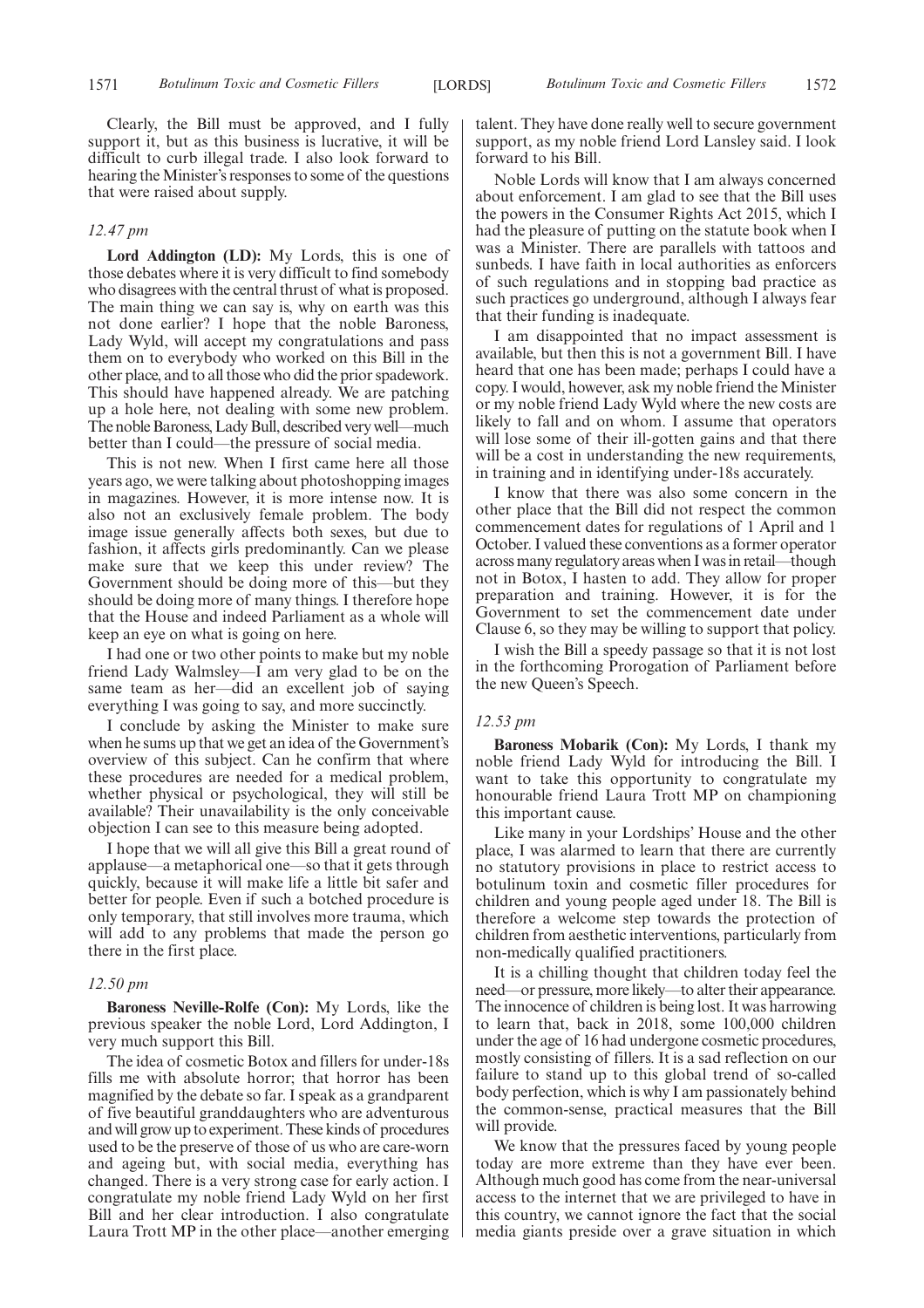Clearly, the Bill must be approved, and I fully support it, but as this business is lucrative, it will be difficult to curb illegal trade. I also look forward to hearing the Minister's responses to some of the questions that were raised about supply.

# *12.47 pm*

**Lord Addington (LD):** My Lords, this is one of those debates where it is very difficult to find somebody who disagrees with the central thrust of what is proposed. The main thing we can say is, why on earth was this not done earlier? I hope that the noble Baroness, Lady Wyld, will accept my congratulations and pass them on to everybody who worked on this Bill in the other place, and to all those who did the prior spadework. This should have happened already. We are patching up a hole here, not dealing with some new problem. The noble Baroness, Lady Bull, described very well—much better than I could—the pressure of social media.

This is not new. When I first came here all those years ago, we were talking about photoshopping images in magazines. However, it is more intense now. It is also not an exclusively female problem. The body image issue generally affects both sexes, but due to fashion, it affects girls predominantly. Can we please make sure that we keep this under review? The Government should be doing more of this—but they should be doing more of many things. I therefore hope that the House and indeed Parliament as a whole will keep an eye on what is going on here.

I had one or two other points to make but my noble friend Lady Walmsley—I am very glad to be on the same team as her—did an excellent job of saying everything I was going to say, and more succinctly.

I conclude by asking the Minister to make sure when he sums up that we get an idea of the Government's overview of this subject. Can he confirm that where these procedures are needed for a medical problem, whether physical or psychological, they will still be available? Their unavailability is the only conceivable objection I can see to this measure being adopted.

I hope that we will all give this Bill a great round of applause—a metaphorical one—so that it gets through quickly, because it will make life a little bit safer and better for people. Even if such a botched procedure is only temporary, that still involves more trauma, which will add to any problems that made the person go there in the first place.

#### *12.50 pm*

**Baroness Neville-Rolfe (Con):** My Lords, like the previous speaker the noble Lord, Lord Addington, I very much support this Bill.

The idea of cosmetic Botox and fillers for under-18s fills me with absolute horror; that horror has been magnified by the debate so far. I speak as a grandparent of five beautiful granddaughters who are adventurous and will grow up to experiment. These kinds of procedures used to be the preserve of those of us who are care-worn and ageing but, with social media, everything has changed. There is a very strong case for early action. I congratulate my noble friend Lady Wyld on her first Bill and her clear introduction. I also congratulate Laura Trott MP in the other place—another emerging talent. They have done really well to secure government support, as my noble friend Lord Lansley said. I look forward to his Bill.

Noble Lords will know that I am always concerned about enforcement. I am glad to see that the Bill uses the powers in the Consumer Rights Act 2015, which I had the pleasure of putting on the statute book when I was a Minister. There are parallels with tattoos and sunbeds. I have faith in local authorities as enforcers of such regulations and in stopping bad practice as such practices go underground, although I always fear that their funding is inadequate.

I am disappointed that no impact assessment is available, but then this is not a government Bill. I have heard that one has been made; perhaps I could have a copy. I would, however, ask my noble friend the Minister or my noble friend Lady Wyld where the new costs are likely to fall and on whom. I assume that operators will lose some of their ill-gotten gains and that there will be a cost in understanding the new requirements, in training and in identifying under-18s accurately.

I know that there was also some concern in the other place that the Bill did not respect the common commencement dates for regulations of 1 April and 1 October. I valued these conventions as a former operator across many regulatory areas when I was in retail—though not in Botox, I hasten to add. They allow for proper preparation and training. However, it is for the Government to set the commencement date under Clause 6, so they may be willing to support that policy.

I wish the Bill a speedy passage so that it is not lost in the forthcoming Prorogation of Parliament before the new Queen's Speech.

#### *12.53 pm*

**Baroness Mobarik (Con):** My Lords, I thank my noble friend Lady Wyld for introducing the Bill. I want to take this opportunity to congratulate my honourable friend Laura Trott MP on championing this important cause.

Like many in your Lordships' House and the other place, I was alarmed to learn that there are currently no statutory provisions in place to restrict access to botulinum toxin and cosmetic filler procedures for children and young people aged under 18. The Bill is therefore a welcome step towards the protection of children from aesthetic interventions, particularly from non-medically qualified practitioners.

It is a chilling thought that children today feel the need—or pressure, more likely—to alter their appearance. The innocence of children is being lost. It was harrowing to learn that, back in 2018, some 100,000 children under the age of 16 had undergone cosmetic procedures, mostly consisting of fillers. It is a sad reflection on our failure to stand up to this global trend of so-called body perfection, which is why I am passionately behind the common-sense, practical measures that the Bill will provide.

We know that the pressures faced by young people today are more extreme than they have ever been. Although much good has come from the near-universal access to the internet that we are privileged to have in this country, we cannot ignore the fact that the social media giants preside over a grave situation in which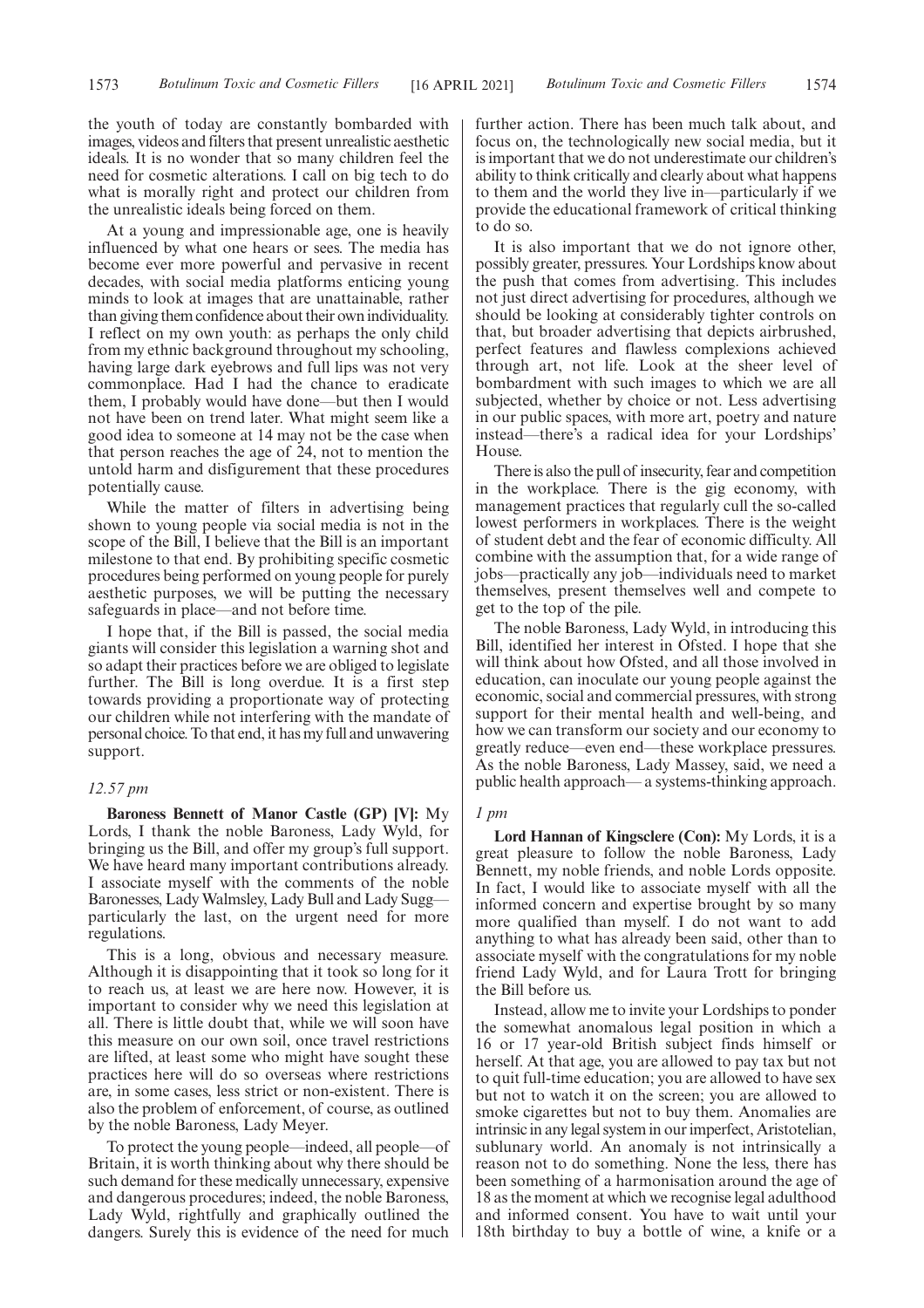the youth of today are constantly bombarded with images, videos and filters that present unrealistic aesthetic ideals. It is no wonder that so many children feel the need for cosmetic alterations. I call on big tech to do what is morally right and protect our children from the unrealistic ideals being forced on them.

At a young and impressionable age, one is heavily influenced by what one hears or sees. The media has become ever more powerful and pervasive in recent decades, with social media platforms enticing young minds to look at images that are unattainable, rather than giving them confidence about their own individuality. I reflect on my own youth: as perhaps the only child from my ethnic background throughout my schooling, having large dark eyebrows and full lips was not very commonplace. Had I had the chance to eradicate them, I probably would have done—but then I would not have been on trend later. What might seem like a good idea to someone at 14 may not be the case when that person reaches the age of 24, not to mention the untold harm and disfigurement that these procedures potentially cause.

While the matter of filters in advertising being shown to young people via social media is not in the scope of the Bill, I believe that the Bill is an important milestone to that end. By prohibiting specific cosmetic procedures being performed on young people for purely aesthetic purposes, we will be putting the necessary safeguards in place—and not before time.

I hope that, if the Bill is passed, the social media giants will consider this legislation a warning shot and so adapt their practices before we are obliged to legislate further. The Bill is long overdue. It is a first step towards providing a proportionate way of protecting our children while not interfering with the mandate of personal choice. To that end, it has my full and unwavering support.

# *12.57 pm*

**Baroness Bennett of Manor Castle (GP) [V]:** My Lords, I thank the noble Baroness, Lady Wyld, for bringing us the Bill, and offer my group's full support. We have heard many important contributions already. I associate myself with the comments of the noble Baronesses, Lady Walmsley, Lady Bull and Lady Sugg particularly the last, on the urgent need for more regulations.

This is a long, obvious and necessary measure. Although it is disappointing that it took so long for it to reach us, at least we are here now. However, it is important to consider why we need this legislation at all. There is little doubt that, while we will soon have this measure on our own soil, once travel restrictions are lifted, at least some who might have sought these practices here will do so overseas where restrictions are, in some cases, less strict or non-existent. There is also the problem of enforcement, of course, as outlined by the noble Baroness, Lady Meyer.

To protect the young people—indeed, all people—of Britain, it is worth thinking about why there should be such demand for these medically unnecessary, expensive and dangerous procedures; indeed, the noble Baroness, Lady Wyld, rightfully and graphically outlined the dangers. Surely this is evidence of the need for much

further action. There has been much talk about, and focus on, the technologically new social media, but it is important that we do not underestimate our children's ability to think critically and clearly about what happens to them and the world they live in—particularly if we provide the educational framework of critical thinking to do so.

It is also important that we do not ignore other, possibly greater, pressures. Your Lordships know about the push that comes from advertising. This includes not just direct advertising for procedures, although we should be looking at considerably tighter controls on that, but broader advertising that depicts airbrushed, perfect features and flawless complexions achieved through art, not life. Look at the sheer level of bombardment with such images to which we are all subjected, whether by choice or not. Less advertising in our public spaces, with more art, poetry and nature instead—there's a radical idea for your Lordships' House.

There is also the pull of insecurity, fear and competition in the workplace. There is the gig economy, with management practices that regularly cull the so-called lowest performers in workplaces. There is the weight of student debt and the fear of economic difficulty. All combine with the assumption that, for a wide range of jobs—practically any job—individuals need to market themselves, present themselves well and compete to get to the top of the pile.

The noble Baroness, Lady Wyld, in introducing this Bill, identified her interest in Ofsted. I hope that she will think about how Ofsted, and all those involved in education, can inoculate our young people against the economic, social and commercial pressures, with strong support for their mental health and well-being, and how we can transform our society and our economy to greatly reduce—even end—these workplace pressures. As the noble Baroness, Lady Massey, said, we need a public health approach— a systems-thinking approach.

#### *1 pm*

**Lord Hannan of Kingsclere (Con):** My Lords, it is a great pleasure to follow the noble Baroness, Lady Bennett, my noble friends, and noble Lords opposite. In fact, I would like to associate myself with all the informed concern and expertise brought by so many more qualified than myself. I do not want to add anything to what has already been said, other than to associate myself with the congratulations for my noble friend Lady Wyld, and for Laura Trott for bringing the Bill before us.

Instead, allow me to invite your Lordships to ponder the somewhat anomalous legal position in which a 16 or 17 year-old British subject finds himself or herself. At that age, you are allowed to pay tax but not to quit full-time education; you are allowed to have sex but not to watch it on the screen; you are allowed to smoke cigarettes but not to buy them. Anomalies are intrinsic in any legal system in our imperfect, Aristotelian, sublunary world. An anomaly is not intrinsically a reason not to do something. None the less, there has been something of a harmonisation around the age of 18 as the moment at which we recognise legal adulthood and informed consent. You have to wait until your 18th birthday to buy a bottle of wine, a knife or a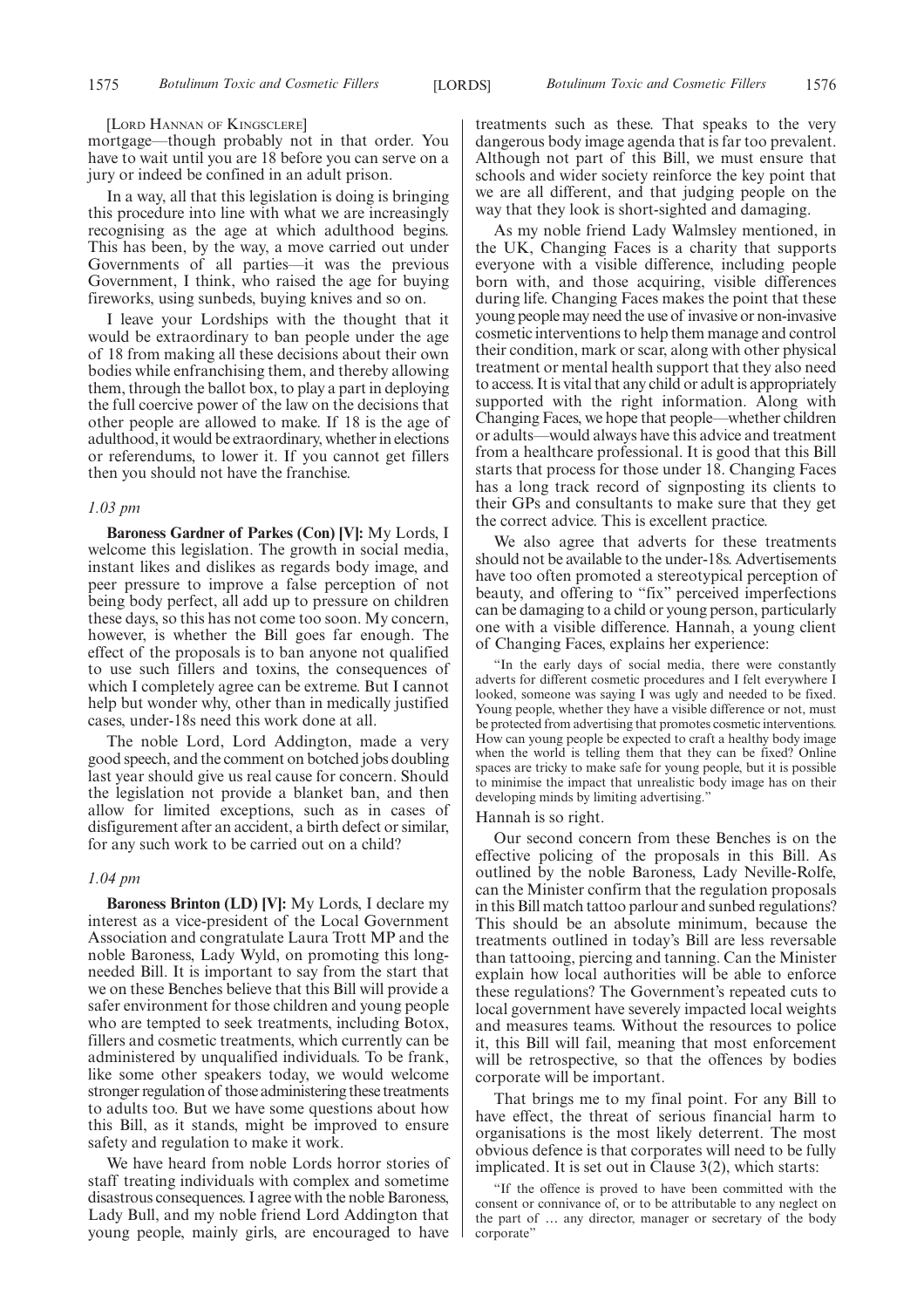#### [LORD HANNAN OF KINGSCLERE]

mortgage—though probably not in that order. You have to wait until you are 18 before you can serve on a jury or indeed be confined in an adult prison.

In a way, all that this legislation is doing is bringing this procedure into line with what we are increasingly recognising as the age at which adulthood begins. This has been, by the way, a move carried out under Governments of all parties—it was the previous Government, I think, who raised the age for buying fireworks, using sunbeds, buying knives and so on.

I leave your Lordships with the thought that it would be extraordinary to ban people under the age of 18 from making all these decisions about their own bodies while enfranchising them, and thereby allowing them, through the ballot box, to play a part in deploying the full coercive power of the law on the decisions that other people are allowed to make. If 18 is the age of adulthood, it would be extraordinary, whether in elections or referendums, to lower it. If you cannot get fillers then you should not have the franchise.

## *1.03 pm*

**Baroness Gardner of Parkes (Con) [V]:** My Lords, I welcome this legislation. The growth in social media, instant likes and dislikes as regards body image, and peer pressure to improve a false perception of not being body perfect, all add up to pressure on children these days, so this has not come too soon. My concern, however, is whether the Bill goes far enough. The effect of the proposals is to ban anyone not qualified to use such fillers and toxins, the consequences of which I completely agree can be extreme. But I cannot help but wonder why, other than in medically justified cases, under-18s need this work done at all.

The noble Lord, Lord Addington, made a very good speech, and the comment on botched jobs doubling last year should give us real cause for concern. Should the legislation not provide a blanket ban, and then allow for limited exceptions, such as in cases of disfigurement after an accident, a birth defect or similar, for any such work to be carried out on a child?

#### *1.04 pm*

**Baroness Brinton (LD) [V]:** My Lords, I declare my interest as a vice-president of the Local Government Association and congratulate Laura Trott MP and the noble Baroness, Lady Wyld, on promoting this longneeded Bill. It is important to say from the start that we on these Benches believe that this Bill will provide a safer environment for those children and young people who are tempted to seek treatments, including Botox, fillers and cosmetic treatments, which currently can be administered by unqualified individuals. To be frank, like some other speakers today, we would welcome stronger regulation of those administering these treatments to adults too. But we have some questions about how this Bill, as it stands, might be improved to ensure safety and regulation to make it work.

We have heard from noble Lords horror stories of staff treating individuals with complex and sometime disastrous consequences. I agree with the noble Baroness, Lady Bull, and my noble friend Lord Addington that young people, mainly girls, are encouraged to have treatments such as these. That speaks to the very dangerous body image agenda that is far too prevalent. Although not part of this Bill, we must ensure that schools and wider society reinforce the key point that we are all different, and that judging people on the way that they look is short-sighted and damaging.

As my noble friend Lady Walmsley mentioned, in the UK, Changing Faces is a charity that supports everyone with a visible difference, including people born with, and those acquiring, visible differences during life. Changing Faces makes the point that these young people may need the use of invasive or non-invasive cosmetic interventions to help them manage and control their condition, mark or scar, along with other physical treatment or mental health support that they also need to access. It is vital that any child or adult is appropriately supported with the right information. Along with Changing Faces, we hope that people—whether children or adults—would always have this advice and treatment from a healthcare professional. It is good that this Bill starts that process for those under 18. Changing Faces has a long track record of signposting its clients to their GPs and consultants to make sure that they get the correct advice. This is excellent practice.

We also agree that adverts for these treatments should not be available to the under-18s. Advertisements have too often promoted a stereotypical perception of beauty, and offering to "fix" perceived imperfections can be damaging to a child or young person, particularly one with a visible difference. Hannah, a young client of Changing Faces, explains her experience:

"In the early days of social media, there were constantly adverts for different cosmetic procedures and I felt everywhere I looked, someone was saying I was ugly and needed to be fixed. Young people, whether they have a visible difference or not, must be protected from advertising that promotes cosmetic interventions. How can young people be expected to craft a healthy body image when the world is telling them that they can be fixed? Online spaces are tricky to make safe for young people, but it is possible to minimise the impact that unrealistic body image has on their developing minds by limiting advertising."

#### Hannah is so right.

Our second concern from these Benches is on the effective policing of the proposals in this Bill. As outlined by the noble Baroness, Lady Neville-Rolfe, can the Minister confirm that the regulation proposals in this Bill match tattoo parlour and sunbed regulations? This should be an absolute minimum, because the treatments outlined in today's Bill are less reversable than tattooing, piercing and tanning. Can the Minister explain how local authorities will be able to enforce these regulations? The Government's repeated cuts to local government have severely impacted local weights and measures teams. Without the resources to police it, this Bill will fail, meaning that most enforcement will be retrospective, so that the offences by bodies corporate will be important.

That brings me to my final point. For any Bill to have effect, the threat of serious financial harm to organisations is the most likely deterrent. The most obvious defence is that corporates will need to be fully implicated. It is set out in Clause 3(2), which starts:

"If the offence is proved to have been committed with the consent or connivance of, or to be attributable to any neglect on the part of … any director, manager or secretary of the body corporate"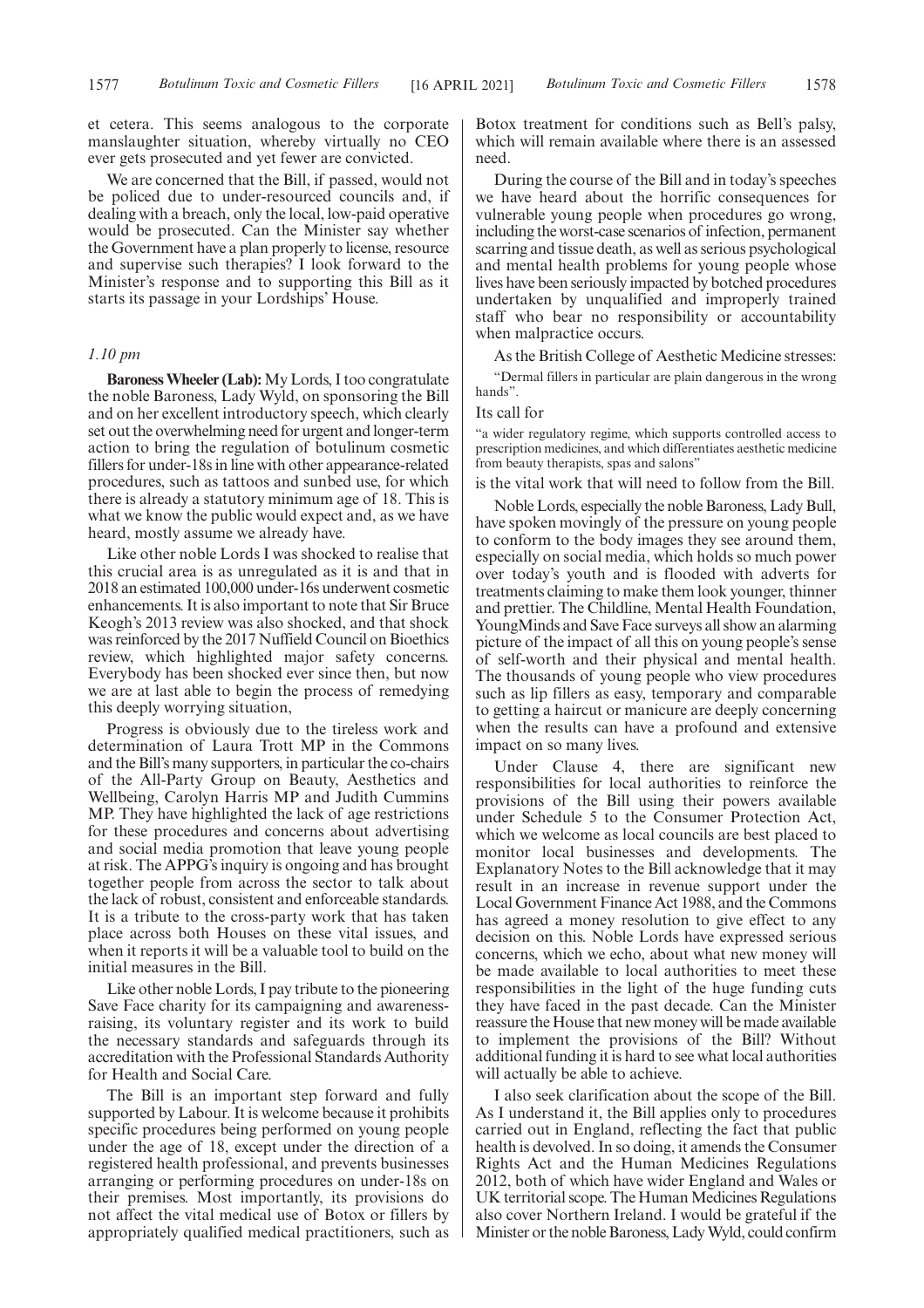et cetera. This seems analogous to the corporate manslaughter situation, whereby virtually no CEO ever gets prosecuted and yet fewer are convicted.

We are concerned that the Bill, if passed, would not be policed due to under-resourced councils and, if dealing with a breach, only the local, low-paid operative would be prosecuted. Can the Minister say whether the Government have a plan properly to license, resource and supervise such therapies? I look forward to the Minister's response and to supporting this Bill as it starts its passage in your Lordships' House.

# *1.10 pm*

**Baroness Wheeler (Lab):**My Lords, I too congratulate the noble Baroness, Lady Wyld, on sponsoring the Bill and on her excellent introductory speech, which clearly set out the overwhelming need for urgent and longer-term action to bring the regulation of botulinum cosmetic fillers for under-18s in line with other appearance-related procedures, such as tattoos and sunbed use, for which there is already a statutory minimum age of 18. This is what we know the public would expect and, as we have heard, mostly assume we already have.

Like other noble Lords I was shocked to realise that this crucial area is as unregulated as it is and that in 2018 an estimated 100,000 under-16s underwent cosmetic enhancements. It is also important to note that Sir Bruce Keogh's 2013 review was also shocked, and that shock was reinforced by the 2017 Nuffield Council on Bioethics review, which highlighted major safety concerns. Everybody has been shocked ever since then, but now we are at last able to begin the process of remedying this deeply worrying situation,

Progress is obviously due to the tireless work and determination of Laura Trott MP in the Commons and the Bill's many supporters, in particular the co-chairs of the All-Party Group on Beauty, Aesthetics and Wellbeing, Carolyn Harris MP and Judith Cummins MP. They have highlighted the lack of age restrictions for these procedures and concerns about advertising and social media promotion that leave young people at risk. The APPG's inquiry is ongoing and has brought together people from across the sector to talk about the lack of robust, consistent and enforceable standards. It is a tribute to the cross-party work that has taken place across both Houses on these vital issues, and when it reports it will be a valuable tool to build on the initial measures in the Bill.

Like other noble Lords, I pay tribute to the pioneering Save Face charity for its campaigning and awarenessraising, its voluntary register and its work to build the necessary standards and safeguards through its accreditation with the Professional Standards Authority for Health and Social Care.

The Bill is an important step forward and fully supported by Labour. It is welcome because it prohibits specific procedures being performed on young people under the age of 18, except under the direction of a registered health professional, and prevents businesses arranging or performing procedures on under-18s on their premises. Most importantly, its provisions do not affect the vital medical use of Botox or fillers by appropriately qualified medical practitioners, such as Botox treatment for conditions such as Bell's palsy, which will remain available where there is an assessed need.

During the course of the Bill and in today's speeches we have heard about the horrific consequences for vulnerable young people when procedures go wrong, including the worst-case scenarios of infection, permanent scarring and tissue death, as well as serious psychological and mental health problems for young people whose lives have been seriously impacted by botched procedures undertaken by unqualified and improperly trained staff who bear no responsibility or accountability when malpractice occurs.

As the British College of Aesthetic Medicine stresses:

"Dermal fillers in particular are plain dangerous in the wrong hands".

#### Its call for

"a wider regulatory regime, which supports controlled access to prescription medicines, and which differentiates aesthetic medicine from beauty therapists, spas and salons"

is the vital work that will need to follow from the Bill.

Noble Lords, especially the noble Baroness, Lady Bull, have spoken movingly of the pressure on young people to conform to the body images they see around them, especially on social media, which holds so much power over today's youth and is flooded with adverts for treatments claiming to make them look younger, thinner and prettier. The Childline, Mental Health Foundation, YoungMinds and Save Face surveys all show an alarming picture of the impact of all this on young people's sense of self-worth and their physical and mental health. The thousands of young people who view procedures such as lip fillers as easy, temporary and comparable to getting a haircut or manicure are deeply concerning when the results can have a profound and extensive impact on so many lives.

Under Clause 4, there are significant new responsibilities for local authorities to reinforce the provisions of the Bill using their powers available under Schedule 5 to the Consumer Protection Act, which we welcome as local councils are best placed to monitor local businesses and developments. The Explanatory Notes to the Bill acknowledge that it may result in an increase in revenue support under the Local Government Finance Act 1988, and the Commons has agreed a money resolution to give effect to any decision on this. Noble Lords have expressed serious concerns, which we echo, about what new money will be made available to local authorities to meet these responsibilities in the light of the huge funding cuts they have faced in the past decade. Can the Minister reassure the House that new money will be made available to implement the provisions of the Bill? Without additional funding it is hard to see what local authorities will actually be able to achieve.

I also seek clarification about the scope of the Bill. As I understand it, the Bill applies only to procedures carried out in England, reflecting the fact that public health is devolved. In so doing, it amends the Consumer Rights Act and the Human Medicines Regulations 2012, both of which have wider England and Wales or UK territorial scope. The Human Medicines Regulations also cover Northern Ireland. I would be grateful if the Minister or the noble Baroness, Lady Wyld, could confirm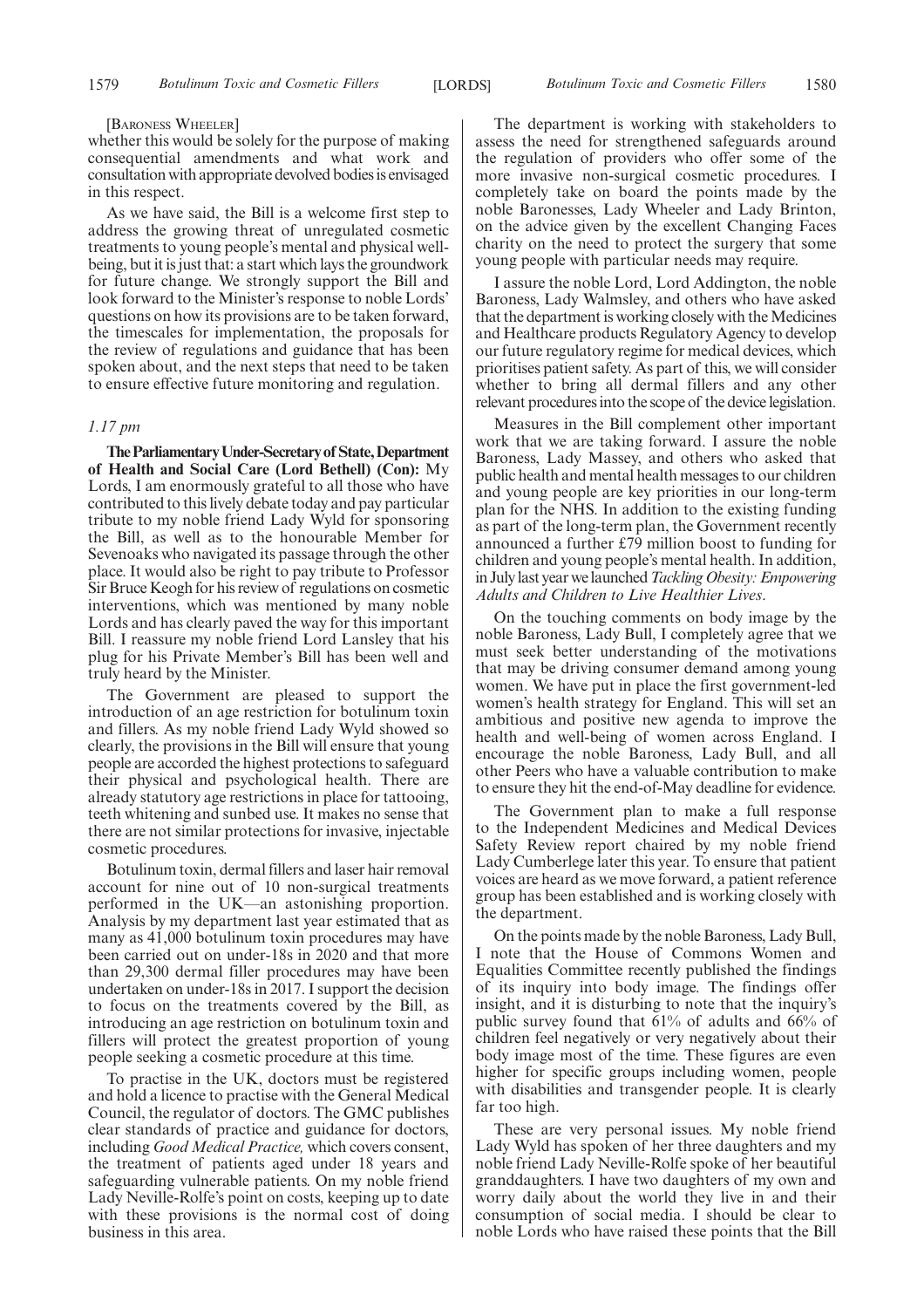#### [BARONESS WHEELER]

whether this would be solely for the purpose of making consequential amendments and what work and consultation with appropriate devolved bodies is envisaged in this respect.

As we have said, the Bill is a welcome first step to address the growing threat of unregulated cosmetic treatments to young people's mental and physical wellbeing, but it is just that: a start which lays the groundwork for future change. We strongly support the Bill and look forward to the Minister's response to noble Lords' questions on how its provisions are to be taken forward, the timescales for implementation, the proposals for the review of regulations and guidance that has been spoken about, and the next steps that need to be taken to ensure effective future monitoring and regulation.

# *1.17 pm*

**TheParliamentaryUnder-Secretaryof State,Department of Health and Social Care (Lord Bethell) (Con):** My Lords, I am enormously grateful to all those who have contributed to this lively debate today and pay particular tribute to my noble friend Lady Wyld for sponsoring the Bill, as well as to the honourable Member for Sevenoaks who navigated its passage through the other place. It would also be right to pay tribute to Professor Sir Bruce Keogh for his review of regulations on cosmetic interventions, which was mentioned by many noble Lords and has clearly paved the way for this important Bill. I reassure my noble friend Lord Lansley that his plug for his Private Member's Bill has been well and truly heard by the Minister.

The Government are pleased to support the introduction of an age restriction for botulinum toxin and fillers. As my noble friend Lady Wyld showed so clearly, the provisions in the Bill will ensure that young people are accorded the highest protections to safeguard their physical and psychological health. There are already statutory age restrictions in place for tattooing, teeth whitening and sunbed use. It makes no sense that there are not similar protections for invasive, injectable cosmetic procedures.

Botulinum toxin, dermal fillers and laser hair removal account for nine out of 10 non-surgical treatments performed in the UK—an astonishing proportion. Analysis by my department last year estimated that as many as 41,000 botulinum toxin procedures may have been carried out on under-18s in 2020 and that more than 29,300 dermal filler procedures may have been undertaken on under-18s in 2017. I support the decision to focus on the treatments covered by the Bill, as introducing an age restriction on botulinum toxin and fillers will protect the greatest proportion of young people seeking a cosmetic procedure at this time.

To practise in the UK, doctors must be registered and hold a licence to practise with the General Medical Council, the regulator of doctors. The GMC publishes clear standards of practice and guidance for doctors, including *Good Medical Practice,* which covers consent, the treatment of patients aged under 18 years and safeguarding vulnerable patients. On my noble friend Lady Neville-Rolfe's point on costs, keeping up to date with these provisions is the normal cost of doing business in this area.

The department is working with stakeholders to assess the need for strengthened safeguards around the regulation of providers who offer some of the more invasive non-surgical cosmetic procedures. I completely take on board the points made by the noble Baronesses, Lady Wheeler and Lady Brinton, on the advice given by the excellent Changing Faces charity on the need to protect the surgery that some young people with particular needs may require.

I assure the noble Lord, Lord Addington, the noble Baroness, Lady Walmsley, and others who have asked that the department is working closely with the Medicines and Healthcare products Regulatory Agency to develop our future regulatory regime for medical devices, which prioritises patient safety. As part of this, we will consider whether to bring all dermal fillers and any other relevant procedures into the scope of the device legislation.

Measures in the Bill complement other important work that we are taking forward. I assure the noble Baroness, Lady Massey, and others who asked that public health and mental health messages to our children and young people are key priorities in our long-term plan for the NHS. In addition to the existing funding as part of the long-term plan, the Government recently announced a further £79 million boost to funding for children and young people's mental health. In addition, in July last year we launched*Tackling Obesity: Empowering Adults and Children to Live Healthier Lives*.

On the touching comments on body image by the noble Baroness, Lady Bull, I completely agree that we must seek better understanding of the motivations that may be driving consumer demand among young women. We have put in place the first government-led women's health strategy for England. This will set an ambitious and positive new agenda to improve the health and well-being of women across England. I encourage the noble Baroness, Lady Bull, and all other Peers who have a valuable contribution to make to ensure they hit the end-of-May deadline for evidence.

The Government plan to make a full response to the Independent Medicines and Medical Devices Safety Review report chaired by my noble friend Lady Cumberlege later this year. To ensure that patient voices are heard as we move forward, a patient reference group has been established and is working closely with the department.

On the points made by the noble Baroness, Lady Bull, I note that the House of Commons Women and Equalities Committee recently published the findings of its inquiry into body image. The findings offer insight, and it is disturbing to note that the inquiry's public survey found that 61% of adults and 66% of children feel negatively or very negatively about their body image most of the time. These figures are even higher for specific groups including women, people with disabilities and transgender people. It is clearly far too high.

These are very personal issues. My noble friend Lady Wyld has spoken of her three daughters and my noble friend Lady Neville-Rolfe spoke of her beautiful granddaughters. I have two daughters of my own and worry daily about the world they live in and their consumption of social media. I should be clear to noble Lords who have raised these points that the Bill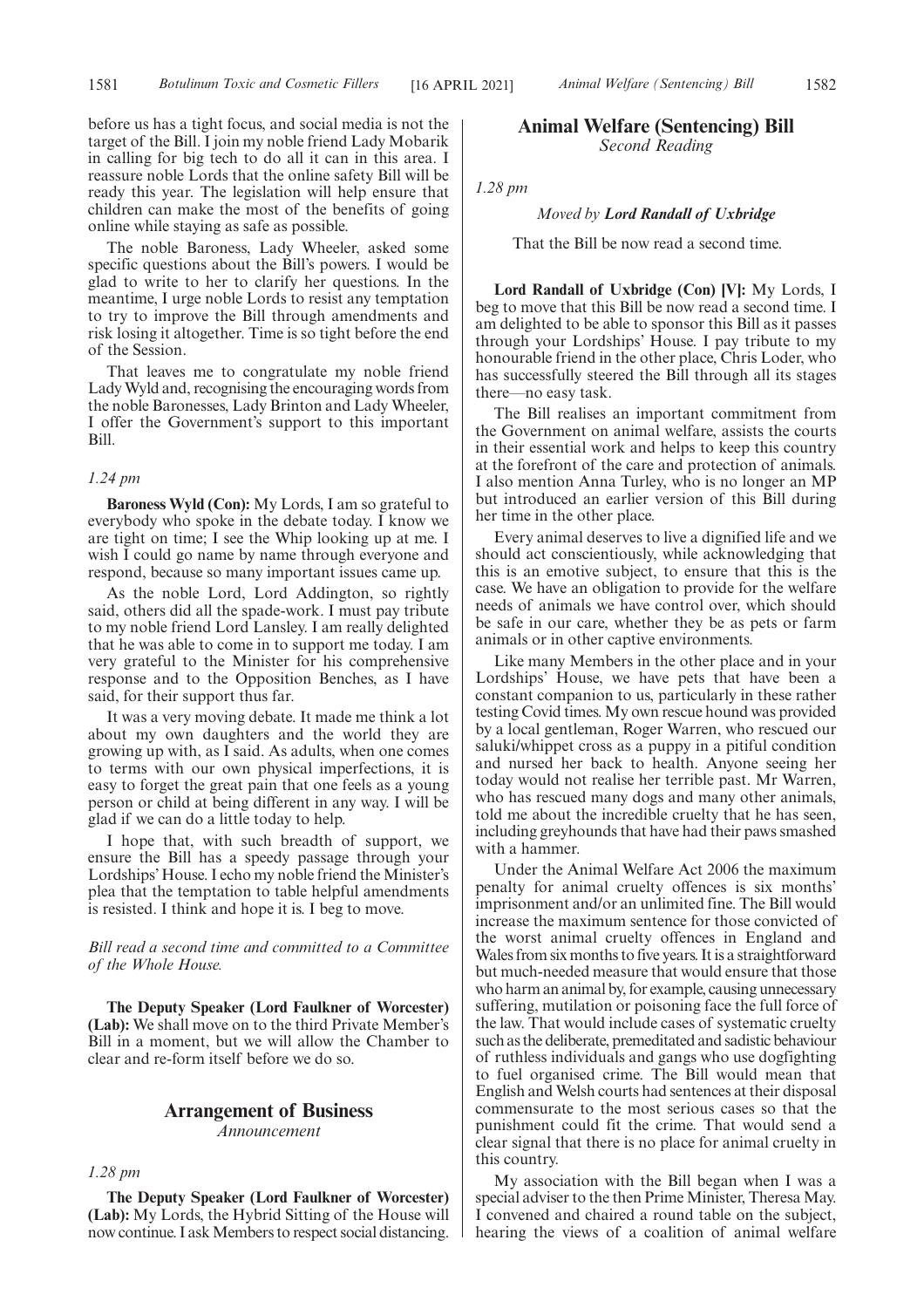before us has a tight focus, and social media is not the target of the Bill. I join my noble friend Lady Mobarik in calling for big tech to do all it can in this area. I reassure noble Lords that the online safety Bill will be ready this year. The legislation will help ensure that children can make the most of the benefits of going online while staying as safe as possible.

The noble Baroness, Lady Wheeler, asked some specific questions about the Bill's powers. I would be glad to write to her to clarify her questions. In the meantime, I urge noble Lords to resist any temptation to try to improve the Bill through amendments and risk losing it altogether. Time is so tight before the end of the Session.

That leaves me to congratulate my noble friend Lady Wyld and, recognising the encouraging words from the noble Baronesses, Lady Brinton and Lady Wheeler, I offer the Government's support to this important Bill.

#### *1.24 pm*

**Baroness Wyld (Con):** My Lords, I am so grateful to everybody who spoke in the debate today. I know we are tight on time; I see the Whip looking up at me. I wish I could go name by name through everyone and respond, because so many important issues came up.

As the noble Lord, Lord Addington, so rightly said, others did all the spade-work. I must pay tribute to my noble friend Lord Lansley. I am really delighted that he was able to come in to support me today. I am very grateful to the Minister for his comprehensive response and to the Opposition Benches, as I have said, for their support thus far.

It was a very moving debate. It made me think a lot about my own daughters and the world they are growing up with, as I said. As adults, when one comes to terms with our own physical imperfections, it is easy to forget the great pain that one feels as a young person or child at being different in any way. I will be glad if we can do a little today to help.

I hope that, with such breadth of support, we ensure the Bill has a speedy passage through your Lordships' House. I echo my noble friend the Minister's plea that the temptation to table helpful amendments is resisted. I think and hope it is. I beg to move.

# *Bill read a second time and committed to a Committee of the Whole House.*

**The Deputy Speaker (Lord Faulkner of Worcester) (Lab):** We shall move on to the third Private Member's Bill in a moment, but we will allow the Chamber to clear and re-form itself before we do so.

# **Arrangement of Business**

*Announcement*

*1.28 pm*

**The Deputy Speaker (Lord Faulkner of Worcester) (Lab):** My Lords, the Hybrid Sitting of the House will now continue. I ask Members to respect social distancing.

# **Animal Welfare (Sentencing) Bill** *Second Reading*

*1.28 pm*

# *Moved by Lord Randall of Uxbridge*

That the Bill be now read a second time.

**Lord Randall of Uxbridge (Con) [V]:** My Lords, I beg to move that this Bill be now read a second time. I am delighted to be able to sponsor this Bill as it passes through your Lordships' House. I pay tribute to my honourable friend in the other place, Chris Loder, who has successfully steered the Bill through all its stages there—no easy task.

The Bill realises an important commitment from the Government on animal welfare, assists the courts in their essential work and helps to keep this country at the forefront of the care and protection of animals. I also mention Anna Turley, who is no longer an MP but introduced an earlier version of this Bill during her time in the other place.

Every animal deserves to live a dignified life and we should act conscientiously, while acknowledging that this is an emotive subject, to ensure that this is the case. We have an obligation to provide for the welfare needs of animals we have control over, which should be safe in our care, whether they be as pets or farm animals or in other captive environments.

Like many Members in the other place and in your Lordships' House, we have pets that have been a constant companion to us, particularly in these rather testing Covid times. My own rescue hound was provided by a local gentleman, Roger Warren, who rescued our saluki/whippet cross as a puppy in a pitiful condition and nursed her back to health. Anyone seeing her today would not realise her terrible past. Mr Warren, who has rescued many dogs and many other animals, told me about the incredible cruelty that he has seen, including greyhounds that have had their paws smashed with a hammer.

Under the Animal Welfare Act 2006 the maximum penalty for animal cruelty offences is six months' imprisonment and/or an unlimited fine. The Bill would increase the maximum sentence for those convicted of the worst animal cruelty offences in England and Wales from six months to five years. It is a straightforward but much-needed measure that would ensure that those who harm an animal by, for example, causing unnecessary suffering, mutilation or poisoning face the full force of the law. That would include cases of systematic cruelty such as the deliberate, premeditated and sadistic behaviour of ruthless individuals and gangs who use dogfighting to fuel organised crime. The Bill would mean that English and Welsh courts had sentences at their disposal commensurate to the most serious cases so that the punishment could fit the crime. That would send a clear signal that there is no place for animal cruelty in this country.

My association with the Bill began when I was a special adviser to the then Prime Minister, Theresa May. I convened and chaired a round table on the subject, hearing the views of a coalition of animal welfare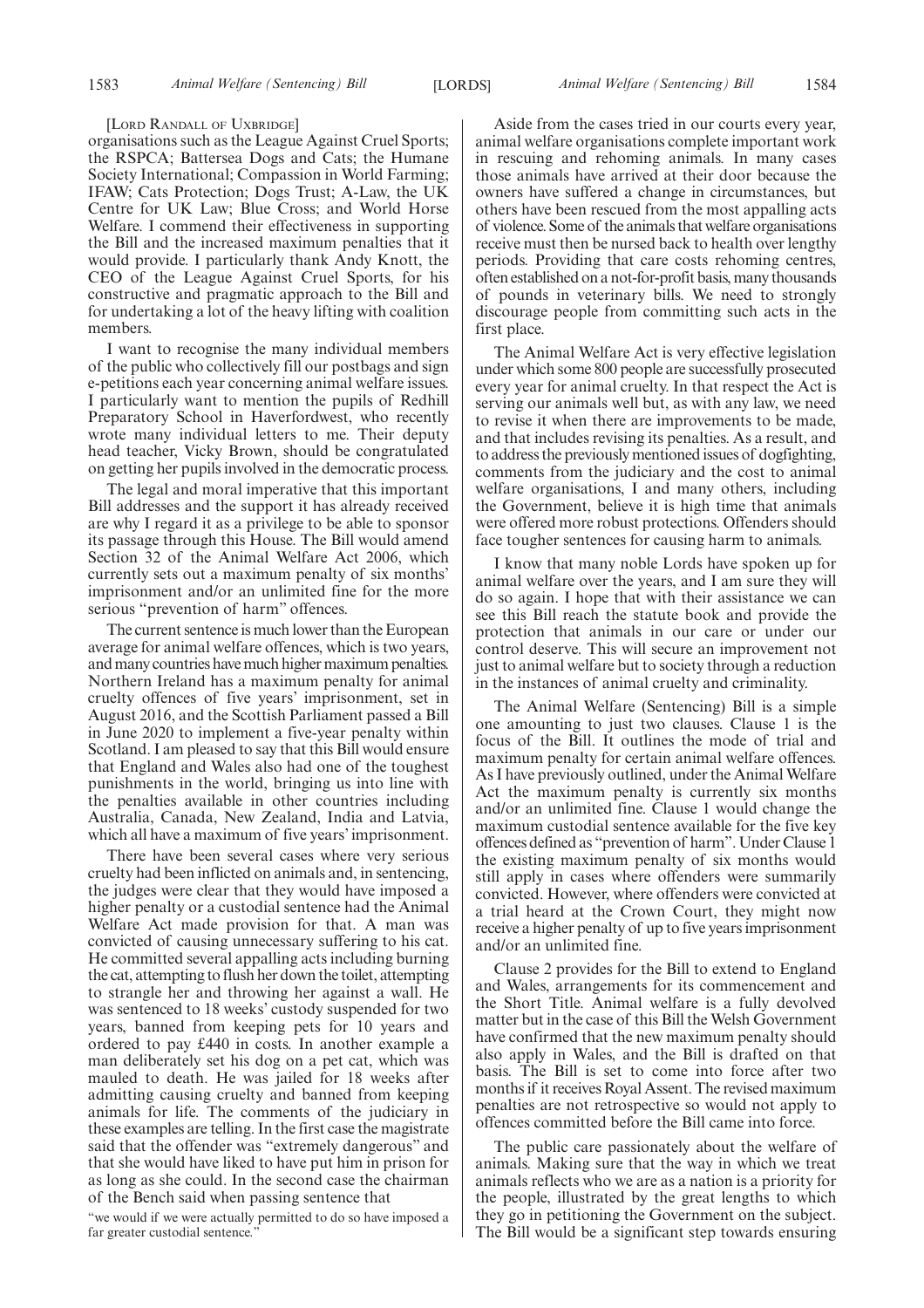#### [LORD RANDALL OF UXBRIDGE]

organisations such as the League Against Cruel Sports; the RSPCA; Battersea Dogs and Cats; the Humane Society International; Compassion in World Farming; IFAW; Cats Protection; Dogs Trust; A-Law, the UK Centre for UK Law; Blue Cross; and World Horse Welfare. I commend their effectiveness in supporting the Bill and the increased maximum penalties that it would provide. I particularly thank Andy Knott, the CEO of the League Against Cruel Sports, for his constructive and pragmatic approach to the Bill and for undertaking a lot of the heavy lifting with coalition members.

I want to recognise the many individual members of the public who collectively fill our postbags and sign e-petitions each year concerning animal welfare issues. I particularly want to mention the pupils of Redhill Preparatory School in Haverfordwest, who recently wrote many individual letters to me. Their deputy head teacher, Vicky Brown, should be congratulated on getting her pupils involved in the democratic process.

The legal and moral imperative that this important Bill addresses and the support it has already received are why I regard it as a privilege to be able to sponsor its passage through this House. The Bill would amend Section 32 of the Animal Welfare Act 2006, which currently sets out a maximum penalty of six months' imprisonment and/or an unlimited fine for the more serious "prevention of harm" offences.

The current sentence is much lower than the European average for animal welfare offences, which is two years, and many countries have much higher maximum penalties. Northern Ireland has a maximum penalty for animal cruelty offences of five years' imprisonment, set in August 2016, and the Scottish Parliament passed a Bill in June 2020 to implement a five-year penalty within Scotland. I am pleased to say that this Bill would ensure that England and Wales also had one of the toughest punishments in the world, bringing us into line with the penalties available in other countries including Australia, Canada, New Zealand, India and Latvia, which all have a maximum of five years' imprisonment.

There have been several cases where very serious cruelty had been inflicted on animals and, in sentencing, the judges were clear that they would have imposed a higher penalty or a custodial sentence had the Animal Welfare Act made provision for that. A man was convicted of causing unnecessary suffering to his cat. He committed several appalling acts including burning the cat, attempting to flush her down the toilet, attempting to strangle her and throwing her against a wall. He was sentenced to 18 weeks' custody suspended for two years, banned from keeping pets for 10 years and ordered to pay £440 in costs. In another example a man deliberately set his dog on a pet cat, which was mauled to death. He was jailed for 18 weeks after admitting causing cruelty and banned from keeping animals for life. The comments of the judiciary in these examples are telling. In the first case the magistrate said that the offender was "extremely dangerous" and that she would have liked to have put him in prison for as long as she could. In the second case the chairman of the Bench said when passing sentence that

"we would if we were actually permitted to do so have imposed a far greater custodial sentence.

Aside from the cases tried in our courts every year, animal welfare organisations complete important work in rescuing and rehoming animals. In many cases those animals have arrived at their door because the owners have suffered a change in circumstances, but others have been rescued from the most appalling acts of violence. Some of the animals that welfare organisations receive must then be nursed back to health over lengthy periods. Providing that care costs rehoming centres, often established on a not-for-profit basis, many thousands of pounds in veterinary bills. We need to strongly discourage people from committing such acts in the first place.

The Animal Welfare Act is very effective legislation under which some 800 people are successfully prosecuted every year for animal cruelty. In that respect the Act is serving our animals well but, as with any law, we need to revise it when there are improvements to be made, and that includes revising its penalties. As a result, and to address the previously mentioned issues of dogfighting, comments from the judiciary and the cost to animal welfare organisations, I and many others, including the Government, believe it is high time that animals were offered more robust protections. Offenders should face tougher sentences for causing harm to animals.

I know that many noble Lords have spoken up for animal welfare over the years, and I am sure they will do so again. I hope that with their assistance we can see this Bill reach the statute book and provide the protection that animals in our care or under our control deserve. This will secure an improvement not just to animal welfare but to society through a reduction in the instances of animal cruelty and criminality.

The Animal Welfare (Sentencing) Bill is a simple one amounting to just two clauses. Clause 1 is the focus of the Bill. It outlines the mode of trial and maximum penalty for certain animal welfare offences. As I have previously outlined, under the Animal Welfare Act the maximum penalty is currently six months and/or an unlimited fine. Clause 1 would change the maximum custodial sentence available for the five key offences defined as "prevention of harm". Under Clause 1 the existing maximum penalty of six months would still apply in cases where offenders were summarily convicted. However, where offenders were convicted at a trial heard at the Crown Court, they might now receive a higher penalty of up to five years imprisonment and/or an unlimited fine.

Clause 2 provides for the Bill to extend to England and Wales, arrangements for its commencement and the Short Title. Animal welfare is a fully devolved matter but in the case of this Bill the Welsh Government have confirmed that the new maximum penalty should also apply in Wales, and the Bill is drafted on that basis. The Bill is set to come into force after two months if it receives Royal Assent. The revised maximum penalties are not retrospective so would not apply to offences committed before the Bill came into force.

The public care passionately about the welfare of animals. Making sure that the way in which we treat animals reflects who we are as a nation is a priority for the people, illustrated by the great lengths to which they go in petitioning the Government on the subject. The Bill would be a significant step towards ensuring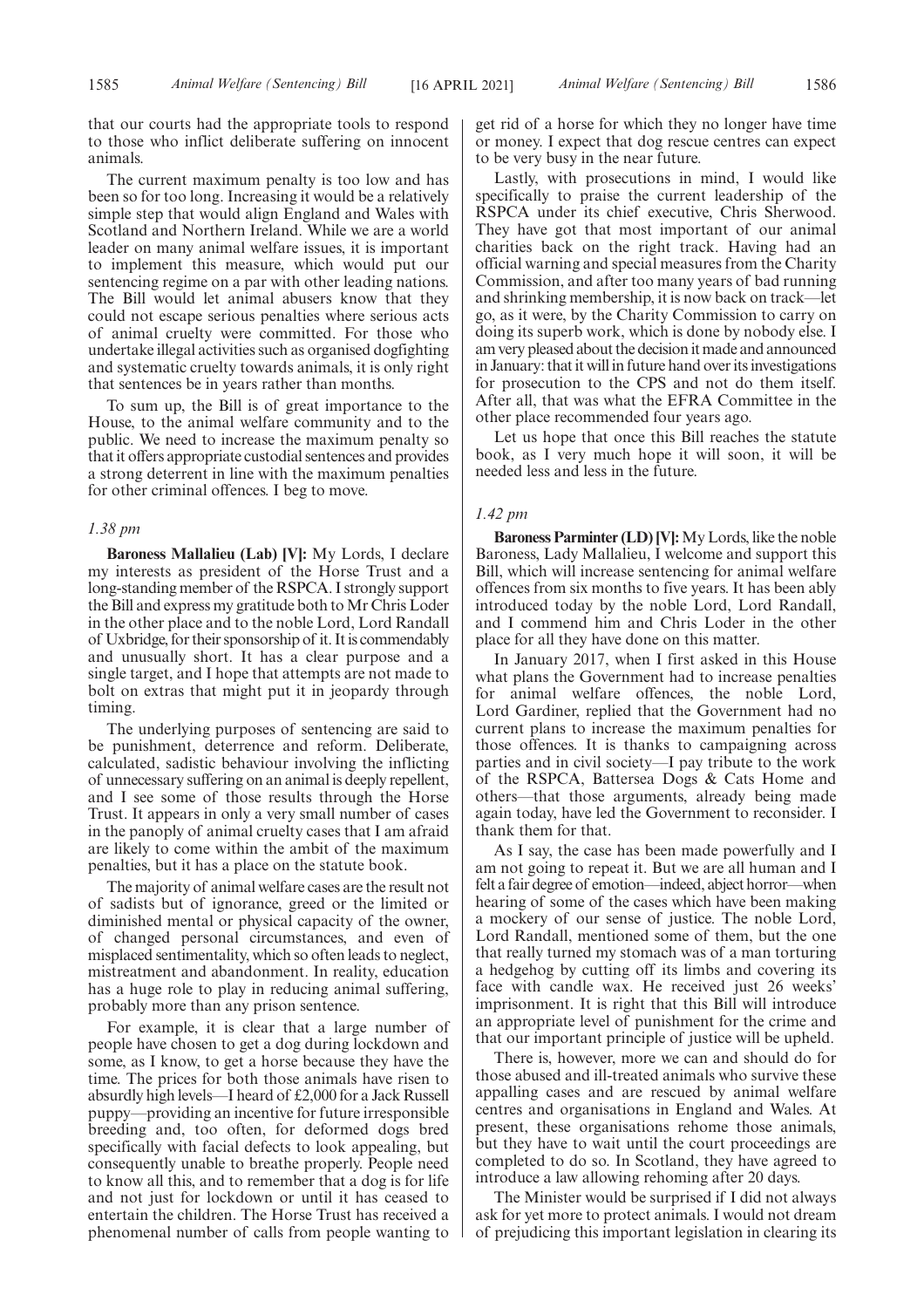that our courts had the appropriate tools to respond to those who inflict deliberate suffering on innocent animals.

The current maximum penalty is too low and has been so for too long. Increasing it would be a relatively simple step that would align England and Wales with Scotland and Northern Ireland. While we are a world leader on many animal welfare issues, it is important to implement this measure, which would put our sentencing regime on a par with other leading nations. The Bill would let animal abusers know that they could not escape serious penalties where serious acts of animal cruelty were committed. For those who undertake illegal activities such as organised dogfighting and systematic cruelty towards animals, it is only right that sentences be in years rather than months.

To sum up, the Bill is of great importance to the House, to the animal welfare community and to the public. We need to increase the maximum penalty so that it offers appropriate custodial sentences and provides a strong deterrent in line with the maximum penalties for other criminal offences. I beg to move.

#### *1.38 pm*

**Baroness Mallalieu (Lab) [V]:** My Lords, I declare my interests as president of the Horse Trust and a long-standing member of the RSPCA. I strongly support the Bill and express my gratitude both to Mr Chris Loder in the other place and to the noble Lord, Lord Randall of Uxbridge, for their sponsorship of it. It is commendably and unusually short. It has a clear purpose and a single target, and I hope that attempts are not made to bolt on extras that might put it in jeopardy through timing.

The underlying purposes of sentencing are said to be punishment, deterrence and reform. Deliberate, calculated, sadistic behaviour involving the inflicting of unnecessary suffering on an animal is deeply repellent, and I see some of those results through the Horse Trust. It appears in only a very small number of cases in the panoply of animal cruelty cases that I am afraid are likely to come within the ambit of the maximum penalties, but it has a place on the statute book.

The majority of animal welfare cases are the result not of sadists but of ignorance, greed or the limited or diminished mental or physical capacity of the owner, of changed personal circumstances, and even of misplaced sentimentality, which so often leads to neglect, mistreatment and abandonment. In reality, education has a huge role to play in reducing animal suffering, probably more than any prison sentence.

For example, it is clear that a large number of people have chosen to get a dog during lockdown and some, as I know, to get a horse because they have the time. The prices for both those animals have risen to absurdly high levels—I heard of £2,000 for a Jack Russell puppy—providing an incentive for future irresponsible breeding and, too often, for deformed dogs bred specifically with facial defects to look appealing, but consequently unable to breathe properly. People need to know all this, and to remember that a dog is for life and not just for lockdown or until it has ceased to entertain the children. The Horse Trust has received a phenomenal number of calls from people wanting to get rid of a horse for which they no longer have time or money. I expect that dog rescue centres can expect to be very busy in the near future.

Lastly, with prosecutions in mind, I would like specifically to praise the current leadership of the RSPCA under its chief executive, Chris Sherwood. They have got that most important of our animal charities back on the right track. Having had an official warning and special measures from the Charity Commission, and after too many years of bad running and shrinking membership, it is now back on track—let go, as it were, by the Charity Commission to carry on doing its superb work, which is done by nobody else. I am very pleased about the decision it made and announced in January: that it will in future hand over its investigations for prosecution to the CPS and not do them itself. After all, that was what the EFRA Committee in the other place recommended four years ago.

Let us hope that once this Bill reaches the statute book, as I very much hope it will soon, it will be needed less and less in the future.

#### *1.42 pm*

**Baroness Parminter (LD) [V]:**My Lords, like the noble Baroness, Lady Mallalieu, I welcome and support this Bill, which will increase sentencing for animal welfare offences from six months to five years. It has been ably introduced today by the noble Lord, Lord Randall, and I commend him and Chris Loder in the other place for all they have done on this matter.

In January 2017, when I first asked in this House what plans the Government had to increase penalties for animal welfare offences, the noble Lord, Lord Gardiner, replied that the Government had no current plans to increase the maximum penalties for those offences. It is thanks to campaigning across parties and in civil society—I pay tribute to the work of the RSPCA, Battersea Dogs & Cats Home and others—that those arguments, already being made again today, have led the Government to reconsider. I thank them for that.

As I say, the case has been made powerfully and I am not going to repeat it. But we are all human and I felt a fair degree of emotion—indeed, abject horror—when hearing of some of the cases which have been making a mockery of our sense of justice. The noble Lord, Lord Randall, mentioned some of them, but the one that really turned my stomach was of a man torturing a hedgehog by cutting off its limbs and covering its face with candle wax. He received just 26 weeks' imprisonment. It is right that this Bill will introduce an appropriate level of punishment for the crime and that our important principle of justice will be upheld.

There is, however, more we can and should do for those abused and ill-treated animals who survive these appalling cases and are rescued by animal welfare centres and organisations in England and Wales. At present, these organisations rehome those animals, but they have to wait until the court proceedings are completed to do so. In Scotland, they have agreed to introduce a law allowing rehoming after 20 days.

The Minister would be surprised if I did not always ask for yet more to protect animals. I would not dream of prejudicing this important legislation in clearing its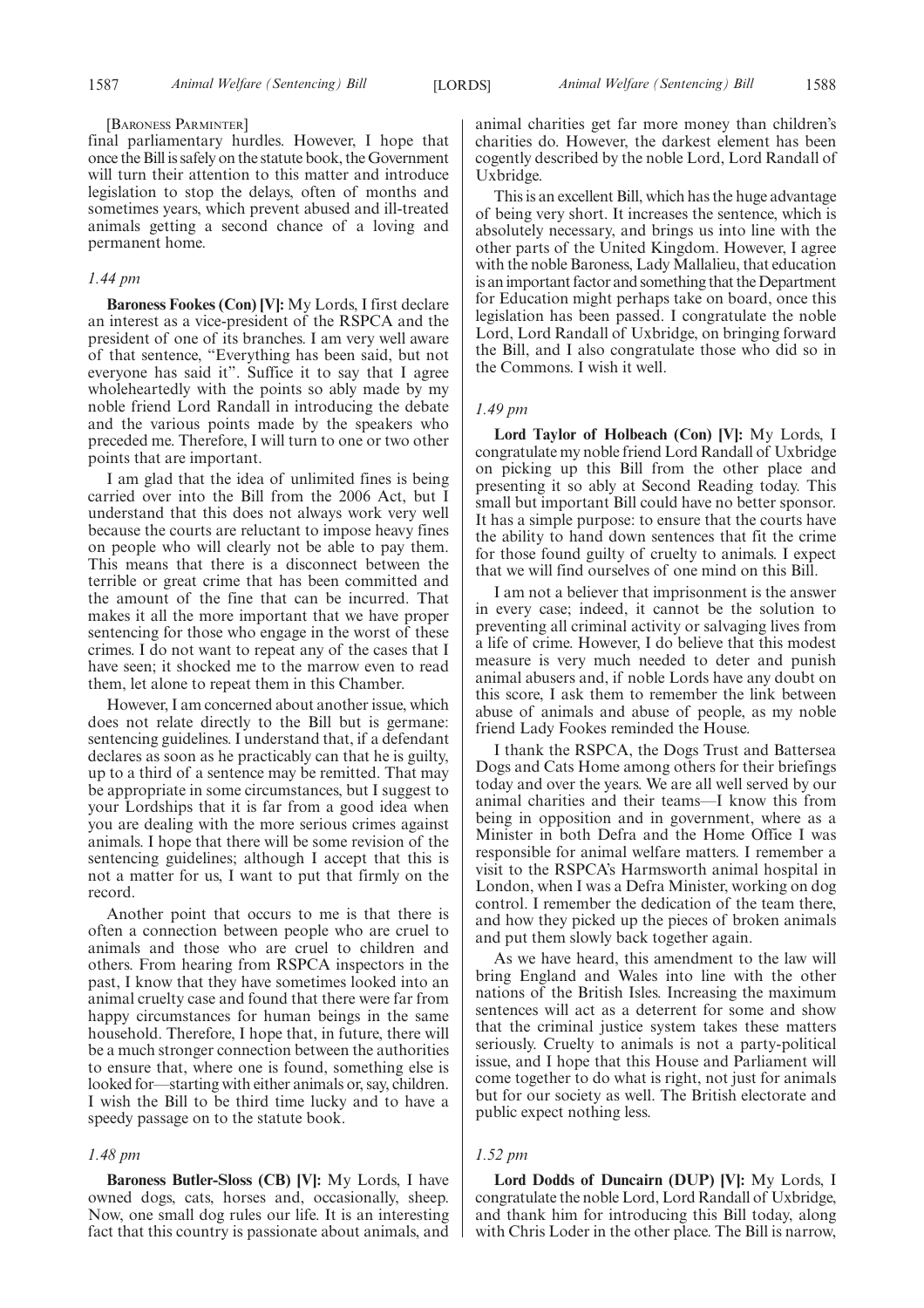#### [BARONESS PARMINTER]

final parliamentary hurdles. However, I hope that once the Bill is safely on the statute book, the Government will turn their attention to this matter and introduce legislation to stop the delays, often of months and sometimes years, which prevent abused and ill-treated animals getting a second chance of a loving and permanent home.

# *1.44 pm*

**Baroness Fookes (Con) [V]:** My Lords, I first declare an interest as a vice-president of the RSPCA and the president of one of its branches. I am very well aware of that sentence, "Everything has been said, but not everyone has said it". Suffice it to say that I agree wholeheartedly with the points so ably made by my noble friend Lord Randall in introducing the debate and the various points made by the speakers who preceded me. Therefore, I will turn to one or two other points that are important.

I am glad that the idea of unlimited fines is being carried over into the Bill from the 2006 Act, but I understand that this does not always work very well because the courts are reluctant to impose heavy fines on people who will clearly not be able to pay them. This means that there is a disconnect between the terrible or great crime that has been committed and the amount of the fine that can be incurred. That makes it all the more important that we have proper sentencing for those who engage in the worst of these crimes. I do not want to repeat any of the cases that I have seen; it shocked me to the marrow even to read them, let alone to repeat them in this Chamber.

However, I am concerned about another issue, which does not relate directly to the Bill but is germane: sentencing guidelines. I understand that, if a defendant declares as soon as he practicably can that he is guilty, up to a third of a sentence may be remitted. That may be appropriate in some circumstances, but I suggest to your Lordships that it is far from a good idea when you are dealing with the more serious crimes against animals. I hope that there will be some revision of the sentencing guidelines; although I accept that this is not a matter for us, I want to put that firmly on the record.

Another point that occurs to me is that there is often a connection between people who are cruel to animals and those who are cruel to children and others. From hearing from RSPCA inspectors in the past, I know that they have sometimes looked into an animal cruelty case and found that there were far from happy circumstances for human beings in the same household. Therefore, I hope that, in future, there will be a much stronger connection between the authorities to ensure that, where one is found, something else is looked for—starting with either animals or, say, children. I wish the Bill to be third time lucky and to have a speedy passage on to the statute book.

#### *1.48 pm*

**Baroness Butler-Sloss (CB) [V]:** My Lords, I have owned dogs, cats, horses and, occasionally, sheep. Now, one small dog rules our life. It is an interesting fact that this country is passionate about animals, and animal charities get far more money than children's charities do. However, the darkest element has been cogently described by the noble Lord, Lord Randall of Uxbridge.

This is an excellent Bill, which has the huge advantage of being very short. It increases the sentence, which is absolutely necessary, and brings us into line with the other parts of the United Kingdom. However, I agree with the noble Baroness, Lady Mallalieu, that education is an important factor and something that the Department for Education might perhaps take on board, once this legislation has been passed. I congratulate the noble Lord, Lord Randall of Uxbridge, on bringing forward the Bill, and I also congratulate those who did so in the Commons. I wish it well.

#### *1.49 pm*

**Lord Taylor of Holbeach (Con) [V]:** My Lords, I congratulate my noble friend Lord Randall of Uxbridge on picking up this Bill from the other place and presenting it so ably at Second Reading today. This small but important Bill could have no better sponsor. It has a simple purpose: to ensure that the courts have the ability to hand down sentences that fit the crime for those found guilty of cruelty to animals. I expect that we will find ourselves of one mind on this Bill.

I am not a believer that imprisonment is the answer in every case; indeed, it cannot be the solution to preventing all criminal activity or salvaging lives from a life of crime. However, I do believe that this modest measure is very much needed to deter and punish animal abusers and, if noble Lords have any doubt on this score, I ask them to remember the link between abuse of animals and abuse of people, as my noble friend Lady Fookes reminded the House.

I thank the RSPCA, the Dogs Trust and Battersea Dogs and Cats Home among others for their briefings today and over the years. We are all well served by our animal charities and their teams—I know this from being in opposition and in government, where as a Minister in both Defra and the Home Office I was responsible for animal welfare matters. I remember a visit to the RSPCA's Harmsworth animal hospital in London, when I was a Defra Minister, working on dog control. I remember the dedication of the team there, and how they picked up the pieces of broken animals and put them slowly back together again.

As we have heard, this amendment to the law will bring England and Wales into line with the other nations of the British Isles. Increasing the maximum sentences will act as a deterrent for some and show that the criminal justice system takes these matters seriously. Cruelty to animals is not a party-political issue, and I hope that this House and Parliament will come together to do what is right, not just for animals but for our society as well. The British electorate and public expect nothing less.

## *1.52 pm*

**Lord Dodds of Duncairn (DUP) [V]:** My Lords, I congratulate the noble Lord, Lord Randall of Uxbridge, and thank him for introducing this Bill today, along with Chris Loder in the other place. The Bill is narrow,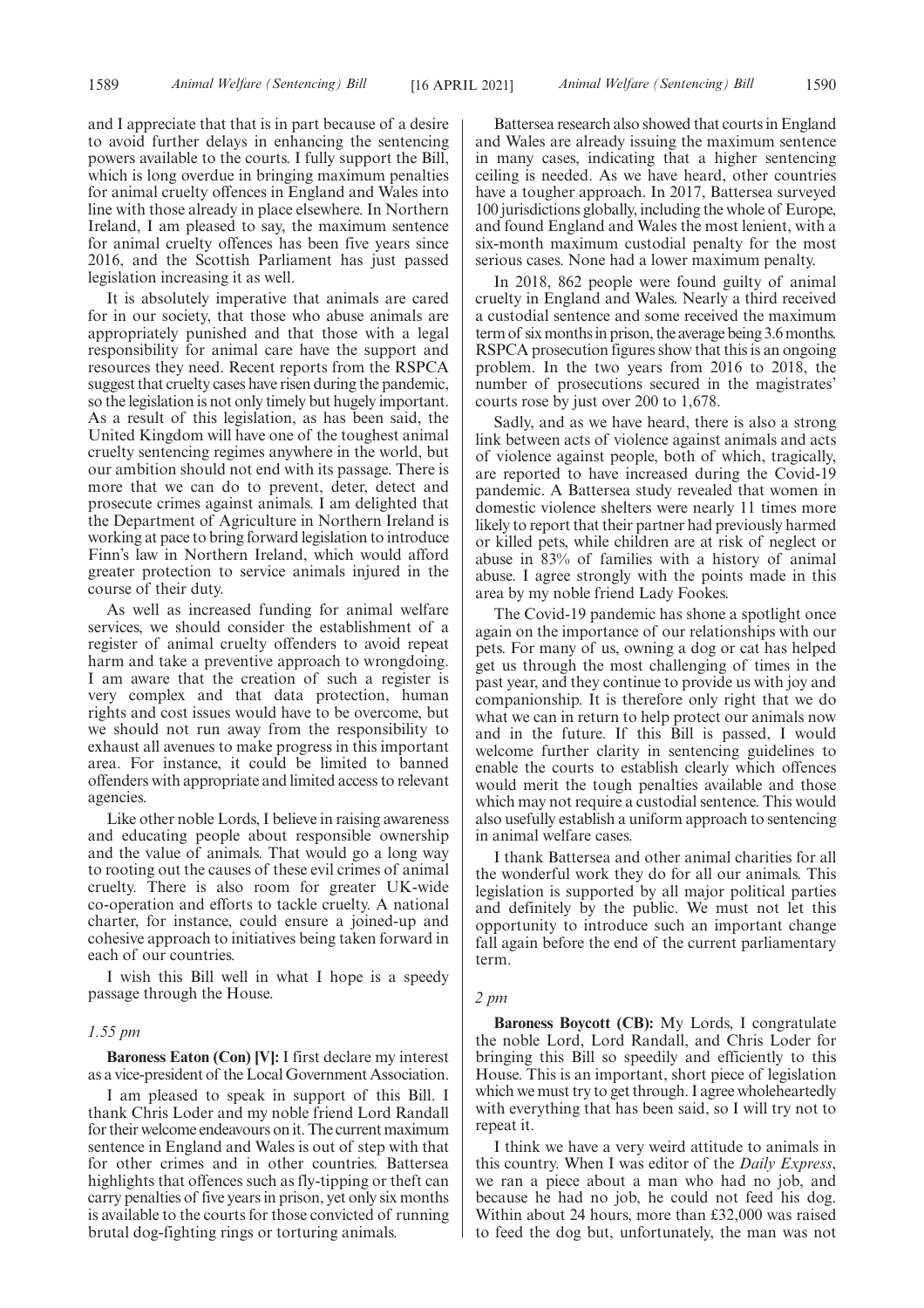and I appreciate that that is in part because of a desire to avoid further delays in enhancing the sentencing powers available to the courts. I fully support the Bill, which is long overdue in bringing maximum penalties for animal cruelty offences in England and Wales into line with those already in place elsewhere. In Northern Ireland, I am pleased to say, the maximum sentence for animal cruelty offences has been five years since 2016, and the Scottish Parliament has just passed legislation increasing it as well.

It is absolutely imperative that animals are cared for in our society, that those who abuse animals are appropriately punished and that those with a legal responsibility for animal care have the support and resources they need. Recent reports from the RSPCA suggest that cruelty cases have risen during the pandemic, so the legislation is not only timely but hugely important. As a result of this legislation, as has been said, the United Kingdom will have one of the toughest animal cruelty sentencing regimes anywhere in the world, but our ambition should not end with its passage. There is more that we can do to prevent, deter, detect and prosecute crimes against animals. I am delighted that the Department of Agriculture in Northern Ireland is working at pace to bring forward legislation to introduce Finn's law in Northern Ireland, which would afford greater protection to service animals injured in the course of their duty.

As well as increased funding for animal welfare services, we should consider the establishment of a register of animal cruelty offenders to avoid repeat harm and take a preventive approach to wrongdoing. I am aware that the creation of such a register is very complex and that data protection, human rights and cost issues would have to be overcome, but we should not run away from the responsibility to exhaust all avenues to make progress in this important area. For instance, it could be limited to banned offenders with appropriate and limited access to relevant agencies.

Like other noble Lords, I believe in raising awareness and educating people about responsible ownership and the value of animals. That would go a long way to rooting out the causes of these evil crimes of animal cruelty. There is also room for greater UK-wide co-operation and efforts to tackle cruelty. A national charter, for instance, could ensure a joined-up and cohesive approach to initiatives being taken forward in each of our countries.

I wish this Bill well in what I hope is a speedy passage through the House.

#### *1.55 pm*

**Baroness Eaton (Con) [V]:** I first declare my interest as a vice-president of the Local Government Association.

I am pleased to speak in support of this Bill. I thank Chris Loder and my noble friend Lord Randall for their welcome endeavours on it. The current maximum sentence in England and Wales is out of step with that for other crimes and in other countries. Battersea highlights that offences such as fly-tipping or theft can carry penalties of five years in prison, yet only six months is available to the courts for those convicted of running brutal dog-fighting rings or torturing animals.

Battersea research also showed that courts in England and Wales are already issuing the maximum sentence in many cases, indicating that a higher sentencing ceiling is needed. As we have heard, other countries have a tougher approach. In 2017, Battersea surveyed 100 jurisdictions globally, including the whole of Europe, and found England and Wales the most lenient, with a six-month maximum custodial penalty for the most serious cases. None had a lower maximum penalty.

In 2018, 862 people were found guilty of animal cruelty in England and Wales. Nearly a third received a custodial sentence and some received the maximum term of six months in prison, the average being 3.6 months. RSPCA prosecution figures show that this is an ongoing problem. In the two years from 2016 to 2018, the number of prosecutions secured in the magistrates' courts rose by just over 200 to 1,678.

Sadly, and as we have heard, there is also a strong link between acts of violence against animals and acts of violence against people, both of which, tragically, are reported to have increased during the Covid-19 pandemic. A Battersea study revealed that women in domestic violence shelters were nearly 11 times more likely to report that their partner had previously harmed or killed pets, while children are at risk of neglect or abuse in 83% of families with a history of animal abuse. I agree strongly with the points made in this area by my noble friend Lady Fookes.

The Covid-19 pandemic has shone a spotlight once again on the importance of our relationships with our pets. For many of us, owning a dog or cat has helped get us through the most challenging of times in the past year, and they continue to provide us with joy and companionship. It is therefore only right that we do what we can in return to help protect our animals now and in the future. If this Bill is passed, I would welcome further clarity in sentencing guidelines to enable the courts to establish clearly which offences would merit the tough penalties available and those which may not require a custodial sentence. This would also usefully establish a uniform approach to sentencing in animal welfare cases.

I thank Battersea and other animal charities for all the wonderful work they do for all our animals. This legislation is supported by all major political parties and definitely by the public. We must not let this opportunity to introduce such an important change fall again before the end of the current parliamentary term.

#### *2 pm*

**Baroness Boycott (CB):** My Lords, I congratulate the noble Lord, Lord Randall, and Chris Loder for bringing this Bill so speedily and efficiently to this House. This is an important, short piece of legislation which we must try to get through. I agree wholeheartedly with everything that has been said, so I will try not to repeat it.

I think we have a very weird attitude to animals in this country. When I was editor of the *Daily Express*, we ran a piece about a man who had no job, and because he had no job, he could not feed his dog. Within about 24 hours, more than £32,000 was raised to feed the dog but, unfortunately, the man was not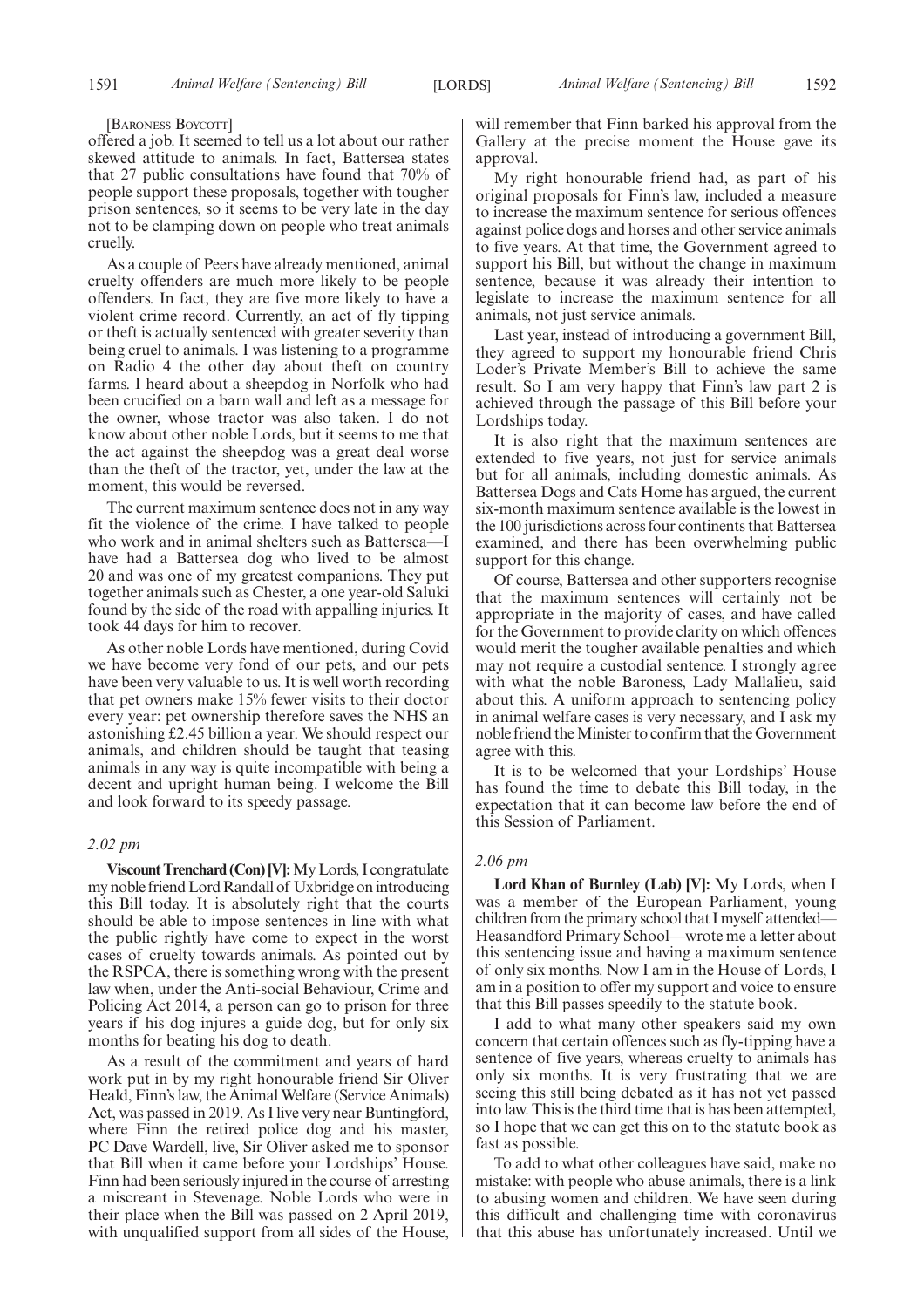#### [BARONESS BOYCOTT]

offered a job. It seemed to tell us a lot about our rather skewed attitude to animals. In fact, Battersea states that 27 public consultations have found that 70% of people support these proposals, together with tougher prison sentences, so it seems to be very late in the day not to be clamping down on people who treat animals cruelly.

As a couple of Peers have already mentioned, animal cruelty offenders are much more likely to be people offenders. In fact, they are five more likely to have a violent crime record. Currently, an act of fly tipping or theft is actually sentenced with greater severity than being cruel to animals. I was listening to a programme on Radio 4 the other day about theft on country farms. I heard about a sheepdog in Norfolk who had been crucified on a barn wall and left as a message for the owner, whose tractor was also taken. I do not know about other noble Lords, but it seems to me that the act against the sheepdog was a great deal worse than the theft of the tractor, yet, under the law at the moment, this would be reversed.

The current maximum sentence does not in any way fit the violence of the crime. I have talked to people who work and in animal shelters such as Battersea—I have had a Battersea dog who lived to be almost 20 and was one of my greatest companions. They put together animals such as Chester, a one year-old Saluki found by the side of the road with appalling injuries. It took 44 days for him to recover.

As other noble Lords have mentioned, during Covid we have become very fond of our pets, and our pets have been very valuable to us. It is well worth recording that pet owners make 15% fewer visits to their doctor every year: pet ownership therefore saves the NHS an astonishing £2.45 billion a year. We should respect our animals, and children should be taught that teasing animals in any way is quite incompatible with being a decent and upright human being. I welcome the Bill and look forward to its speedy passage.

# *2.02 pm*

**Viscount Trenchard (Con) [V]:**My Lords, I congratulate my noble friend Lord Randall of Uxbridge on introducing this Bill today. It is absolutely right that the courts should be able to impose sentences in line with what the public rightly have come to expect in the worst cases of cruelty towards animals. As pointed out by the RSPCA, there is something wrong with the present law when, under the Anti-social Behaviour, Crime and Policing Act 2014, a person can go to prison for three years if his dog injures a guide dog, but for only six months for beating his dog to death.

As a result of the commitment and years of hard work put in by my right honourable friend Sir Oliver Heald, Finn's law, the Animal Welfare (Service Animals) Act, was passed in 2019. As I live very near Buntingford, where Finn the retired police dog and his master, PC Dave Wardell, live, Sir Oliver asked me to sponsor that Bill when it came before your Lordships' House. Finn had been seriously injured in the course of arresting a miscreant in Stevenage. Noble Lords who were in their place when the Bill was passed on 2 April 2019, with unqualified support from all sides of the House, will remember that Finn barked his approval from the Gallery at the precise moment the House gave its approval.

My right honourable friend had, as part of his original proposals for Finn's law, included a measure to increase the maximum sentence for serious offences against police dogs and horses and other service animals to five years. At that time, the Government agreed to support his Bill, but without the change in maximum sentence, because it was already their intention to legislate to increase the maximum sentence for all animals, not just service animals.

Last year, instead of introducing a government Bill, they agreed to support my honourable friend Chris Loder's Private Member's Bill to achieve the same result. So I am very happy that Finn's law part 2 is achieved through the passage of this Bill before your Lordships today.

It is also right that the maximum sentences are extended to five years, not just for service animals but for all animals, including domestic animals. As Battersea Dogs and Cats Home has argued, the current six-month maximum sentence available is the lowest in the 100 jurisdictions across four continents that Battersea examined, and there has been overwhelming public support for this change.

Of course, Battersea and other supporters recognise that the maximum sentences will certainly not be appropriate in the majority of cases, and have called for the Government to provide clarity on which offences would merit the tougher available penalties and which may not require a custodial sentence. I strongly agree with what the noble Baroness, Lady Mallalieu, said about this. A uniform approach to sentencing policy in animal welfare cases is very necessary, and I ask my noble friend the Minister to confirm that the Government agree with this.

It is to be welcomed that your Lordships' House has found the time to debate this Bill today, in the expectation that it can become law before the end of this Session of Parliament.

# *2.06 pm*

**Lord Khan of Burnley (Lab) [V]:** My Lords, when I was a member of the European Parliament, young children from the primary school that I myself attended— Heasandford Primary School—wrote me a letter about this sentencing issue and having a maximum sentence of only six months. Now I am in the House of Lords, I am in a position to offer my support and voice to ensure that this Bill passes speedily to the statute book.

I add to what many other speakers said my own concern that certain offences such as fly-tipping have a sentence of five years, whereas cruelty to animals has only six months. It is very frustrating that we are seeing this still being debated as it has not yet passed into law. This is the third time that is has been attempted, so I hope that we can get this on to the statute book as fast as possible.

To add to what other colleagues have said, make no mistake: with people who abuse animals, there is a link to abusing women and children. We have seen during this difficult and challenging time with coronavirus that this abuse has unfortunately increased. Until we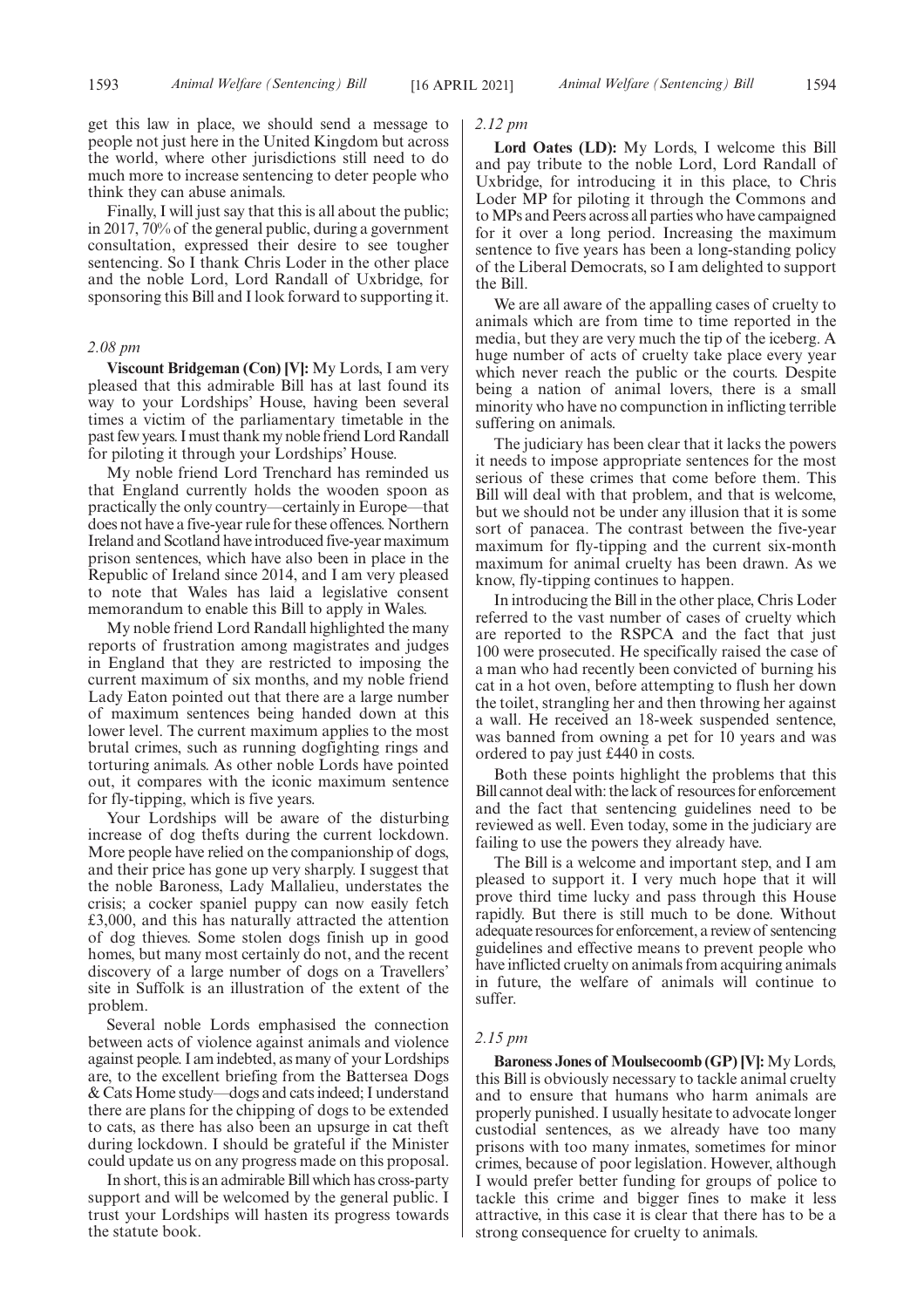get this law in place, we should send a message to people not just here in the United Kingdom but across the world, where other jurisdictions still need to do much more to increase sentencing to deter people who think they can abuse animals.

Finally, I will just say that this is all about the public; in 2017, 70% of the general public, during a government consultation, expressed their desire to see tougher sentencing. So I thank Chris Loder in the other place and the noble Lord, Lord Randall of Uxbridge, for sponsoring this Bill and I look forward to supporting it.

## *2.08 pm*

**Viscount Bridgeman (Con) [V]:** My Lords, I am very pleased that this admirable Bill has at last found its way to your Lordships' House, having been several times a victim of the parliamentary timetable in the past few years. I must thank my noble friend Lord Randall for piloting it through your Lordships' House.

My noble friend Lord Trenchard has reminded us that England currently holds the wooden spoon as practically the only country—certainly in Europe—that does not have a five-year rule for these offences. Northern Ireland and Scotland have introduced five-year maximum prison sentences, which have also been in place in the Republic of Ireland since 2014, and I am very pleased to note that Wales has laid a legislative consent memorandum to enable this Bill to apply in Wales.

My noble friend Lord Randall highlighted the many reports of frustration among magistrates and judges in England that they are restricted to imposing the current maximum of six months, and my noble friend Lady Eaton pointed out that there are a large number of maximum sentences being handed down at this lower level. The current maximum applies to the most brutal crimes, such as running dogfighting rings and torturing animals. As other noble Lords have pointed out, it compares with the iconic maximum sentence for fly-tipping, which is five years.

Your Lordships will be aware of the disturbing increase of dog thefts during the current lockdown. More people have relied on the companionship of dogs, and their price has gone up very sharply. I suggest that the noble Baroness, Lady Mallalieu, understates the crisis; a cocker spaniel puppy can now easily fetch £3,000, and this has naturally attracted the attention of dog thieves. Some stolen dogs finish up in good homes, but many most certainly do not, and the recent discovery of a large number of dogs on a Travellers' site in Suffolk is an illustration of the extent of the problem.

Several noble Lords emphasised the connection between acts of violence against animals and violence against people. I am indebted, as many of your Lordships are, to the excellent briefing from the Battersea Dogs & Cats Home study—dogs and cats indeed; I understand there are plans for the chipping of dogs to be extended to cats, as there has also been an upsurge in cat theft during lockdown. I should be grateful if the Minister could update us on any progress made on this proposal.

In short, this is an admirable Bill which has cross-party support and will be welcomed by the general public. I trust your Lordships will hasten its progress towards the statute book.

#### *2.12 pm*

**Lord Oates (LD):** My Lords, I welcome this Bill and pay tribute to the noble Lord, Lord Randall of Uxbridge, for introducing it in this place, to Chris Loder MP for piloting it through the Commons and to MPs and Peers across all parties who have campaigned for it over a long period. Increasing the maximum sentence to five years has been a long-standing policy of the Liberal Democrats, so I am delighted to support the Bill.

We are all aware of the appalling cases of cruelty to animals which are from time to time reported in the media, but they are very much the tip of the iceberg. A huge number of acts of cruelty take place every year which never reach the public or the courts. Despite being a nation of animal lovers, there is a small minority who have no compunction in inflicting terrible suffering on animals.

The judiciary has been clear that it lacks the powers it needs to impose appropriate sentences for the most serious of these crimes that come before them. This Bill will deal with that problem, and that is welcome, but we should not be under any illusion that it is some sort of panacea. The contrast between the five-year maximum for fly-tipping and the current six-month maximum for animal cruelty has been drawn. As we know, fly-tipping continues to happen.

In introducing the Bill in the other place, Chris Loder referred to the vast number of cases of cruelty which are reported to the RSPCA and the fact that just 100 were prosecuted. He specifically raised the case of a man who had recently been convicted of burning his cat in a hot oven, before attempting to flush her down the toilet, strangling her and then throwing her against a wall. He received an 18-week suspended sentence, was banned from owning a pet for 10 years and was ordered to pay just £440 in costs.

Both these points highlight the problems that this Bill cannot deal with: the lack of resources for enforcement and the fact that sentencing guidelines need to be reviewed as well. Even today, some in the judiciary are failing to use the powers they already have.

The Bill is a welcome and important step, and I am pleased to support it. I very much hope that it will prove third time lucky and pass through this House rapidly. But there is still much to be done. Without adequate resources for enforcement, a review of sentencing guidelines and effective means to prevent people who have inflicted cruelty on animals from acquiring animals in future, the welfare of animals will continue to suffer.

#### *2.15 pm*

**Baroness Jones of Moulsecoomb (GP) [V]:** My Lords, this Bill is obviously necessary to tackle animal cruelty and to ensure that humans who harm animals are properly punished. I usually hesitate to advocate longer custodial sentences, as we already have too many prisons with too many inmates, sometimes for minor crimes, because of poor legislation. However, although I would prefer better funding for groups of police to tackle this crime and bigger fines to make it less attractive, in this case it is clear that there has to be a strong consequence for cruelty to animals.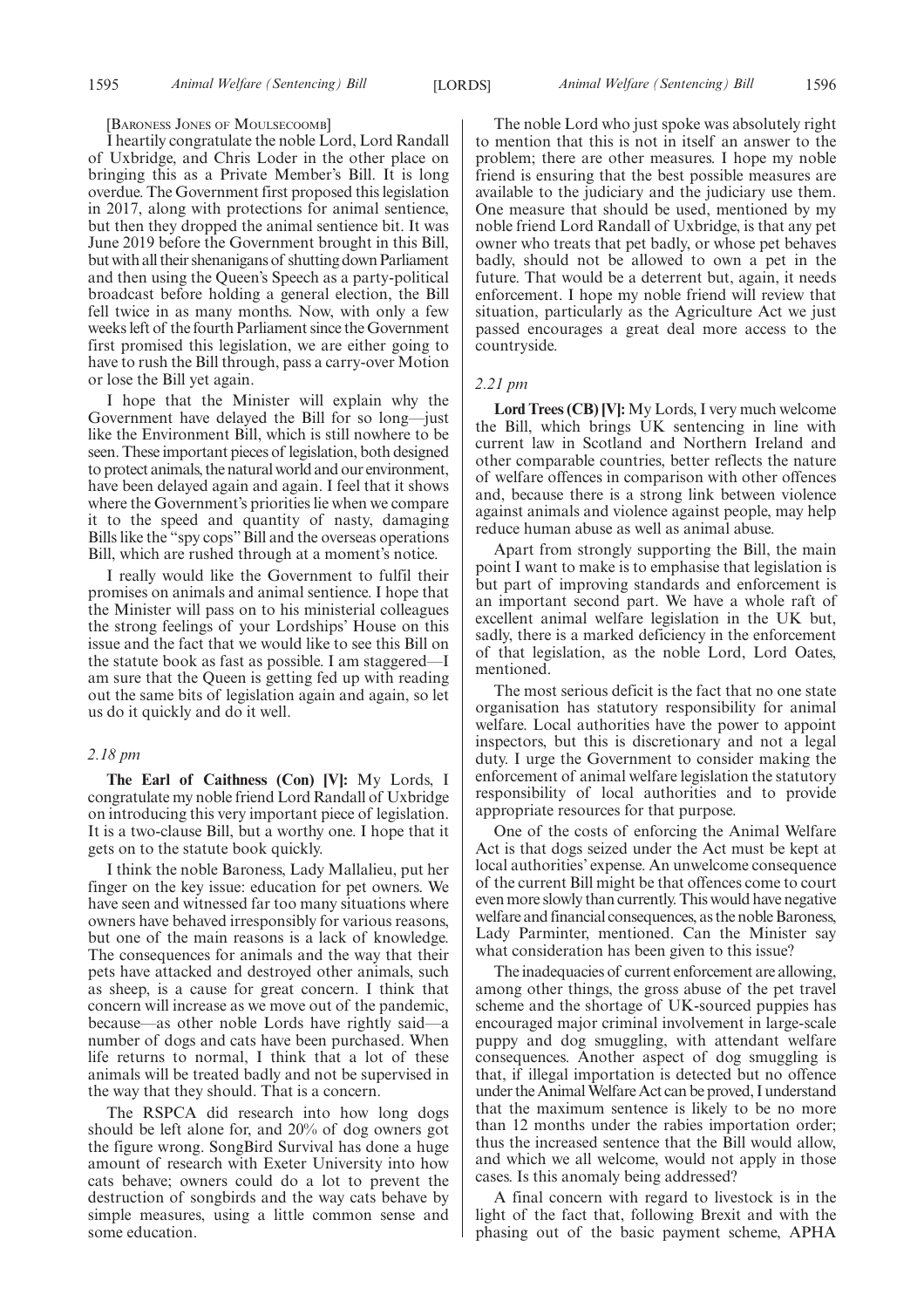#### [BARONESS JONES OF MOULSECOOMB]

I heartily congratulate the noble Lord, Lord Randall of Uxbridge, and Chris Loder in the other place on bringing this as a Private Member's Bill. It is long overdue. The Government first proposed this legislation in 2017, along with protections for animal sentience, but then they dropped the animal sentience bit. It was June 2019 before the Government brought in this Bill, but with all their shenanigans of shutting down Parliament and then using the Queen's Speech as a party-political broadcast before holding a general election, the Bill fell twice in as many months. Now, with only a few weeks left of the fourth Parliament since the Government first promised this legislation, we are either going to have to rush the Bill through, pass a carry-over Motion or lose the Bill yet again.

I hope that the Minister will explain why the Government have delayed the Bill for so long—just like the Environment Bill, which is still nowhere to be seen. These important pieces of legislation, both designed to protect animals, the natural world and our environment, have been delayed again and again. I feel that it shows where the Government's priorities lie when we compare it to the speed and quantity of nasty, damaging Bills like the "spy cops" Bill and the overseas operations Bill, which are rushed through at a moment's notice.

I really would like the Government to fulfil their promises on animals and animal sentience. I hope that the Minister will pass on to his ministerial colleagues the strong feelings of your Lordships' House on this issue and the fact that we would like to see this Bill on the statute book as fast as possible. I am staggered—I am sure that the Queen is getting fed up with reading out the same bits of legislation again and again, so let us do it quickly and do it well.

# *2.18 pm*

**The Earl of Caithness (Con) [V]:** My Lords, I congratulate my noble friend Lord Randall of Uxbridge on introducing this very important piece of legislation. It is a two-clause Bill, but a worthy one. I hope that it gets on to the statute book quickly.

I think the noble Baroness, Lady Mallalieu, put her finger on the key issue: education for pet owners. We have seen and witnessed far too many situations where owners have behaved irresponsibly for various reasons, but one of the main reasons is a lack of knowledge. The consequences for animals and the way that their pets have attacked and destroyed other animals, such as sheep, is a cause for great concern. I think that concern will increase as we move out of the pandemic, because—as other noble Lords have rightly said—a number of dogs and cats have been purchased. When life returns to normal, I think that a lot of these animals will be treated badly and not be supervised in the way that they should. That is a concern.

The RSPCA did research into how long dogs should be left alone for, and 20% of dog owners got the figure wrong. SongBird Survival has done a huge amount of research with Exeter University into how cats behave; owners could do a lot to prevent the destruction of songbirds and the way cats behave by simple measures, using a little common sense and some education.

The noble Lord who just spoke was absolutely right to mention that this is not in itself an answer to the problem; there are other measures. I hope my noble friend is ensuring that the best possible measures are available to the judiciary and the judiciary use them. One measure that should be used, mentioned by my noble friend Lord Randall of Uxbridge, is that any pet owner who treats that pet badly, or whose pet behaves badly, should not be allowed to own a pet in the future. That would be a deterrent but, again, it needs enforcement. I hope my noble friend will review that situation, particularly as the Agriculture Act we just passed encourages a great deal more access to the countryside.

## *2.21 pm*

**Lord Trees (CB) [V]:** My Lords, I very much welcome the Bill, which brings UK sentencing in line with current law in Scotland and Northern Ireland and other comparable countries, better reflects the nature of welfare offences in comparison with other offences and, because there is a strong link between violence against animals and violence against people, may help reduce human abuse as well as animal abuse.

Apart from strongly supporting the Bill, the main point I want to make is to emphasise that legislation is but part of improving standards and enforcement is an important second part. We have a whole raft of excellent animal welfare legislation in the UK but, sadly, there is a marked deficiency in the enforcement of that legislation, as the noble Lord, Lord Oates, mentioned.

The most serious deficit is the fact that no one state organisation has statutory responsibility for animal welfare. Local authorities have the power to appoint inspectors, but this is discretionary and not a legal duty. I urge the Government to consider making the enforcement of animal welfare legislation the statutory responsibility of local authorities and to provide appropriate resources for that purpose.

One of the costs of enforcing the Animal Welfare Act is that dogs seized under the Act must be kept at local authorities' expense. An unwelcome consequence of the current Bill might be that offences come to court even more slowly than currently. This would have negative welfare and financial consequences, as the noble Baroness, Lady Parminter, mentioned. Can the Minister say what consideration has been given to this issue?

The inadequacies of current enforcement are allowing, among other things, the gross abuse of the pet travel scheme and the shortage of UK-sourced puppies has encouraged major criminal involvement in large-scale puppy and dog smuggling, with attendant welfare consequences. Another aspect of dog smuggling is that, if illegal importation is detected but no offence under the Animal Welfare Act can be proved, I understand that the maximum sentence is likely to be no more than 12 months under the rabies importation order; thus the increased sentence that the Bill would allow, and which we all welcome, would not apply in those cases. Is this anomaly being addressed?

A final concern with regard to livestock is in the light of the fact that, following Brexit and with the phasing out of the basic payment scheme, APHA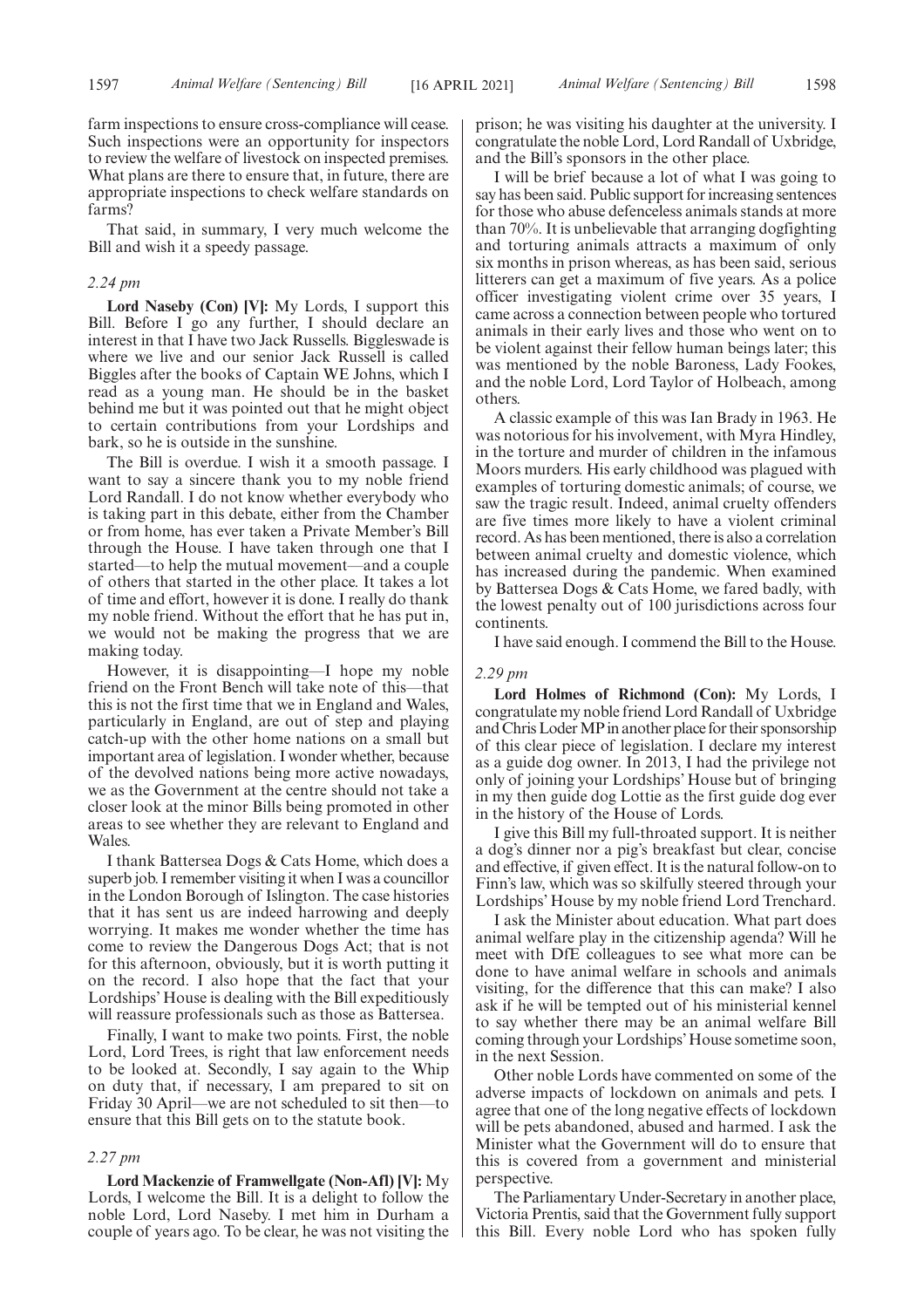farm inspections to ensure cross-compliance will cease. Such inspections were an opportunity for inspectors to review the welfare of livestock on inspected premises. What plans are there to ensure that, in future, there are appropriate inspections to check welfare standards on farms?

That said, in summary, I very much welcome the Bill and wish it a speedy passage.

#### *2.24 pm*

**Lord Naseby (Con) [V]:** My Lords, I support this Bill. Before I go any further, I should declare an interest in that I have two Jack Russells. Biggleswade is where we live and our senior Jack Russell is called Biggles after the books of Captain WE Johns, which I read as a young man. He should be in the basket behind me but it was pointed out that he might object to certain contributions from your Lordships and bark, so he is outside in the sunshine.

The Bill is overdue. I wish it a smooth passage. I want to say a sincere thank you to my noble friend Lord Randall. I do not know whether everybody who is taking part in this debate, either from the Chamber or from home, has ever taken a Private Member's Bill through the House. I have taken through one that I started—to help the mutual movement—and a couple of others that started in the other place. It takes a lot of time and effort, however it is done. I really do thank my noble friend. Without the effort that he has put in, we would not be making the progress that we are making today.

However, it is disappointing—I hope my noble friend on the Front Bench will take note of this—that this is not the first time that we in England and Wales, particularly in England, are out of step and playing catch-up with the other home nations on a small but important area of legislation. I wonder whether, because of the devolved nations being more active nowadays, we as the Government at the centre should not take a closer look at the minor Bills being promoted in other areas to see whether they are relevant to England and Wales.

I thank Battersea Dogs & Cats Home, which does a superb job. I remember visiting it when I was a councillor in the London Borough of Islington. The case histories that it has sent us are indeed harrowing and deeply worrying. It makes me wonder whether the time has come to review the Dangerous Dogs Act; that is not for this afternoon, obviously, but it is worth putting it on the record. I also hope that the fact that your Lordships' House is dealing with the Bill expeditiously will reassure professionals such as those as Battersea.

Finally, I want to make two points. First, the noble Lord, Lord Trees, is right that law enforcement needs to be looked at. Secondly, I say again to the Whip on duty that, if necessary, I am prepared to sit on Friday 30 April—we are not scheduled to sit then—to ensure that this Bill gets on to the statute book.

#### *2.27 pm*

**Lord Mackenzie of Framwellgate (Non-Afl) [V]:** My Lords, I welcome the Bill. It is a delight to follow the noble Lord, Lord Naseby. I met him in Durham a couple of years ago. To be clear, he was not visiting the prison; he was visiting his daughter at the university. I congratulate the noble Lord, Lord Randall of Uxbridge, and the Bill's sponsors in the other place.

I will be brief because a lot of what I was going to say has been said. Public support for increasing sentences for those who abuse defenceless animals stands at more than 70%. It is unbelievable that arranging dogfighting and torturing animals attracts a maximum of only six months in prison whereas, as has been said, serious litterers can get a maximum of five years. As a police officer investigating violent crime over 35 years, I came across a connection between people who tortured animals in their early lives and those who went on to be violent against their fellow human beings later; this was mentioned by the noble Baroness, Lady Fookes, and the noble Lord, Lord Taylor of Holbeach, among others.

A classic example of this was Ian Brady in 1963. He was notorious for his involvement, with Myra Hindley, in the torture and murder of children in the infamous Moors murders. His early childhood was plagued with examples of torturing domestic animals; of course, we saw the tragic result. Indeed, animal cruelty offenders are five times more likely to have a violent criminal record. As has been mentioned, there is also a correlation between animal cruelty and domestic violence, which has increased during the pandemic. When examined by Battersea Dogs & Cats Home, we fared badly, with the lowest penalty out of 100 jurisdictions across four continents.

I have said enough. I commend the Bill to the House.

#### *2.29 pm*

**Lord Holmes of Richmond (Con):** My Lords, I congratulate my noble friend Lord Randall of Uxbridge and Chris Loder MP in another place for their sponsorship of this clear piece of legislation. I declare my interest as a guide dog owner. In 2013, I had the privilege not only of joining your Lordships' House but of bringing in my then guide dog Lottie as the first guide dog ever in the history of the House of Lords.

I give this Bill my full-throated support. It is neither a dog's dinner nor a pig's breakfast but clear, concise and effective, if given effect. It is the natural follow-on to Finn's law, which was so skilfully steered through your Lordships' House by my noble friend Lord Trenchard.

I ask the Minister about education. What part does animal welfare play in the citizenship agenda? Will he meet with DfE colleagues to see what more can be done to have animal welfare in schools and animals visiting, for the difference that this can make? I also ask if he will be tempted out of his ministerial kennel to say whether there may be an animal welfare Bill coming through your Lordships' House sometime soon, in the next Session.

Other noble Lords have commented on some of the adverse impacts of lockdown on animals and pets. I agree that one of the long negative effects of lockdown will be pets abandoned, abused and harmed. I ask the Minister what the Government will do to ensure that this is covered from a government and ministerial perspective.

The Parliamentary Under-Secretary in another place, Victoria Prentis, said that the Government fully support this Bill. Every noble Lord who has spoken fully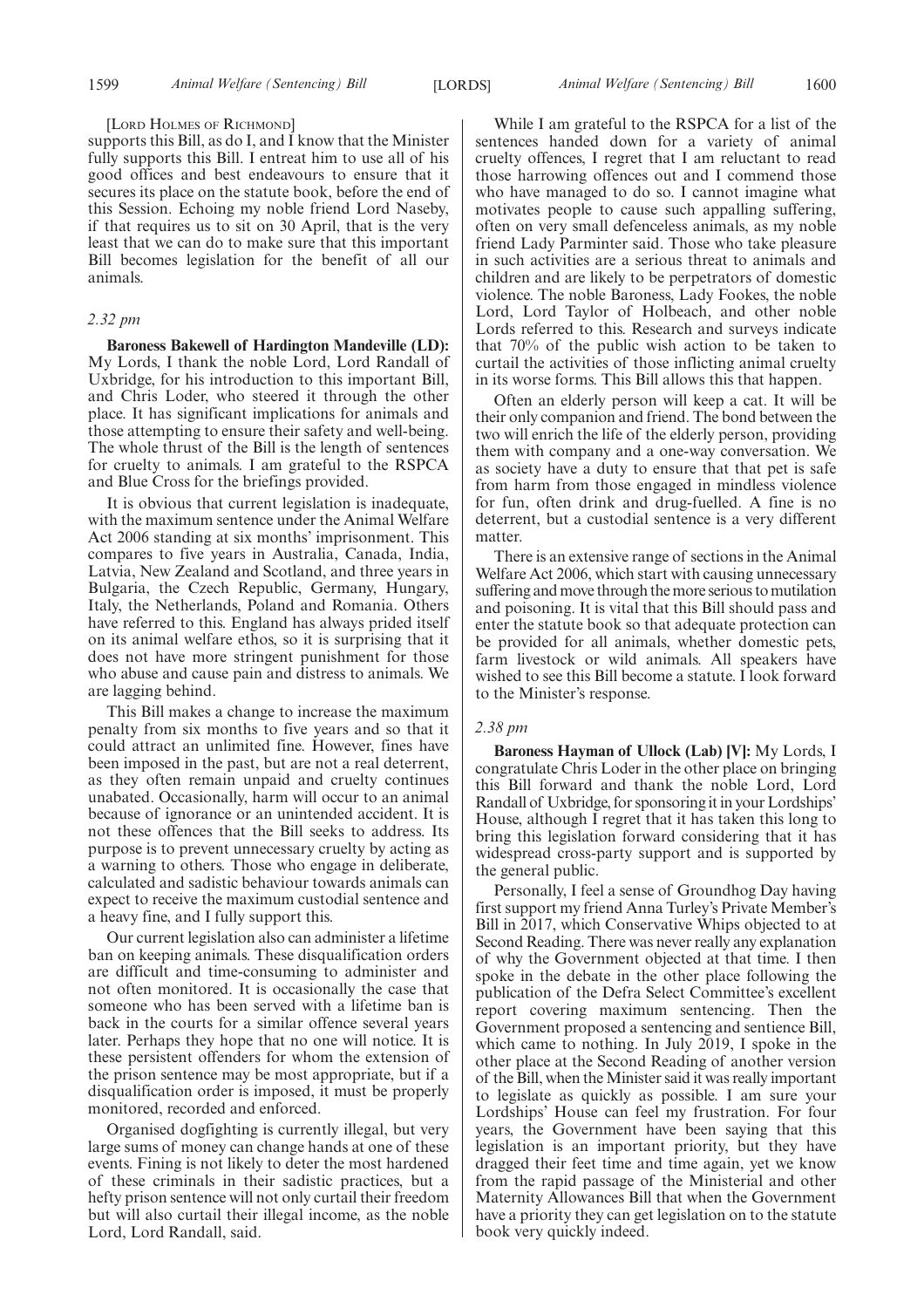#### [LORD HOLMES OF RICHMOND]

supports this Bill, as do I, and I know that the Minister fully supports this Bill. I entreat him to use all of his good offices and best endeavours to ensure that it secures its place on the statute book, before the end of this Session. Echoing my noble friend Lord Naseby, if that requires us to sit on 30 April, that is the very least that we can do to make sure that this important Bill becomes legislation for the benefit of all our animals.

# *2.32 pm*

**Baroness Bakewell of Hardington Mandeville (LD):** My Lords, I thank the noble Lord, Lord Randall of Uxbridge, for his introduction to this important Bill, and Chris Loder, who steered it through the other place. It has significant implications for animals and those attempting to ensure their safety and well-being. The whole thrust of the Bill is the length of sentences for cruelty to animals. I am grateful to the RSPCA and Blue Cross for the briefings provided.

It is obvious that current legislation is inadequate, with the maximum sentence under the Animal Welfare Act 2006 standing at six months' imprisonment. This compares to five years in Australia, Canada, India, Latvia, New Zealand and Scotland, and three years in Bulgaria, the Czech Republic, Germany, Hungary, Italy, the Netherlands, Poland and Romania. Others have referred to this. England has always prided itself on its animal welfare ethos, so it is surprising that it does not have more stringent punishment for those who abuse and cause pain and distress to animals. We are lagging behind.

This Bill makes a change to increase the maximum penalty from six months to five years and so that it could attract an unlimited fine. However, fines have been imposed in the past, but are not a real deterrent, as they often remain unpaid and cruelty continues unabated. Occasionally, harm will occur to an animal because of ignorance or an unintended accident. It is not these offences that the Bill seeks to address. Its purpose is to prevent unnecessary cruelty by acting as a warning to others. Those who engage in deliberate, calculated and sadistic behaviour towards animals can expect to receive the maximum custodial sentence and a heavy fine, and I fully support this.

Our current legislation also can administer a lifetime ban on keeping animals. These disqualification orders are difficult and time-consuming to administer and not often monitored. It is occasionally the case that someone who has been served with a lifetime ban is back in the courts for a similar offence several years later. Perhaps they hope that no one will notice. It is these persistent offenders for whom the extension of the prison sentence may be most appropriate, but if a disqualification order is imposed, it must be properly monitored, recorded and enforced.

Organised dogfighting is currently illegal, but very large sums of money can change hands at one of these events. Fining is not likely to deter the most hardened of these criminals in their sadistic practices, but a hefty prison sentence will not only curtail their freedom but will also curtail their illegal income, as the noble Lord, Lord Randall, said.

While I am grateful to the RSPCA for a list of the sentences handed down for a variety of animal cruelty offences, I regret that I am reluctant to read those harrowing offences out and I commend those who have managed to do so. I cannot imagine what motivates people to cause such appalling suffering, often on very small defenceless animals, as my noble friend Lady Parminter said. Those who take pleasure in such activities are a serious threat to animals and children and are likely to be perpetrators of domestic violence. The noble Baroness, Lady Fookes, the noble Lord, Lord Taylor of Holbeach, and other noble Lords referred to this. Research and surveys indicate that 70% of the public wish action to be taken to curtail the activities of those inflicting animal cruelty in its worse forms. This Bill allows this that happen.

Often an elderly person will keep a cat. It will be their only companion and friend. The bond between the two will enrich the life of the elderly person, providing them with company and a one-way conversation. We as society have a duty to ensure that that pet is safe from harm from those engaged in mindless violence for fun, often drink and drug-fuelled. A fine is no deterrent, but a custodial sentence is a very different matter.

There is an extensive range of sections in the Animal Welfare Act 2006, which start with causing unnecessary suffering and move through the more serious to mutilation and poisoning. It is vital that this Bill should pass and enter the statute book so that adequate protection can be provided for all animals, whether domestic pets, farm livestock or wild animals. All speakers have wished to see this Bill become a statute. I look forward to the Minister's response.

# *2.38 pm*

**Baroness Hayman of Ullock (Lab) [V]:** My Lords, I congratulate Chris Loder in the other place on bringing this Bill forward and thank the noble Lord, Lord Randall of Uxbridge, for sponsoring it in your Lordships' House, although I regret that it has taken this long to bring this legislation forward considering that it has widespread cross-party support and is supported by the general public.

Personally, I feel a sense of Groundhog Day having first support my friend Anna Turley's Private Member's Bill in 2017, which Conservative Whips objected to at Second Reading. There was never really any explanation of why the Government objected at that time. I then spoke in the debate in the other place following the publication of the Defra Select Committee's excellent report covering maximum sentencing. Then the Government proposed a sentencing and sentience Bill, which came to nothing. In July 2019, I spoke in the other place at the Second Reading of another version of the Bill, when the Minister said it was really important to legislate as quickly as possible. I am sure your Lordships' House can feel my frustration. For four years, the Government have been saying that this legislation is an important priority, but they have dragged their feet time and time again, yet we know from the rapid passage of the Ministerial and other Maternity Allowances Bill that when the Government have a priority they can get legislation on to the statute book very quickly indeed.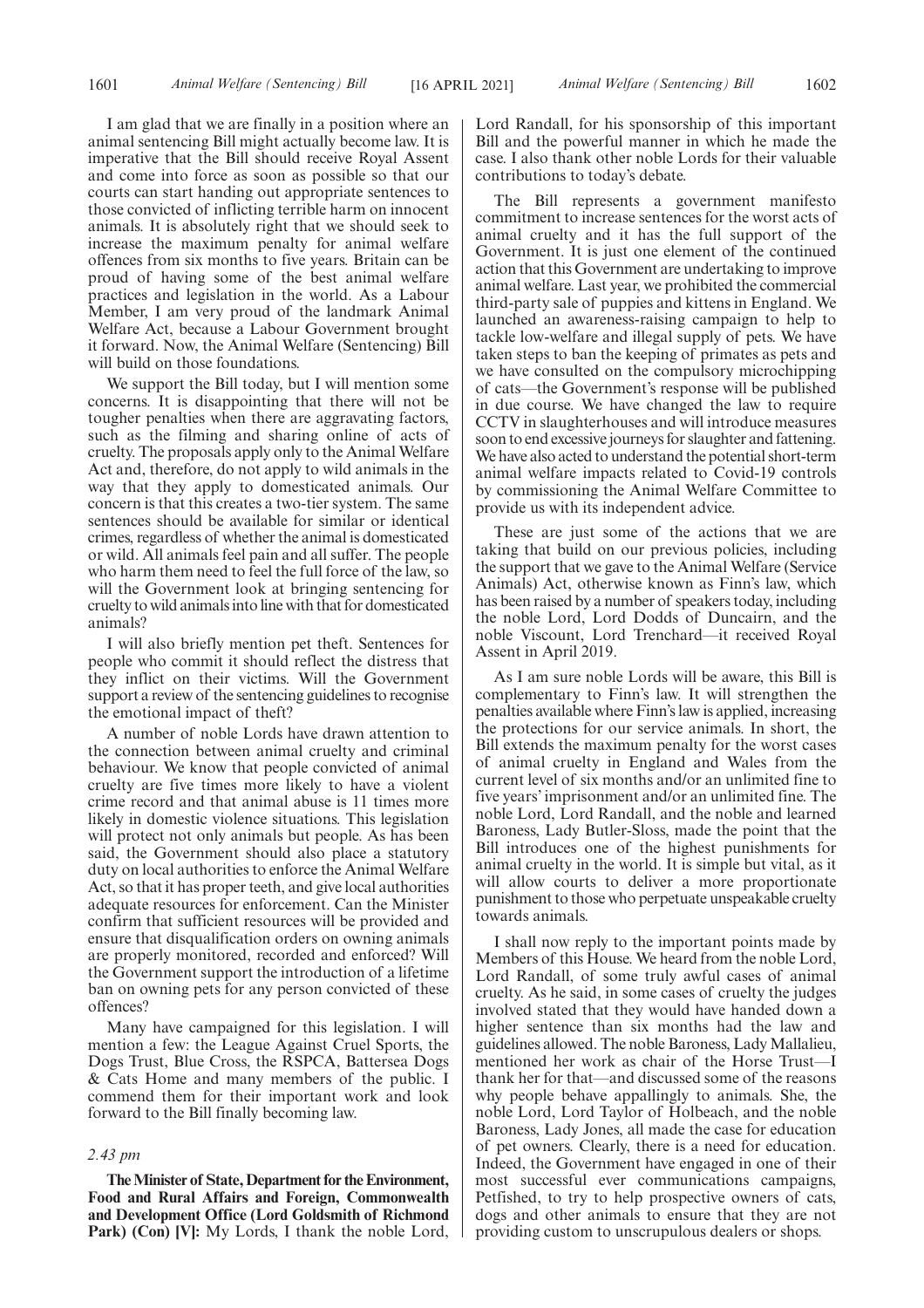I am glad that we are finally in a position where an animal sentencing Bill might actually become law. It is imperative that the Bill should receive Royal Assent and come into force as soon as possible so that our courts can start handing out appropriate sentences to those convicted of inflicting terrible harm on innocent animals. It is absolutely right that we should seek to increase the maximum penalty for animal welfare offences from six months to five years. Britain can be proud of having some of the best animal welfare practices and legislation in the world. As a Labour Member, I am very proud of the landmark Animal Welfare Act, because a Labour Government brought it forward. Now, the Animal Welfare (Sentencing) Bill will build on those foundations.

We support the Bill today, but I will mention some concerns. It is disappointing that there will not be tougher penalties when there are aggravating factors, such as the filming and sharing online of acts of cruelty. The proposals apply only to the Animal Welfare Act and, therefore, do not apply to wild animals in the way that they apply to domesticated animals. Our concern is that this creates a two-tier system. The same sentences should be available for similar or identical crimes, regardless of whether the animal is domesticated or wild. All animals feel pain and all suffer. The people who harm them need to feel the full force of the law, so will the Government look at bringing sentencing for cruelty to wild animals into line with that for domesticated animals?

I will also briefly mention pet theft. Sentences for people who commit it should reflect the distress that they inflict on their victims. Will the Government support a review of the sentencing guidelines to recognise the emotional impact of theft?

A number of noble Lords have drawn attention to the connection between animal cruelty and criminal behaviour. We know that people convicted of animal cruelty are five times more likely to have a violent crime record and that animal abuse is 11 times more likely in domestic violence situations. This legislation will protect not only animals but people. As has been said, the Government should also place a statutory duty on local authorities to enforce the Animal Welfare Act, so that it has proper teeth, and give local authorities adequate resources for enforcement. Can the Minister confirm that sufficient resources will be provided and ensure that disqualification orders on owning animals are properly monitored, recorded and enforced? Will the Government support the introduction of a lifetime ban on owning pets for any person convicted of these offences?

Many have campaigned for this legislation. I will mention a few: the League Against Cruel Sports, the Dogs Trust, Blue Cross, the RSPCA, Battersea Dogs & Cats Home and many members of the public. I commend them for their important work and look forward to the Bill finally becoming law.

## *2.43 pm*

**The Minister of State, Department for the Environment, Food and Rural Affairs and Foreign, Commonwealth and Development Office (Lord Goldsmith of Richmond Park) (Con) [V]:** My Lords, I thank the noble Lord, Lord Randall, for his sponsorship of this important Bill and the powerful manner in which he made the case. I also thank other noble Lords for their valuable contributions to today's debate.

The Bill represents a government manifesto commitment to increase sentences for the worst acts of animal cruelty and it has the full support of the Government. It is just one element of the continued action that this Government are undertaking to improve animal welfare. Last year, we prohibited the commercial third-party sale of puppies and kittens in England. We launched an awareness-raising campaign to help to tackle low-welfare and illegal supply of pets. We have taken steps to ban the keeping of primates as pets and we have consulted on the compulsory microchipping of cats—the Government's response will be published in due course. We have changed the law to require CCTV in slaughterhouses and will introduce measures soon to end excessive journeys for slaughter and fattening. We have also acted to understand the potential short-term animal welfare impacts related to Covid-19 controls by commissioning the Animal Welfare Committee to provide us with its independent advice.

These are just some of the actions that we are taking that build on our previous policies, including the support that we gave to the Animal Welfare (Service Animals) Act, otherwise known as Finn's law, which has been raised by a number of speakers today, including the noble Lord, Lord Dodds of Duncairn, and the noble Viscount, Lord Trenchard—it received Royal Assent in April 2019.

As I am sure noble Lords will be aware, this Bill is complementary to Finn's law. It will strengthen the penalties available where Finn's law is applied, increasing the protections for our service animals. In short, the Bill extends the maximum penalty for the worst cases of animal cruelty in England and Wales from the current level of six months and/or an unlimited fine to five years' imprisonment and/or an unlimited fine. The noble Lord, Lord Randall, and the noble and learned Baroness, Lady Butler-Sloss, made the point that the Bill introduces one of the highest punishments for animal cruelty in the world. It is simple but vital, as it will allow courts to deliver a more proportionate punishment to those who perpetuate unspeakable cruelty towards animals.

I shall now reply to the important points made by Members of this House. We heard from the noble Lord, Lord Randall, of some truly awful cases of animal cruelty. As he said, in some cases of cruelty the judges involved stated that they would have handed down a higher sentence than six months had the law and guidelines allowed. The noble Baroness, Lady Mallalieu, mentioned her work as chair of the Horse Trust—I thank her for that—and discussed some of the reasons why people behave appallingly to animals. She, the noble Lord, Lord Taylor of Holbeach, and the noble Baroness, Lady Jones, all made the case for education of pet owners. Clearly, there is a need for education. Indeed, the Government have engaged in one of their most successful ever communications campaigns, Petfished, to try to help prospective owners of cats, dogs and other animals to ensure that they are not providing custom to unscrupulous dealers or shops.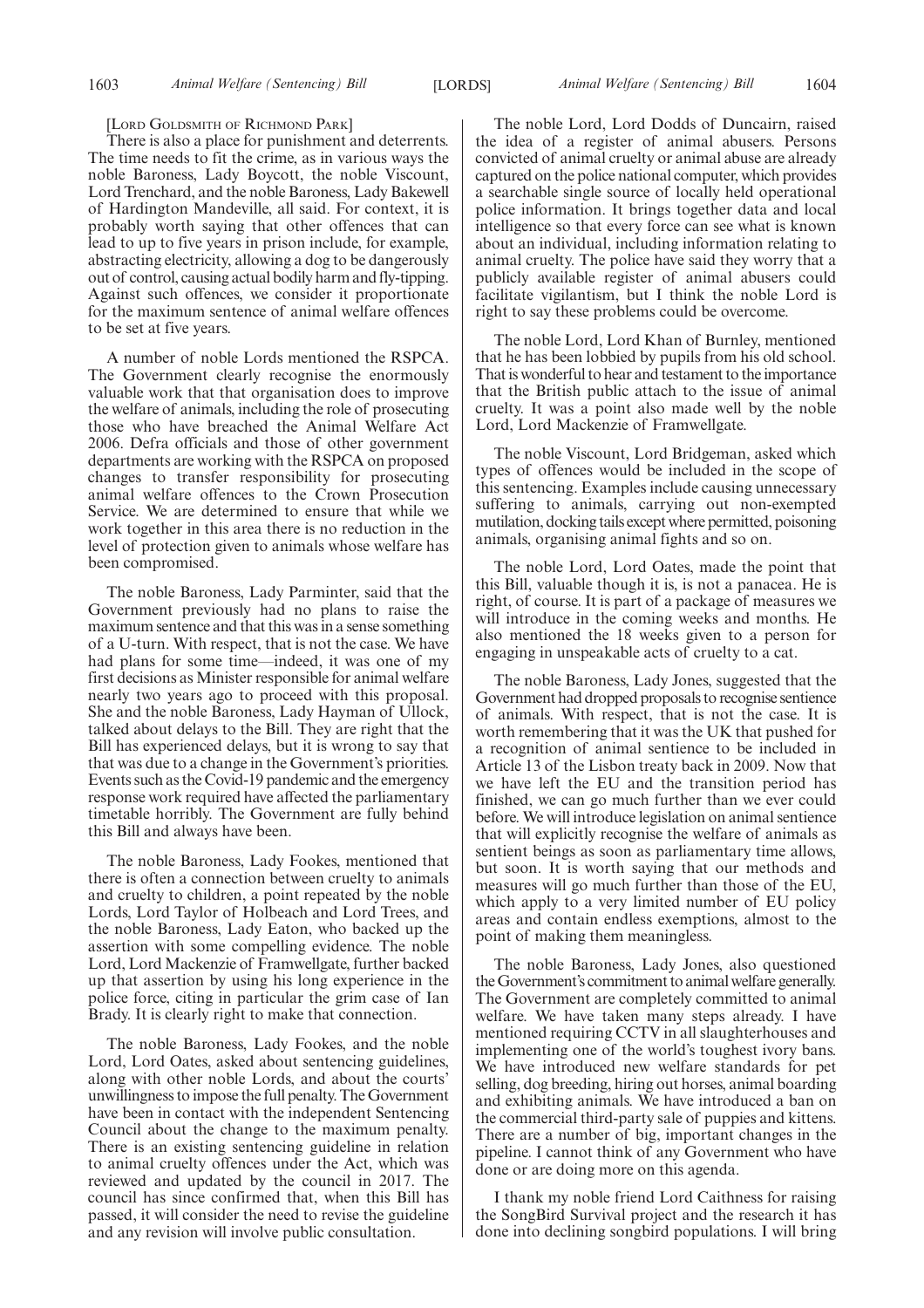#### [LORD GOLDSMITH OF RICHMOND PARK]

There is also a place for punishment and deterrents. The time needs to fit the crime, as in various ways the noble Baroness, Lady Boycott, the noble Viscount, Lord Trenchard, and the noble Baroness, Lady Bakewell of Hardington Mandeville, all said. For context, it is probably worth saying that other offences that can lead to up to five years in prison include, for example, abstracting electricity, allowing a dog to be dangerously out of control, causing actual bodily harm and fly-tipping. Against such offences, we consider it proportionate for the maximum sentence of animal welfare offences to be set at five years.

A number of noble Lords mentioned the RSPCA. The Government clearly recognise the enormously valuable work that that organisation does to improve the welfare of animals, including the role of prosecuting those who have breached the Animal Welfare Act 2006. Defra officials and those of other government departments are working with the RSPCA on proposed changes to transfer responsibility for prosecuting animal welfare offences to the Crown Prosecution Service. We are determined to ensure that while we work together in this area there is no reduction in the level of protection given to animals whose welfare has been compromised.

The noble Baroness, Lady Parminter, said that the Government previously had no plans to raise the maximum sentence and that this was in a sense something of a U-turn. With respect, that is not the case. We have had plans for some time—indeed, it was one of my first decisions as Minister responsible for animal welfare nearly two years ago to proceed with this proposal. She and the noble Baroness, Lady Hayman of Ullock, talked about delays to the Bill. They are right that the Bill has experienced delays, but it is wrong to say that that was due to a change in the Government's priorities. Events such as the Covid-19 pandemic and the emergency response work required have affected the parliamentary timetable horribly. The Government are fully behind this Bill and always have been.

The noble Baroness, Lady Fookes, mentioned that there is often a connection between cruelty to animals and cruelty to children, a point repeated by the noble Lords, Lord Taylor of Holbeach and Lord Trees, and the noble Baroness, Lady Eaton, who backed up the assertion with some compelling evidence. The noble Lord, Lord Mackenzie of Framwellgate, further backed up that assertion by using his long experience in the police force, citing in particular the grim case of Ian Brady. It is clearly right to make that connection.

The noble Baroness, Lady Fookes, and the noble Lord, Lord Oates, asked about sentencing guidelines, along with other noble Lords, and about the courts' unwillingness to impose the full penalty. The Government have been in contact with the independent Sentencing Council about the change to the maximum penalty. There is an existing sentencing guideline in relation to animal cruelty offences under the Act, which was reviewed and updated by the council in 2017. The council has since confirmed that, when this Bill has passed, it will consider the need to revise the guideline and any revision will involve public consultation.

The noble Lord, Lord Dodds of Duncairn, raised the idea of a register of animal abusers. Persons convicted of animal cruelty or animal abuse are already captured on the police national computer, which provides a searchable single source of locally held operational police information. It brings together data and local intelligence so that every force can see what is known about an individual, including information relating to animal cruelty. The police have said they worry that a publicly available register of animal abusers could facilitate vigilantism, but I think the noble Lord is right to say these problems could be overcome.

The noble Lord, Lord Khan of Burnley, mentioned that he has been lobbied by pupils from his old school. That is wonderful to hear and testament to the importance that the British public attach to the issue of animal cruelty. It was a point also made well by the noble Lord, Lord Mackenzie of Framwellgate.

The noble Viscount, Lord Bridgeman, asked which types of offences would be included in the scope of this sentencing. Examples include causing unnecessary suffering to animals, carrying out non-exempted mutilation, docking tails except where permitted, poisoning animals, organising animal fights and so on.

The noble Lord, Lord Oates, made the point that this Bill, valuable though it is, is not a panacea. He is right, of course. It is part of a package of measures we will introduce in the coming weeks and months. He also mentioned the 18 weeks given to a person for engaging in unspeakable acts of cruelty to a cat.

The noble Baroness, Lady Jones, suggested that the Government had dropped proposals to recognise sentience of animals. With respect, that is not the case. It is worth remembering that it was the UK that pushed for a recognition of animal sentience to be included in Article 13 of the Lisbon treaty back in 2009. Now that we have left the EU and the transition period has finished, we can go much further than we ever could before. We will introduce legislation on animal sentience that will explicitly recognise the welfare of animals as sentient beings as soon as parliamentary time allows, but soon. It is worth saying that our methods and measures will go much further than those of the EU, which apply to a very limited number of EU policy areas and contain endless exemptions, almost to the point of making them meaningless.

The noble Baroness, Lady Jones, also questioned the Government's commitment to animal welfare generally. The Government are completely committed to animal welfare. We have taken many steps already. I have mentioned requiring CCTV in all slaughterhouses and implementing one of the world's toughest ivory bans. We have introduced new welfare standards for pet selling, dog breeding, hiring out horses, animal boarding and exhibiting animals. We have introduced a ban on the commercial third-party sale of puppies and kittens. There are a number of big, important changes in the pipeline. I cannot think of any Government who have done or are doing more on this agenda.

I thank my noble friend Lord Caithness for raising the SongBird Survival project and the research it has done into declining songbird populations. I will bring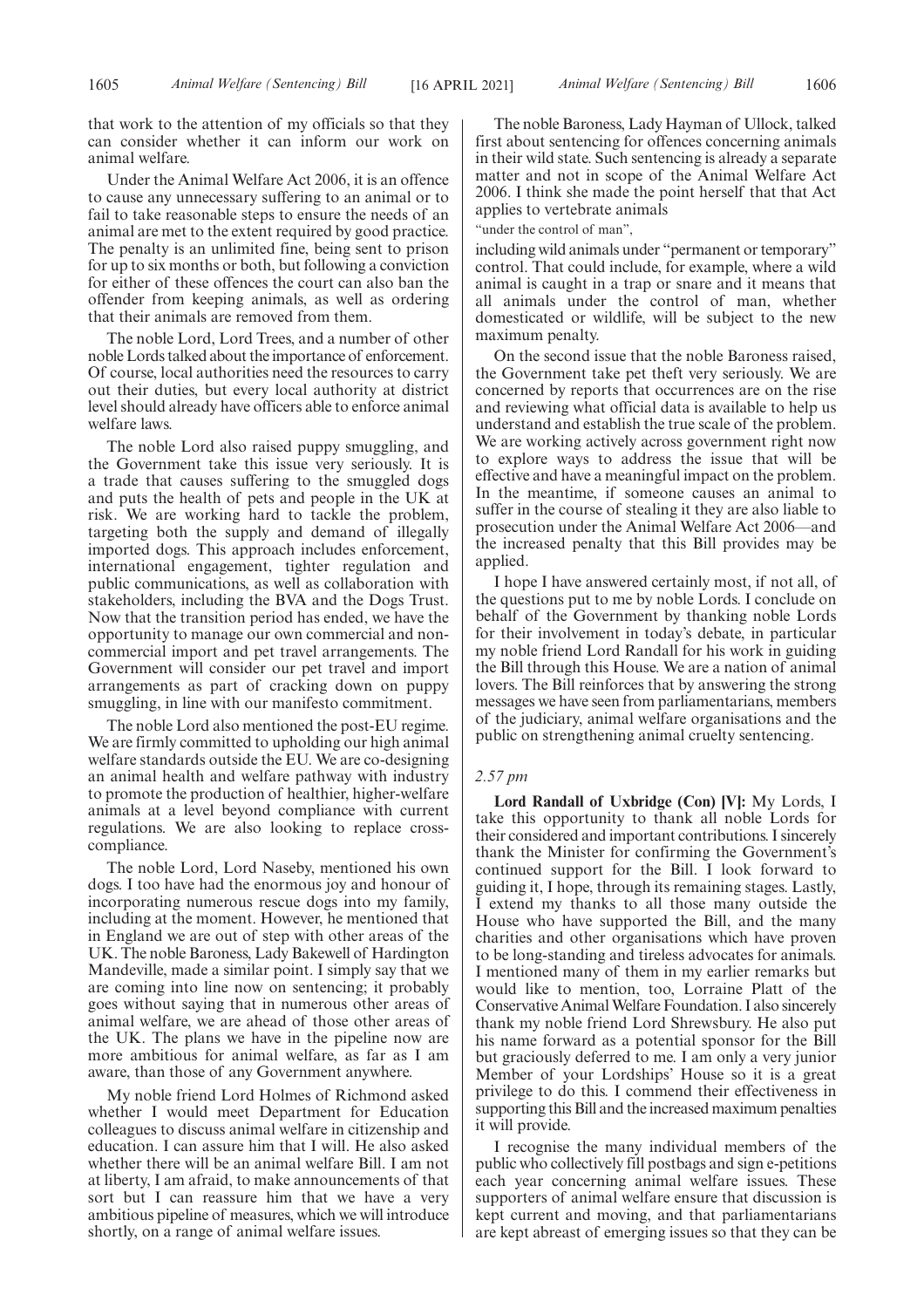that work to the attention of my officials so that they can consider whether it can inform our work on animal welfare.

Under the Animal Welfare Act 2006, it is an offence to cause any unnecessary suffering to an animal or to fail to take reasonable steps to ensure the needs of an animal are met to the extent required by good practice. The penalty is an unlimited fine, being sent to prison for up to six months or both, but following a conviction for either of these offences the court can also ban the offender from keeping animals, as well as ordering that their animals are removed from them.

The noble Lord, Lord Trees, and a number of other noble Lords talked about the importance of enforcement. Of course, local authorities need the resources to carry out their duties, but every local authority at district level should already have officers able to enforce animal welfare laws.

The noble Lord also raised puppy smuggling, and the Government take this issue very seriously. It is a trade that causes suffering to the smuggled dogs and puts the health of pets and people in the UK at risk. We are working hard to tackle the problem, targeting both the supply and demand of illegally imported dogs. This approach includes enforcement, international engagement, tighter regulation and public communications, as well as collaboration with stakeholders, including the BVA and the Dogs Trust. Now that the transition period has ended, we have the opportunity to manage our own commercial and noncommercial import and pet travel arrangements. The Government will consider our pet travel and import arrangements as part of cracking down on puppy smuggling, in line with our manifesto commitment.

The noble Lord also mentioned the post-EU regime. We are firmly committed to upholding our high animal welfare standards outside the EU. We are co-designing an animal health and welfare pathway with industry to promote the production of healthier, higher-welfare animals at a level beyond compliance with current regulations. We are also looking to replace crosscompliance.

The noble Lord, Lord Naseby, mentioned his own dogs. I too have had the enormous joy and honour of incorporating numerous rescue dogs into my family, including at the moment. However, he mentioned that in England we are out of step with other areas of the UK. The noble Baroness, Lady Bakewell of Hardington Mandeville, made a similar point. I simply say that we are coming into line now on sentencing; it probably goes without saying that in numerous other areas of animal welfare, we are ahead of those other areas of the UK. The plans we have in the pipeline now are more ambitious for animal welfare, as far as I am aware, than those of any Government anywhere.

My noble friend Lord Holmes of Richmond asked whether I would meet Department for Education colleagues to discuss animal welfare in citizenship and education. I can assure him that I will. He also asked whether there will be an animal welfare Bill. I am not at liberty, I am afraid, to make announcements of that sort but I can reassure him that we have a very ambitious pipeline of measures, which we will introduce shortly, on a range of animal welfare issues.

The noble Baroness, Lady Hayman of Ullock, talked first about sentencing for offences concerning animals in their wild state. Such sentencing is already a separate matter and not in scope of the Animal Welfare Act 2006. I think she made the point herself that that Act applies to vertebrate animals

"under the control of man",

including wild animals under "permanent or temporary" control. That could include, for example, where a wild animal is caught in a trap or snare and it means that all animals under the control of man, whether domesticated or wildlife, will be subject to the new maximum penalty.

On the second issue that the noble Baroness raised, the Government take pet theft very seriously. We are concerned by reports that occurrences are on the rise and reviewing what official data is available to help us understand and establish the true scale of the problem. We are working actively across government right now to explore ways to address the issue that will be effective and have a meaningful impact on the problem. In the meantime, if someone causes an animal to suffer in the course of stealing it they are also liable to prosecution under the Animal Welfare Act 2006—and the increased penalty that this Bill provides may be applied.

I hope I have answered certainly most, if not all, of the questions put to me by noble Lords. I conclude on behalf of the Government by thanking noble Lords for their involvement in today's debate, in particular my noble friend Lord Randall for his work in guiding the Bill through this House. We are a nation of animal lovers. The Bill reinforces that by answering the strong messages we have seen from parliamentarians, members of the judiciary, animal welfare organisations and the public on strengthening animal cruelty sentencing.

# *2.57 pm*

**Lord Randall of Uxbridge (Con) [V]:** My Lords, I take this opportunity to thank all noble Lords for their considered and important contributions. I sincerely thank the Minister for confirming the Government's continued support for the Bill. I look forward to guiding it, I hope, through its remaining stages. Lastly, I extend my thanks to all those many outside the House who have supported the Bill, and the many charities and other organisations which have proven to be long-standing and tireless advocates for animals. I mentioned many of them in my earlier remarks but would like to mention, too, Lorraine Platt of the Conservative Animal Welfare Foundation. I also sincerely thank my noble friend Lord Shrewsbury. He also put his name forward as a potential sponsor for the Bill but graciously deferred to me. I am only a very junior Member of your Lordships' House so it is a great privilege to do this. I commend their effectiveness in supporting this Bill and the increased maximum penalties it will provide.

I recognise the many individual members of the public who collectively fill postbags and sign e-petitions each year concerning animal welfare issues. These supporters of animal welfare ensure that discussion is kept current and moving, and that parliamentarians are kept abreast of emerging issues so that they can be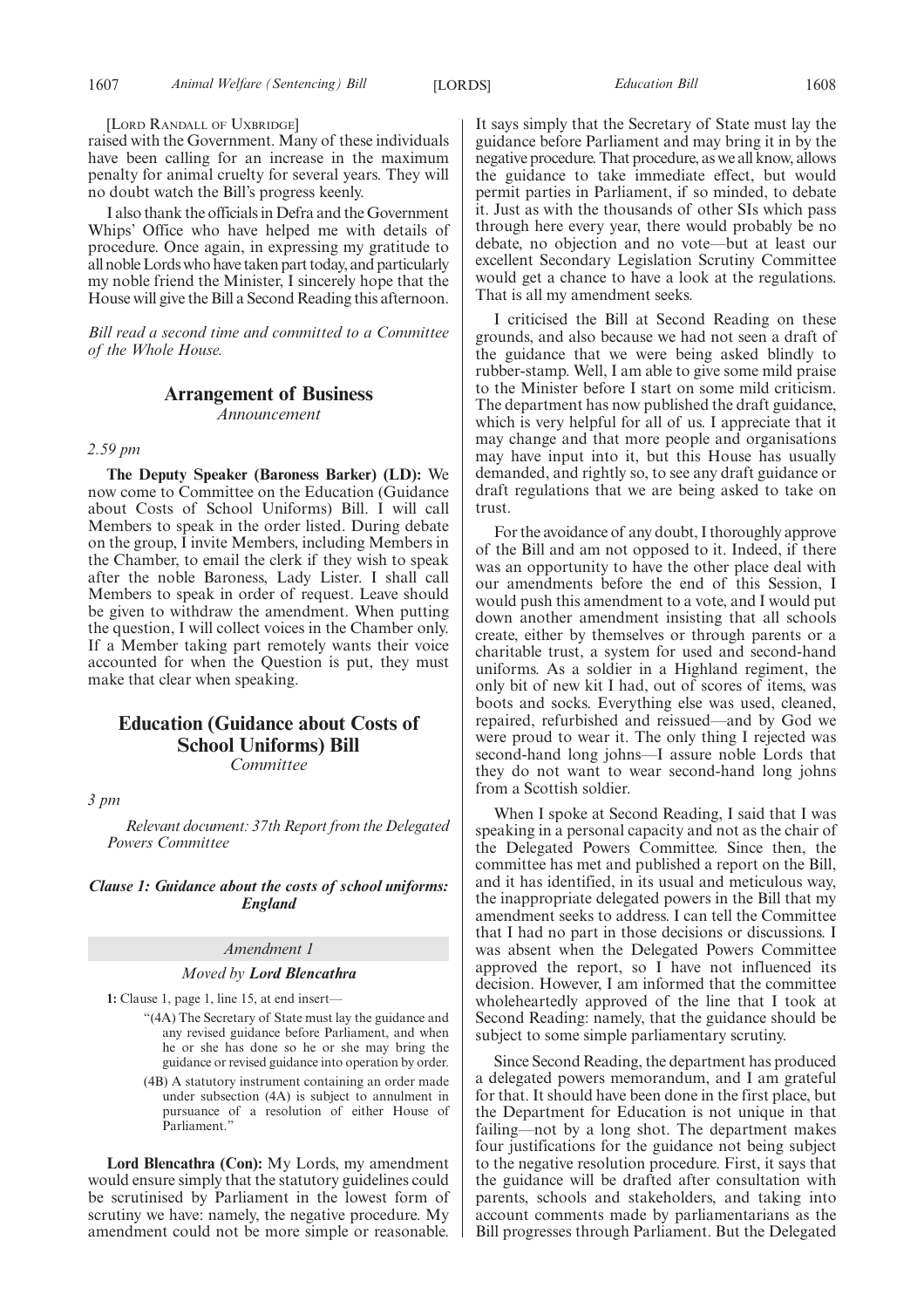#### [LORD RANDALL OF UXBRIDGE]

raised with the Government. Many of these individuals have been calling for an increase in the maximum penalty for animal cruelty for several years. They will no doubt watch the Bill's progress keenly.

I also thank the officials in Defra and the Government Whips' Office who have helped me with details of procedure. Once again, in expressing my gratitude to all noble Lords who have taken part today, and particularly my noble friend the Minister, I sincerely hope that the House will give the Bill a Second Reading this afternoon.

*Bill read a second time and committed to a Committee of the Whole House.*

# **Arrangement of Business**

*Announcement*

# *2.59 pm*

**The Deputy Speaker (Baroness Barker) (LD):** We now come to Committee on the Education (Guidance about Costs of School Uniforms) Bill. I will call Members to speak in the order listed. During debate on the group, I invite Members, including Members in the Chamber, to email the clerk if they wish to speak after the noble Baroness, Lady Lister. I shall call Members to speak in order of request. Leave should be given to withdraw the amendment. When putting the question, I will collect voices in the Chamber only. If a Member taking part remotely wants their voice accounted for when the Question is put, they must make that clear when speaking.

# **Education (Guidance about Costs of School Uniforms) Bill**

*Committee*

*3 pm*

*Relevant document: 37th Report from the Delegated Powers Committee*

## *Clause 1: Guidance about the costs of school uniforms: England*

#### *Amendment 1*

#### *Moved by Lord Blencathra*

**1:** Clause 1, page 1, line 15, at end insert—

- "(4A) The Secretary of State must lay the guidance and any revised guidance before Parliament, and when he or she has done so he or she may bring the guidance or revised guidance into operation by order.
- (4B) A statutory instrument containing an order made under subsection (4A) is subject to annulment in pursuance of a resolution of either House of Parliament."

**Lord Blencathra (Con):** My Lords, my amendment would ensure simply that the statutory guidelines could be scrutinised by Parliament in the lowest form of scrutiny we have: namely, the negative procedure. My amendment could not be more simple or reasonable. It says simply that the Secretary of State must lay the guidance before Parliament and may bring it in by the negative procedure. That procedure, as we all know, allows the guidance to take immediate effect, but would permit parties in Parliament, if so minded, to debate it. Just as with the thousands of other SIs which pass through here every year, there would probably be no debate, no objection and no vote—but at least our excellent Secondary Legislation Scrutiny Committee would get a chance to have a look at the regulations. That is all my amendment seeks.

I criticised the Bill at Second Reading on these grounds, and also because we had not seen a draft of the guidance that we were being asked blindly to rubber-stamp. Well, I am able to give some mild praise to the Minister before I start on some mild criticism. The department has now published the draft guidance, which is very helpful for all of us. I appreciate that it may change and that more people and organisations may have input into it, but this House has usually demanded, and rightly so, to see any draft guidance or draft regulations that we are being asked to take on trust.

For the avoidance of any doubt, I thoroughly approve of the Bill and am not opposed to it. Indeed, if there was an opportunity to have the other place deal with our amendments before the end of this Session, I would push this amendment to a vote, and I would put down another amendment insisting that all schools create, either by themselves or through parents or a charitable trust, a system for used and second-hand uniforms. As a soldier in a Highland regiment, the only bit of new kit I had, out of scores of items, was boots and socks. Everything else was used, cleaned, repaired, refurbished and reissued—and by God we were proud to wear it. The only thing I rejected was second-hand long johns—I assure noble Lords that they do not want to wear second-hand long johns from a Scottish soldier.

When I spoke at Second Reading, I said that I was speaking in a personal capacity and not as the chair of the Delegated Powers Committee. Since then, the committee has met and published a report on the Bill, and it has identified, in its usual and meticulous way, the inappropriate delegated powers in the Bill that my amendment seeks to address. I can tell the Committee that I had no part in those decisions or discussions. I was absent when the Delegated Powers Committee approved the report, so I have not influenced its decision. However, I am informed that the committee wholeheartedly approved of the line that I took at Second Reading: namely, that the guidance should be subject to some simple parliamentary scrutiny.

Since Second Reading, the department has produced a delegated powers memorandum, and I am grateful for that. It should have been done in the first place, but the Department for Education is not unique in that failing—not by a long shot. The department makes four justifications for the guidance not being subject to the negative resolution procedure. First, it says that the guidance will be drafted after consultation with parents, schools and stakeholders, and taking into account comments made by parliamentarians as the Bill progresses through Parliament. But the Delegated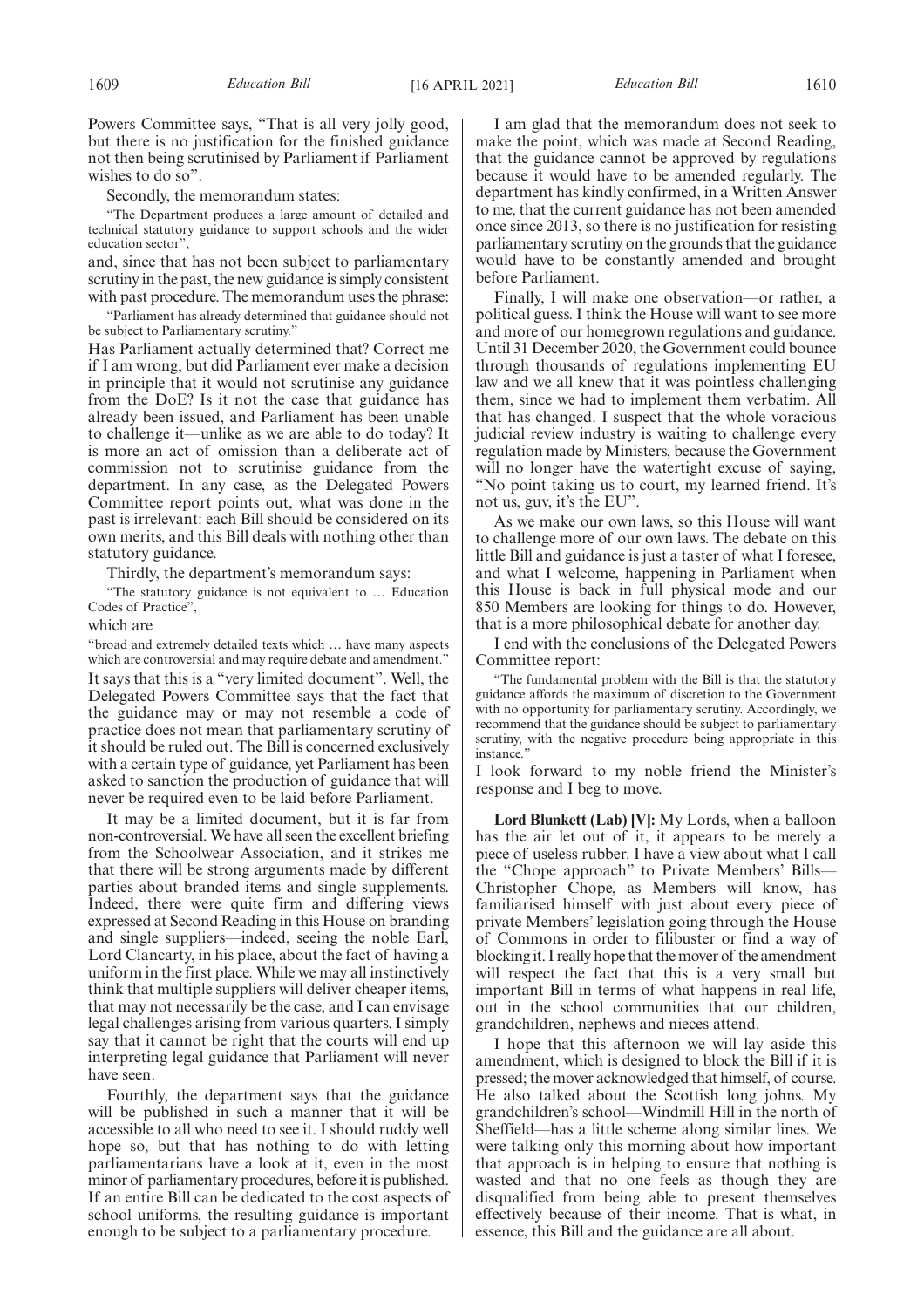Powers Committee says, "That is all very jolly good, but there is no justification for the finished guidance not then being scrutinised by Parliament if Parliament wishes to do so".

Secondly, the memorandum states:

"The Department produces a large amount of detailed and technical statutory guidance to support schools and the wider education sector",

and, since that has not been subject to parliamentary scrutiny in the past, the new guidance is simply consistent with past procedure. The memorandum uses the phrase:

"Parliament has already determined that guidance should not be subject to Parliamentary scrutiny.

Has Parliament actually determined that? Correct me if I am wrong, but did Parliament ever make a decision in principle that it would not scrutinise any guidance from the DoE? Is it not the case that guidance has already been issued, and Parliament has been unable to challenge it—unlike as we are able to do today? It is more an act of omission than a deliberate act of commission not to scrutinise guidance from the department. In any case, as the Delegated Powers Committee report points out, what was done in the past is irrelevant: each Bill should be considered on its own merits, and this Bill deals with nothing other than statutory guidance.

Thirdly, the department's memorandum says:

"The statutory guidance is not equivalent to … Education Codes of Practice'

which are

"broad and extremely detailed texts which … have many aspects which are controversial and may require debate and amendment." It says that this is a "very limited document". Well, the Delegated Powers Committee says that the fact that the guidance may or may not resemble a code of practice does not mean that parliamentary scrutiny of it should be ruled out. The Bill is concerned exclusively with a certain type of guidance, yet Parliament has been asked to sanction the production of guidance that will never be required even to be laid before Parliament.

It may be a limited document, but it is far from non-controversial. We have all seen the excellent briefing from the Schoolwear Association, and it strikes me that there will be strong arguments made by different parties about branded items and single supplements. Indeed, there were quite firm and differing views expressed at Second Reading in this House on branding and single suppliers—indeed, seeing the noble Earl, Lord Clancarty, in his place, about the fact of having a uniform in the first place. While we may all instinctively think that multiple suppliers will deliver cheaper items, that may not necessarily be the case, and I can envisage legal challenges arising from various quarters. I simply say that it cannot be right that the courts will end up interpreting legal guidance that Parliament will never have seen.

Fourthly, the department says that the guidance will be published in such a manner that it will be accessible to all who need to see it. I should ruddy well hope so, but that has nothing to do with letting parliamentarians have a look at it, even in the most minor of parliamentary procedures, before it is published. If an entire Bill can be dedicated to the cost aspects of school uniforms, the resulting guidance is important enough to be subject to a parliamentary procedure.

I am glad that the memorandum does not seek to make the point, which was made at Second Reading, that the guidance cannot be approved by regulations because it would have to be amended regularly. The department has kindly confirmed, in a Written Answer to me, that the current guidance has not been amended once since 2013, so there is no justification for resisting parliamentary scrutiny on the grounds that the guidance would have to be constantly amended and brought before Parliament.

Finally, I will make one observation—or rather, a political guess. I think the House will want to see more and more of our homegrown regulations and guidance. Until 31 December 2020, the Government could bounce through thousands of regulations implementing EU law and we all knew that it was pointless challenging them, since we had to implement them verbatim. All that has changed. I suspect that the whole voracious judicial review industry is waiting to challenge every regulation made by Ministers, because the Government will no longer have the watertight excuse of saying, "No point taking us to court, my learned friend. It's not us, guv, it's the EU".

As we make our own laws, so this House will want to challenge more of our own laws. The debate on this little Bill and guidance is just a taster of what I foresee, and what I welcome, happening in Parliament when this House is back in full physical mode and our 850 Members are looking for things to do. However, that is a more philosophical debate for another day.

I end with the conclusions of the Delegated Powers Committee report:

"The fundamental problem with the Bill is that the statutory guidance affords the maximum of discretion to the Government with no opportunity for parliamentary scrutiny. Accordingly, we recommend that the guidance should be subject to parliamentary scrutiny, with the negative procedure being appropriate in this instance.'

I look forward to my noble friend the Minister's response and I beg to move.

**Lord Blunkett (Lab) [V]:** My Lords, when a balloon has the air let out of it, it appears to be merely a piece of useless rubber. I have a view about what I call the "Chope approach" to Private Members' Bills— Christopher Chope, as Members will know, has familiarised himself with just about every piece of private Members' legislation going through the House of Commons in order to filibuster or find a way of blocking it. I really hope that the mover of the amendment will respect the fact that this is a very small but important Bill in terms of what happens in real life, out in the school communities that our children, grandchildren, nephews and nieces attend.

I hope that this afternoon we will lay aside this amendment, which is designed to block the Bill if it is pressed; the mover acknowledged that himself, of course. He also talked about the Scottish long johns. My grandchildren's school—Windmill Hill in the north of Sheffield—has a little scheme along similar lines. We were talking only this morning about how important that approach is in helping to ensure that nothing is wasted and that no one feels as though they are disqualified from being able to present themselves effectively because of their income. That is what, in essence, this Bill and the guidance are all about.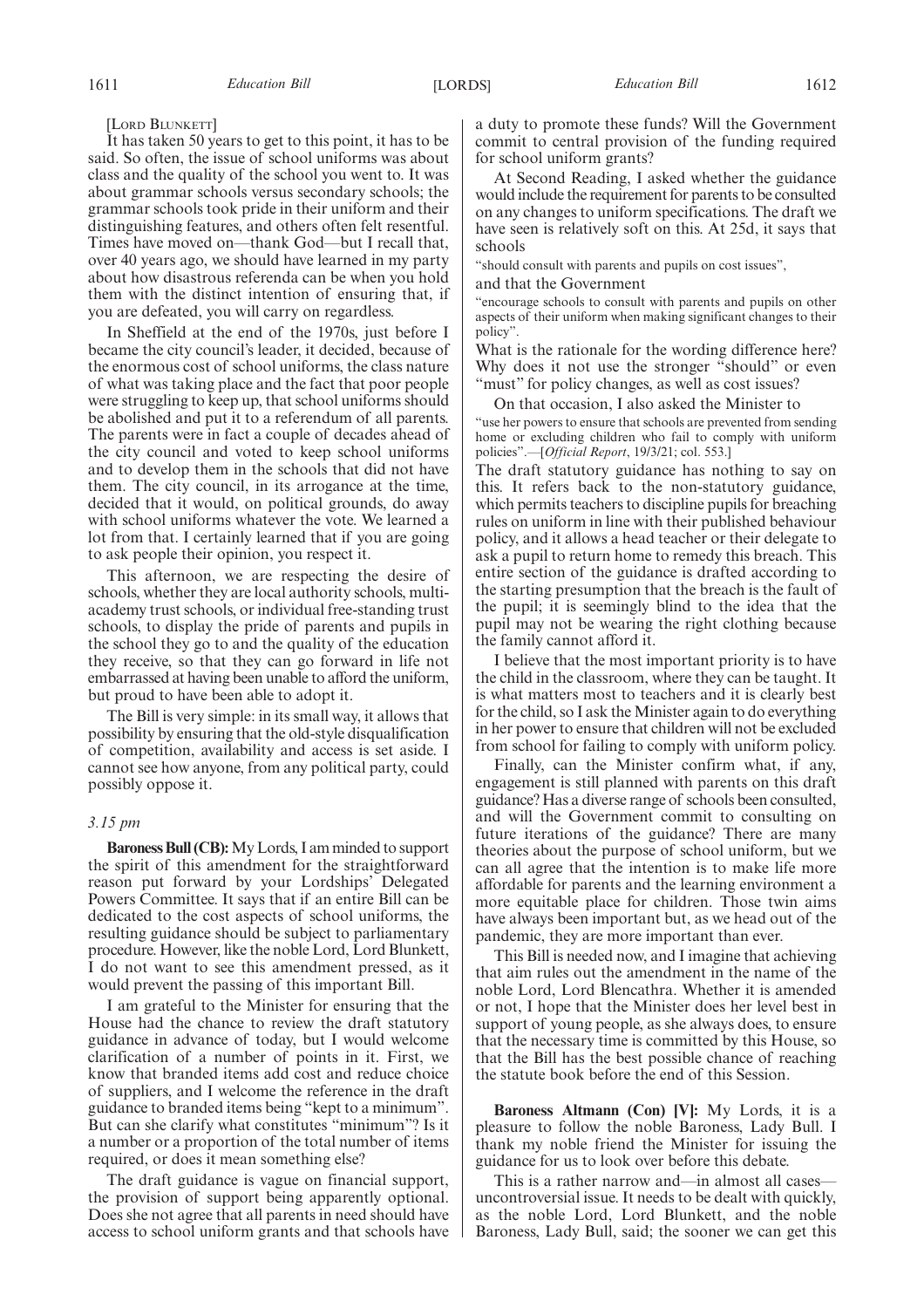[LORD BLUNKETT]

It has taken 50 years to get to this point, it has to be said. So often, the issue of school uniforms was about class and the quality of the school you went to. It was about grammar schools versus secondary schools; the grammar schools took pride in their uniform and their distinguishing features, and others often felt resentful. Times have moved on—thank God—but I recall that, over 40 years ago, we should have learned in my party about how disastrous referenda can be when you hold them with the distinct intention of ensuring that, if you are defeated, you will carry on regardless.

In Sheffield at the end of the 1970s, just before I became the city council's leader, it decided, because of the enormous cost of school uniforms, the class nature of what was taking place and the fact that poor people were struggling to keep up, that school uniforms should be abolished and put it to a referendum of all parents. The parents were in fact a couple of decades ahead of the city council and voted to keep school uniforms and to develop them in the schools that did not have them. The city council, in its arrogance at the time, decided that it would, on political grounds, do away with school uniforms whatever the vote. We learned a lot from that. I certainly learned that if you are going to ask people their opinion, you respect it.

This afternoon, we are respecting the desire of schools, whether they are local authority schools, multiacademy trust schools, or individual free-standing trust schools, to display the pride of parents and pupils in the school they go to and the quality of the education they receive, so that they can go forward in life not embarrassed at having been unable to afford the uniform, but proud to have been able to adopt it.

The Bill is very simple: in its small way, it allows that possibility by ensuring that the old-style disqualification of competition, availability and access is set aside. I cannot see how anyone, from any political party, could possibly oppose it.

## *3.15 pm*

**Baroness Bull (CB):**My Lords, I am minded to support the spirit of this amendment for the straightforward reason put forward by your Lordships' Delegated Powers Committee. It says that if an entire Bill can be dedicated to the cost aspects of school uniforms, the resulting guidance should be subject to parliamentary procedure. However, like the noble Lord, Lord Blunkett, I do not want to see this amendment pressed, as it would prevent the passing of this important Bill.

I am grateful to the Minister for ensuring that the House had the chance to review the draft statutory guidance in advance of today, but I would welcome clarification of a number of points in it. First, we know that branded items add cost and reduce choice of suppliers, and I welcome the reference in the draft guidance to branded items being "kept to a minimum". But can she clarify what constitutes "minimum"? Is it a number or a proportion of the total number of items required, or does it mean something else?

The draft guidance is vague on financial support, the provision of support being apparently optional. Does she not agree that all parents in need should have access to school uniform grants and that schools have a duty to promote these funds? Will the Government commit to central provision of the funding required for school uniform grants?

At Second Reading, I asked whether the guidance would include the requirement for parents to be consulted on any changes to uniform specifications. The draft we have seen is relatively soft on this. At 25d, it says that schools

"should consult with parents and pupils on cost issues",

and that the Government

"encourage schools to consult with parents and pupils on other aspects of their uniform when making significant changes to their policy".

What is the rationale for the wording difference here? Why does it not use the stronger "should" or even "must" for policy changes, as well as cost issues?

On that occasion, I also asked the Minister to

"use her powers to ensure that schools are prevented from sending home or excluding children who fail to comply with uniform policies".—[*Official Report*, 19/3/21; col. 553.]

The draft statutory guidance has nothing to say on this. It refers back to the non-statutory guidance, which permits teachers to discipline pupils for breaching rules on uniform in line with their published behaviour policy, and it allows a head teacher or their delegate to ask a pupil to return home to remedy this breach. This entire section of the guidance is drafted according to the starting presumption that the breach is the fault of the pupil; it is seemingly blind to the idea that the pupil may not be wearing the right clothing because the family cannot afford it.

I believe that the most important priority is to have the child in the classroom, where they can be taught. It is what matters most to teachers and it is clearly best for the child, so I ask the Minister again to do everything in her power to ensure that children will not be excluded from school for failing to comply with uniform policy.

Finally, can the Minister confirm what, if any, engagement is still planned with parents on this draft guidance? Has a diverse range of schools been consulted, and will the Government commit to consulting on future iterations of the guidance? There are many theories about the purpose of school uniform, but we can all agree that the intention is to make life more affordable for parents and the learning environment a more equitable place for children. Those twin aims have always been important but, as we head out of the pandemic, they are more important than ever.

This Bill is needed now, and I imagine that achieving that aim rules out the amendment in the name of the noble Lord, Lord Blencathra. Whether it is amended or not, I hope that the Minister does her level best in support of young people, as she always does, to ensure that the necessary time is committed by this House, so that the Bill has the best possible chance of reaching the statute book before the end of this Session.

**Baroness Altmann (Con) [V]:** My Lords, it is a pleasure to follow the noble Baroness, Lady Bull. I thank my noble friend the Minister for issuing the guidance for us to look over before this debate.

This is a rather narrow and—in almost all cases uncontroversial issue. It needs to be dealt with quickly, as the noble Lord, Lord Blunkett, and the noble Baroness, Lady Bull, said; the sooner we can get this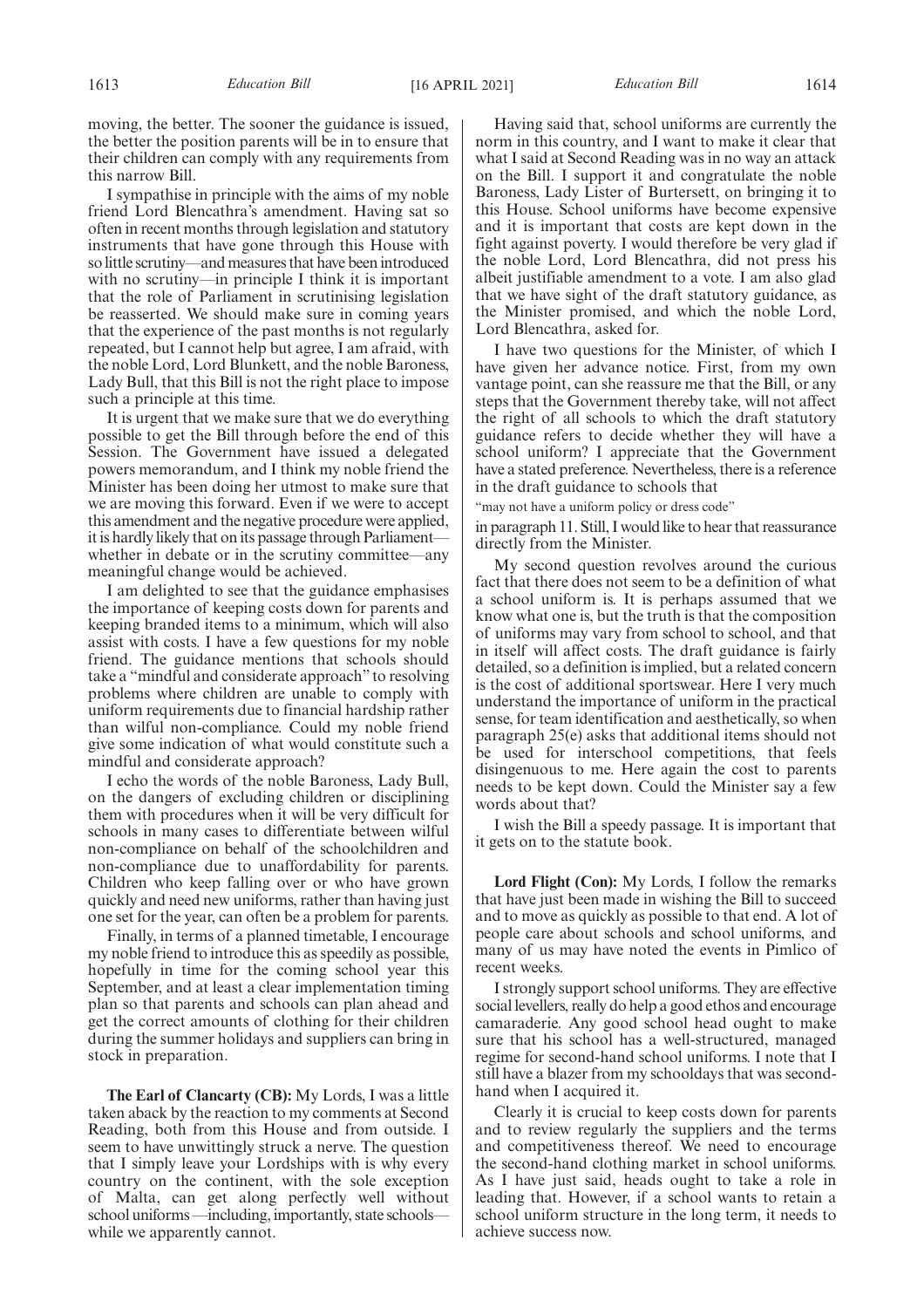moving, the better. The sooner the guidance is issued, the better the position parents will be in to ensure that their children can comply with any requirements from this narrow Bill.

I sympathise in principle with the aims of my noble friend Lord Blencathra's amendment. Having sat so often in recent months through legislation and statutory instruments that have gone through this House with so little scrutiny—and measures that have been introduced with no scrutiny—in principle I think it is important that the role of Parliament in scrutinising legislation be reasserted. We should make sure in coming years that the experience of the past months is not regularly repeated, but I cannot help but agree, I am afraid, with the noble Lord, Lord Blunkett, and the noble Baroness, Lady Bull, that this Bill is not the right place to impose such a principle at this time.

It is urgent that we make sure that we do everything possible to get the Bill through before the end of this Session. The Government have issued a delegated powers memorandum, and I think my noble friend the Minister has been doing her utmost to make sure that we are moving this forward. Even if we were to accept this amendment and the negative procedure were applied, it is hardly likely that on its passage through Parliament whether in debate or in the scrutiny committee—any meaningful change would be achieved.

I am delighted to see that the guidance emphasises the importance of keeping costs down for parents and keeping branded items to a minimum, which will also assist with costs. I have a few questions for my noble friend. The guidance mentions that schools should take a "mindful and considerate approach" to resolving problems where children are unable to comply with uniform requirements due to financial hardship rather than wilful non-compliance. Could my noble friend give some indication of what would constitute such a mindful and considerate approach?

I echo the words of the noble Baroness, Lady Bull, on the dangers of excluding children or disciplining them with procedures when it will be very difficult for schools in many cases to differentiate between wilful non-compliance on behalf of the schoolchildren and non-compliance due to unaffordability for parents. Children who keep falling over or who have grown quickly and need new uniforms, rather than having just one set for the year, can often be a problem for parents.

Finally, in terms of a planned timetable, I encourage my noble friend to introduce this as speedily as possible, hopefully in time for the coming school year this September, and at least a clear implementation timing plan so that parents and schools can plan ahead and get the correct amounts of clothing for their children during the summer holidays and suppliers can bring in stock in preparation.

**The Earl of Clancarty (CB):** My Lords, I was a little taken aback by the reaction to my comments at Second Reading, both from this House and from outside. I seem to have unwittingly struck a nerve. The question that I simply leave your Lordships with is why every country on the continent, with the sole exception of Malta, can get along perfectly well without school uniforms —including, importantly, state schools while we apparently cannot.

Having said that, school uniforms are currently the norm in this country, and I want to make it clear that what I said at Second Reading was in no way an attack on the Bill. I support it and congratulate the noble Baroness, Lady Lister of Burtersett, on bringing it to this House. School uniforms have become expensive and it is important that costs are kept down in the fight against poverty. I would therefore be very glad if the noble Lord, Lord Blencathra, did not press his albeit justifiable amendment to a vote. I am also glad that we have sight of the draft statutory guidance, as the Minister promised, and which the noble Lord, Lord Blencathra, asked for.

I have two questions for the Minister, of which I have given her advance notice. First, from my own vantage point, can she reassure me that the Bill, or any steps that the Government thereby take, will not affect the right of all schools to which the draft statutory guidance refers to decide whether they will have a school uniform? I appreciate that the Government have a stated preference. Nevertheless, there is a reference in the draft guidance to schools that

"may not have a uniform policy or dress code"

in paragraph 11. Still, I would like to hear that reassurance directly from the Minister.

My second question revolves around the curious fact that there does not seem to be a definition of what a school uniform is. It is perhaps assumed that we know what one is, but the truth is that the composition of uniforms may vary from school to school, and that in itself will affect costs. The draft guidance is fairly detailed, so a definition is implied, but a related concern is the cost of additional sportswear. Here I very much understand the importance of uniform in the practical sense, for team identification and aesthetically, so when paragraph 25(e) asks that additional items should not be used for interschool competitions, that feels disingenuous to me. Here again the cost to parents needs to be kept down. Could the Minister say a few words about that?

I wish the Bill a speedy passage. It is important that it gets on to the statute book.

**Lord Flight (Con):** My Lords, I follow the remarks that have just been made in wishing the Bill to succeed and to move as quickly as possible to that end. A lot of people care about schools and school uniforms, and many of us may have noted the events in Pimlico of recent weeks.

I strongly support school uniforms. They are effective social levellers, really do help a good ethos and encourage camaraderie. Any good school head ought to make sure that his school has a well-structured, managed regime for second-hand school uniforms. I note that I still have a blazer from my schooldays that was secondhand when I acquired it.

Clearly it is crucial to keep costs down for parents and to review regularly the suppliers and the terms and competitiveness thereof. We need to encourage the second-hand clothing market in school uniforms. As I have just said, heads ought to take a role in leading that. However, if a school wants to retain a school uniform structure in the long term, it needs to achieve success now.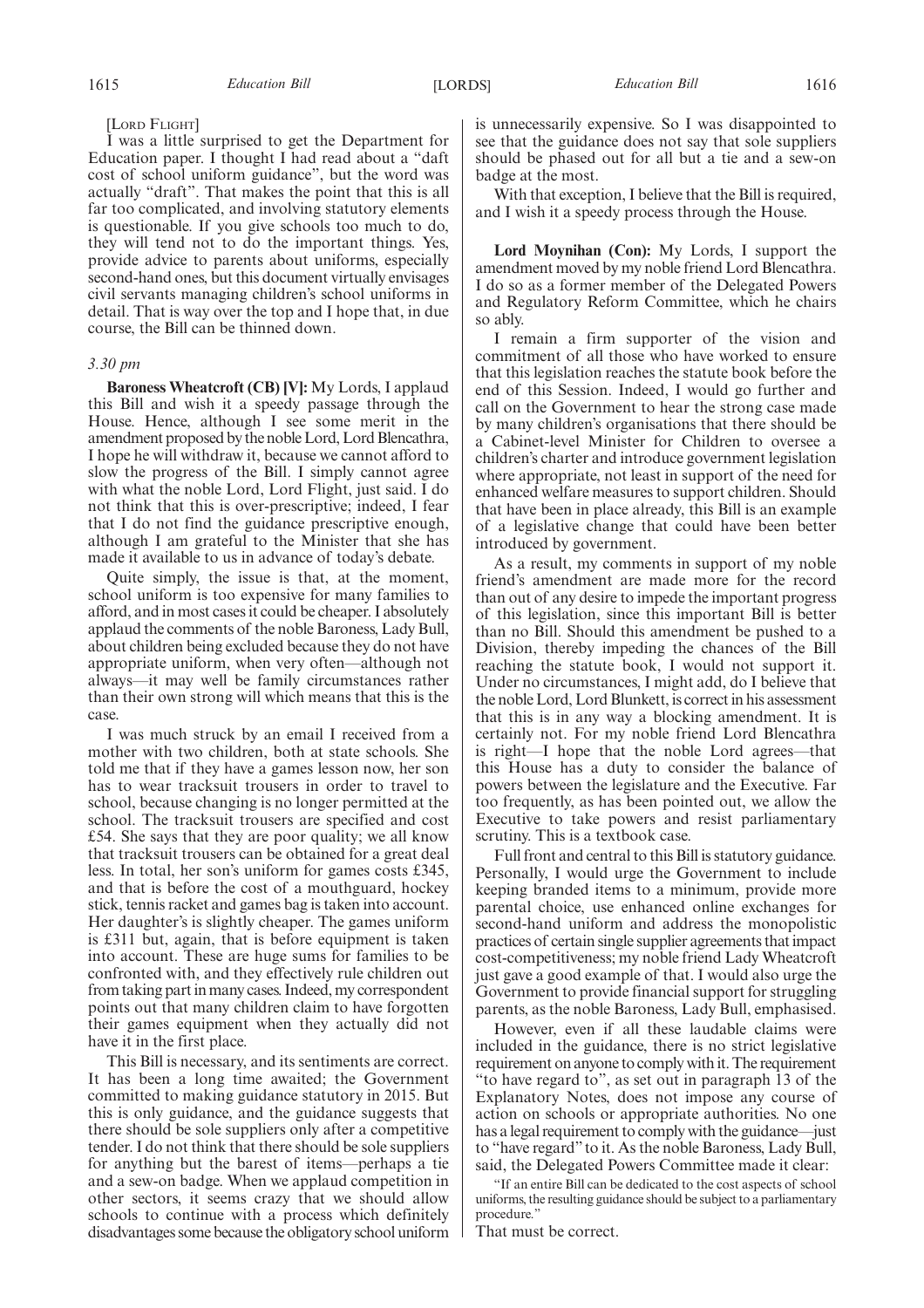#### [LORD FLIGHT]

I was a little surprised to get the Department for Education paper. I thought I had read about a "daft cost of school uniform guidance", but the word was actually "draft". That makes the point that this is all far too complicated, and involving statutory elements is questionable. If you give schools too much to do, they will tend not to do the important things. Yes, provide advice to parents about uniforms, especially second-hand ones, but this document virtually envisages civil servants managing children's school uniforms in detail. That is way over the top and I hope that, in due course, the Bill can be thinned down.

#### *3.30 pm*

**Baroness Wheatcroft (CB) [V]:** My Lords, I applaud this Bill and wish it a speedy passage through the House. Hence, although I see some merit in the amendment proposed by the noble Lord, Lord Blencathra, I hope he will withdraw it, because we cannot afford to slow the progress of the Bill. I simply cannot agree with what the noble Lord, Lord Flight, just said. I do not think that this is over-prescriptive; indeed, I fear that I do not find the guidance prescriptive enough, although I am grateful to the Minister that she has made it available to us in advance of today's debate.

Quite simply, the issue is that, at the moment, school uniform is too expensive for many families to afford, and in most cases it could be cheaper. I absolutely applaud the comments of the noble Baroness, Lady Bull, about children being excluded because they do not have appropriate uniform, when very often—although not always—it may well be family circumstances rather than their own strong will which means that this is the case.

I was much struck by an email I received from a mother with two children, both at state schools. She told me that if they have a games lesson now, her son has to wear tracksuit trousers in order to travel to school, because changing is no longer permitted at the school. The tracksuit trousers are specified and cost £54. She says that they are poor quality; we all know that tracksuit trousers can be obtained for a great deal less. In total, her son's uniform for games costs £345, and that is before the cost of a mouthguard, hockey stick, tennis racket and games bag is taken into account. Her daughter's is slightly cheaper. The games uniform is £311 but, again, that is before equipment is taken into account. These are huge sums for families to be confronted with, and they effectively rule children out from taking part in many cases. Indeed, my correspondent points out that many children claim to have forgotten their games equipment when they actually did not have it in the first place.

This Bill is necessary, and its sentiments are correct. It has been a long time awaited; the Government committed to making guidance statutory in 2015. But this is only guidance, and the guidance suggests that there should be sole suppliers only after a competitive tender. I do not think that there should be sole suppliers for anything but the barest of items—perhaps a tie and a sew-on badge. When we applaud competition in other sectors, it seems crazy that we should allow schools to continue with a process which definitely disadvantages some because the obligatory school uniform is unnecessarily expensive. So I was disappointed to see that the guidance does not say that sole suppliers should be phased out for all but a tie and a sew-on badge at the most.

With that exception, I believe that the Bill is required, and I wish it a speedy process through the House.

**Lord Moynihan (Con):** My Lords, I support the amendment moved by my noble friend Lord Blencathra. I do so as a former member of the Delegated Powers and Regulatory Reform Committee, which he chairs so ably.

I remain a firm supporter of the vision and commitment of all those who have worked to ensure that this legislation reaches the statute book before the end of this Session. Indeed, I would go further and call on the Government to hear the strong case made by many children's organisations that there should be a Cabinet-level Minister for Children to oversee a children's charter and introduce government legislation where appropriate, not least in support of the need for enhanced welfare measures to support children. Should that have been in place already, this Bill is an example of a legislative change that could have been better introduced by government.

As a result, my comments in support of my noble friend's amendment are made more for the record than out of any desire to impede the important progress of this legislation, since this important Bill is better than no Bill. Should this amendment be pushed to a Division, thereby impeding the chances of the Bill reaching the statute book, I would not support it. Under no circumstances, I might add, do I believe that the noble Lord, Lord Blunkett, is correct in his assessment that this is in any way a blocking amendment. It is certainly not. For my noble friend Lord Blencathra is right—I hope that the noble Lord agrees—that this House has a duty to consider the balance of powers between the legislature and the Executive. Far too frequently, as has been pointed out, we allow the Executive to take powers and resist parliamentary scrutiny. This is a textbook case.

Full front and central to this Bill is statutory guidance. Personally, I would urge the Government to include keeping branded items to a minimum, provide more parental choice, use enhanced online exchanges for second-hand uniform and address the monopolistic practices of certain single supplier agreements that impact cost-competitiveness; my noble friend Lady Wheatcroft just gave a good example of that. I would also urge the Government to provide financial support for struggling parents, as the noble Baroness, Lady Bull, emphasised.

However, even if all these laudable claims were included in the guidance, there is no strict legislative requirement on anyone to comply with it. The requirement "to have regard to", as set out in paragraph 13 of the Explanatory Notes, does not impose any course of action on schools or appropriate authorities. No one has a legal requirement to comply with the guidance—just to "have regard"to it. As the noble Baroness, Lady Bull, said, the Delegated Powers Committee made it clear:

"If an entire Bill can be dedicated to the cost aspects of school uniforms, the resulting guidance should be subject to a parliamentary procedure."

That must be correct.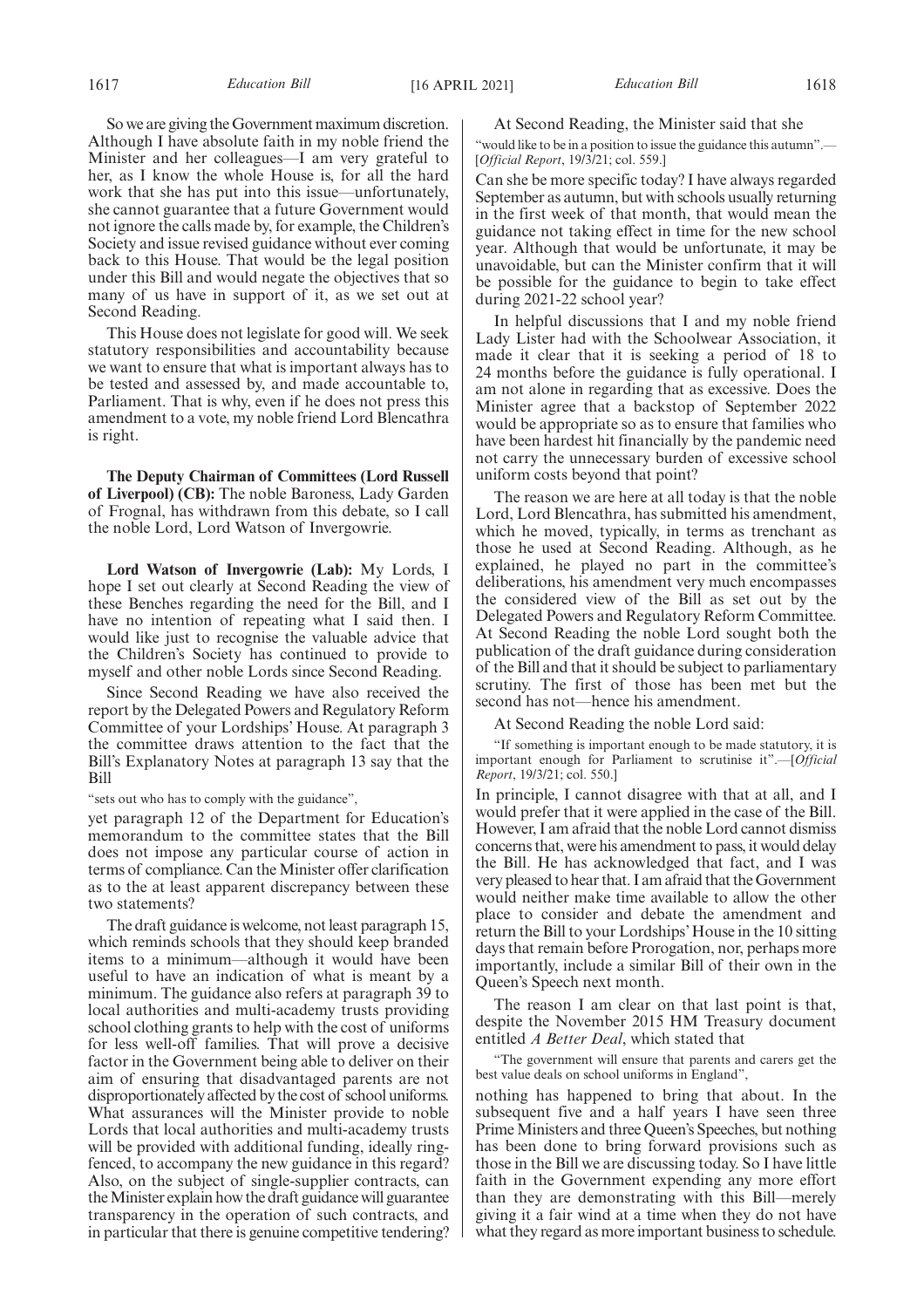So we are giving the Government maximum discretion. Although I have absolute faith in my noble friend the Minister and her colleagues—I am very grateful to her, as I know the whole House is, for all the hard work that she has put into this issue—unfortunately, she cannot guarantee that a future Government would not ignore the calls made by, for example, the Children's Society and issue revised guidance without ever coming back to this House. That would be the legal position under this Bill and would negate the objectives that so many of us have in support of it, as we set out at Second Reading.

This House does not legislate for good will. We seek statutory responsibilities and accountability because we want to ensure that what is important always has to be tested and assessed by, and made accountable to, Parliament. That is why, even if he does not press this amendment to a vote, my noble friend Lord Blencathra is right.

**The Deputy Chairman of Committees (Lord Russell of Liverpool) (CB):** The noble Baroness, Lady Garden of Frognal, has withdrawn from this debate, so I call the noble Lord, Lord Watson of Invergowrie.

**Lord Watson of Invergowrie (Lab):** My Lords, I hope I set out clearly at Second Reading the view of these Benches regarding the need for the Bill, and I have no intention of repeating what I said then. I would like just to recognise the valuable advice that the Children's Society has continued to provide to myself and other noble Lords since Second Reading.

Since Second Reading we have also received the report by the Delegated Powers and Regulatory Reform Committee of your Lordships' House. At paragraph 3 the committee draws attention to the fact that the Bill's Explanatory Notes at paragraph 13 say that the Bill

"sets out who has to comply with the guidance",

yet paragraph 12 of the Department for Education's memorandum to the committee states that the Bill does not impose any particular course of action in terms of compliance. Can the Minister offer clarification as to the at least apparent discrepancy between these two statements?

The draft guidance is welcome, not least paragraph 15, which reminds schools that they should keep branded items to a minimum—although it would have been useful to have an indication of what is meant by a minimum. The guidance also refers at paragraph 39 to local authorities and multi-academy trusts providing school clothing grants to help with the cost of uniforms for less well-off families. That will prove a decisive factor in the Government being able to deliver on their aim of ensuring that disadvantaged parents are not disproportionately affected by the cost of school uniforms. What assurances will the Minister provide to noble Lords that local authorities and multi-academy trusts will be provided with additional funding, ideally ringfenced, to accompany the new guidance in this regard? Also, on the subject of single-supplier contracts, can the Minister explain how the draft guidance will guarantee transparency in the operation of such contracts, and in particular that there is genuine competitive tendering?

#### At Second Reading, the Minister said that she

"would like to be in a position to issue the guidance this autumn".— [*Official Report*, 19/3/21; col. 559.]

Can she be more specific today? I have always regarded September as autumn, but with schools usually returning in the first week of that month, that would mean the guidance not taking effect in time for the new school year. Although that would be unfortunate, it may be unavoidable, but can the Minister confirm that it will be possible for the guidance to begin to take effect during 2021-22 school year?

In helpful discussions that I and my noble friend Lady Lister had with the Schoolwear Association, it made it clear that it is seeking a period of 18 to 24 months before the guidance is fully operational. I am not alone in regarding that as excessive. Does the Minister agree that a backstop of September 2022 would be appropriate so as to ensure that families who have been hardest hit financially by the pandemic need not carry the unnecessary burden of excessive school uniform costs beyond that point?

The reason we are here at all today is that the noble Lord, Lord Blencathra, has submitted his amendment, which he moved, typically, in terms as trenchant as those he used at Second Reading. Although, as he explained, he played no part in the committee's deliberations, his amendment very much encompasses the considered view of the Bill as set out by the Delegated Powers and Regulatory Reform Committee. At Second Reading the noble Lord sought both the publication of the draft guidance during consideration of the Bill and that it should be subject to parliamentary scrutiny. The first of those has been met but the second has not—hence his amendment.

At Second Reading the noble Lord said:

"If something is important enough to be made statutory, it is important enough for Parliament to scrutinise it".—[*Official Report*, 19/3/21; col. 550.]

In principle, I cannot disagree with that at all, and I would prefer that it were applied in the case of the Bill. However, I am afraid that the noble Lord cannot dismiss concerns that, were his amendment to pass, it would delay the Bill. He has acknowledged that fact, and I was very pleased to hear that. I am afraid that the Government would neither make time available to allow the other place to consider and debate the amendment and return the Bill to your Lordships' House in the 10 sitting days that remain before Prorogation, nor, perhaps more importantly, include a similar Bill of their own in the Queen's Speech next month.

The reason I am clear on that last point is that, despite the November 2015 HM Treasury document entitled *A Better Deal*, which stated that

"The government will ensure that parents and carers get the best value deals on school uniforms in England",

nothing has happened to bring that about. In the subsequent five and a half years I have seen three Prime Ministers and three Queen's Speeches, but nothing has been done to bring forward provisions such as those in the Bill we are discussing today. So I have little faith in the Government expending any more effort than they are demonstrating with this Bill—merely giving it a fair wind at a time when they do not have what they regard as more important business to schedule.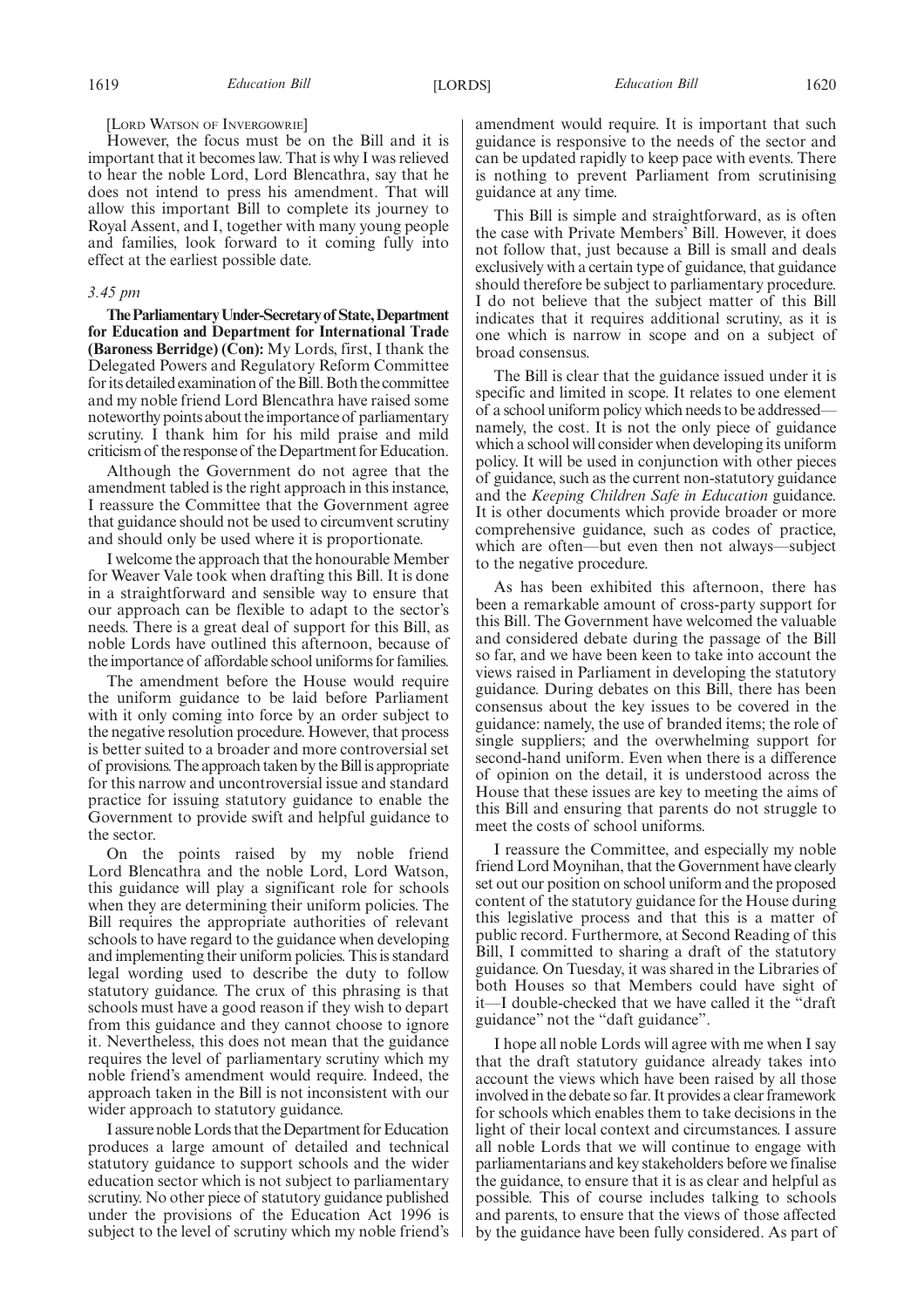[LORD WATSON OF INVERGOWRIE]

However, the focus must be on the Bill and it is important that it becomes law. That is why I was relieved to hear the noble Lord, Lord Blencathra, say that he does not intend to press his amendment. That will allow this important Bill to complete its journey to Royal Assent, and I, together with many young people and families, look forward to it coming fully into effect at the earliest possible date.

#### *3.45 pm*

**TheParliamentaryUnder-Secretaryof State,Department for Education and Department for International Trade (Baroness Berridge) (Con):** My Lords, first, I thank the Delegated Powers and Regulatory Reform Committee for its detailed examination of the Bill. Both the committee and my noble friend Lord Blencathra have raised some noteworthy points about the importance of parliamentary scrutiny. I thank him for his mild praise and mild criticism of the response of the Department for Education.

Although the Government do not agree that the amendment tabled is the right approach in this instance, I reassure the Committee that the Government agree that guidance should not be used to circumvent scrutiny and should only be used where it is proportionate.

I welcome the approach that the honourable Member for Weaver Vale took when drafting this Bill. It is done in a straightforward and sensible way to ensure that our approach can be flexible to adapt to the sector's needs. There is a great deal of support for this Bill, as noble Lords have outlined this afternoon, because of the importance of affordable school uniforms for families.

The amendment before the House would require the uniform guidance to be laid before Parliament with it only coming into force by an order subject to the negative resolution procedure. However, that process is better suited to a broader and more controversial set of provisions. The approach taken by the Bill is appropriate for this narrow and uncontroversial issue and standard practice for issuing statutory guidance to enable the Government to provide swift and helpful guidance to the sector.

On the points raised by my noble friend Lord Blencathra and the noble Lord, Lord Watson, this guidance will play a significant role for schools when they are determining their uniform policies. The Bill requires the appropriate authorities of relevant schools to have regard to the guidance when developing and implementing their uniform policies. This is standard legal wording used to describe the duty to follow statutory guidance. The crux of this phrasing is that schools must have a good reason if they wish to depart from this guidance and they cannot choose to ignore it. Nevertheless, this does not mean that the guidance requires the level of parliamentary scrutiny which my noble friend's amendment would require. Indeed, the approach taken in the Bill is not inconsistent with our wider approach to statutory guidance.

I assure noble Lords that the Department for Education produces a large amount of detailed and technical statutory guidance to support schools and the wider education sector which is not subject to parliamentary scrutiny. No other piece of statutory guidance published under the provisions of the Education Act 1996 is subject to the level of scrutiny which my noble friend's amendment would require. It is important that such guidance is responsive to the needs of the sector and can be updated rapidly to keep pace with events. There is nothing to prevent Parliament from scrutinising guidance at any time.

This Bill is simple and straightforward, as is often the case with Private Members' Bill. However, it does not follow that, just because a Bill is small and deals exclusively with a certain type of guidance, that guidance should therefore be subject to parliamentary procedure. I do not believe that the subject matter of this Bill indicates that it requires additional scrutiny, as it is one which is narrow in scope and on a subject of broad consensus.

The Bill is clear that the guidance issued under it is specific and limited in scope. It relates to one element of a school uniform policy which needs to be addressed namely, the cost. It is not the only piece of guidance which a school will consider when developing its uniform policy. It will be used in conjunction with other pieces of guidance, such as the current non-statutory guidance and the *Keeping Children Safe in Education* guidance. It is other documents which provide broader or more comprehensive guidance, such as codes of practice, which are often—but even then not always—subject to the negative procedure.

As has been exhibited this afternoon, there has been a remarkable amount of cross-party support for this Bill. The Government have welcomed the valuable and considered debate during the passage of the Bill so far, and we have been keen to take into account the views raised in Parliament in developing the statutory guidance. During debates on this Bill, there has been consensus about the key issues to be covered in the guidance: namely, the use of branded items; the role of single suppliers; and the overwhelming support for second-hand uniform. Even when there is a difference of opinion on the detail, it is understood across the House that these issues are key to meeting the aims of this Bill and ensuring that parents do not struggle to meet the costs of school uniforms.

I reassure the Committee, and especially my noble friend Lord Moynihan, that the Government have clearly set out our position on school uniform and the proposed content of the statutory guidance for the House during this legislative process and that this is a matter of public record. Furthermore, at Second Reading of this Bill, I committed to sharing a draft of the statutory guidance. On Tuesday, it was shared in the Libraries of both Houses so that Members could have sight of it—I double-checked that we have called it the "draft guidance" not the "daft guidance".

I hope all noble Lords will agree with me when I say that the draft statutory guidance already takes into account the views which have been raised by all those involved in the debate so far. It provides a clear framework for schools which enables them to take decisions in the light of their local context and circumstances. I assure all noble Lords that we will continue to engage with parliamentarians and key stakeholders before we finalise the guidance, to ensure that it is as clear and helpful as possible. This of course includes talking to schools and parents, to ensure that the views of those affected by the guidance have been fully considered. As part of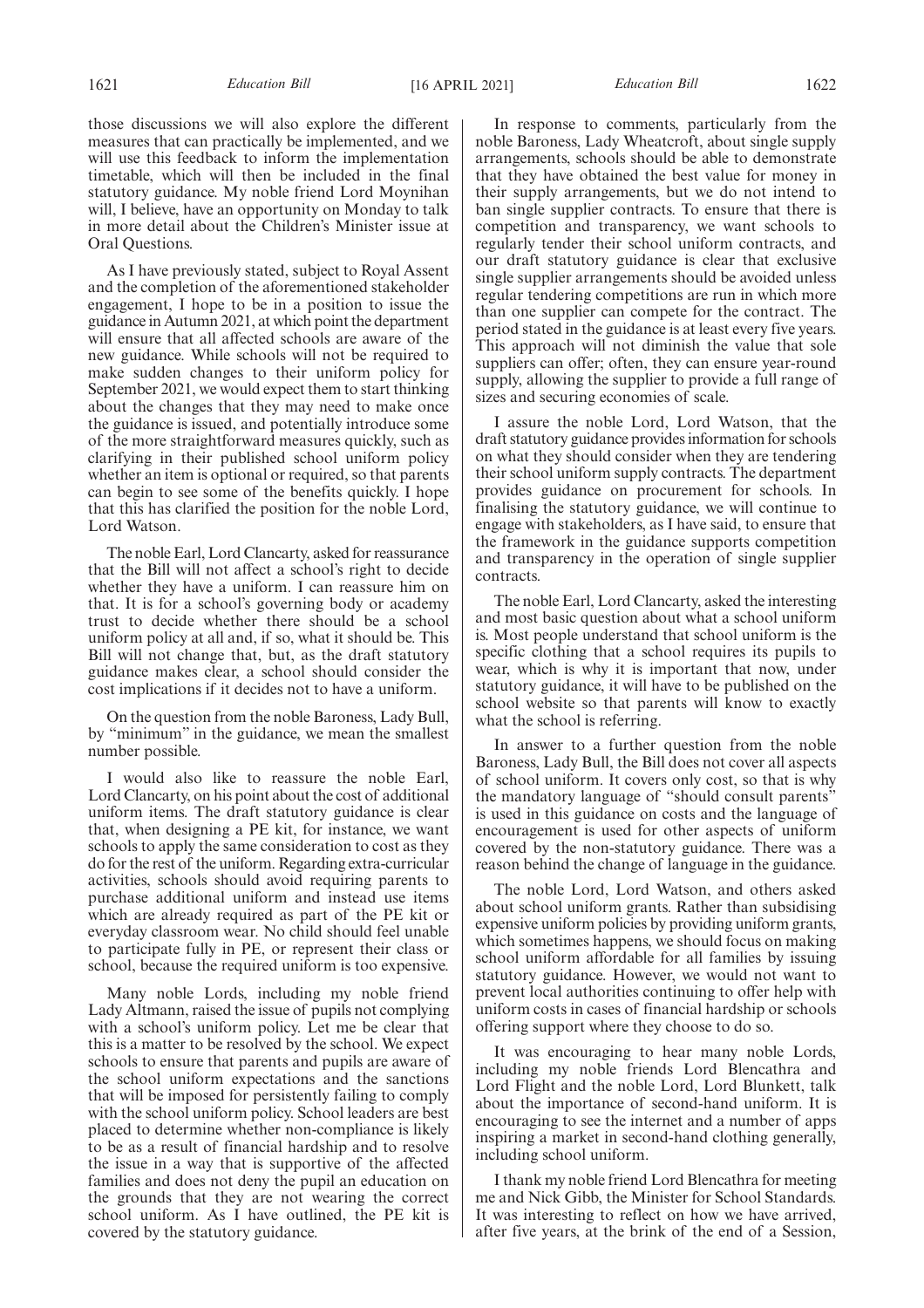those discussions we will also explore the different measures that can practically be implemented, and we will use this feedback to inform the implementation timetable, which will then be included in the final statutory guidance. My noble friend Lord Moynihan will, I believe, have an opportunity on Monday to talk in more detail about the Children's Minister issue at Oral Questions.

As I have previously stated, subject to Royal Assent and the completion of the aforementioned stakeholder engagement, I hope to be in a position to issue the guidance in Autumn 2021, at which point the department will ensure that all affected schools are aware of the new guidance. While schools will not be required to make sudden changes to their uniform policy for September 2021, we would expect them to start thinking about the changes that they may need to make once the guidance is issued, and potentially introduce some of the more straightforward measures quickly, such as clarifying in their published school uniform policy whether an item is optional or required, so that parents can begin to see some of the benefits quickly. I hope that this has clarified the position for the noble Lord, Lord Watson.

The noble Earl, Lord Clancarty, asked for reassurance that the Bill will not affect a school's right to decide whether they have a uniform. I can reassure him on that. It is for a school's governing body or academy trust to decide whether there should be a school uniform policy at all and, if so, what it should be. This Bill will not change that, but, as the draft statutory guidance makes clear, a school should consider the cost implications if it decides not to have a uniform.

On the question from the noble Baroness, Lady Bull, by "minimum" in the guidance, we mean the smallest number possible.

I would also like to reassure the noble Earl, Lord Clancarty, on his point about the cost of additional uniform items. The draft statutory guidance is clear that, when designing a PE kit, for instance, we want schools to apply the same consideration to cost as they do for the rest of the uniform. Regarding extra-curricular activities, schools should avoid requiring parents to purchase additional uniform and instead use items which are already required as part of the PE kit or everyday classroom wear. No child should feel unable to participate fully in PE, or represent their class or school, because the required uniform is too expensive.

Many noble Lords, including my noble friend Lady Altmann, raised the issue of pupils not complying with a school's uniform policy. Let me be clear that this is a matter to be resolved by the school. We expect schools to ensure that parents and pupils are aware of the school uniform expectations and the sanctions that will be imposed for persistently failing to comply with the school uniform policy. School leaders are best placed to determine whether non-compliance is likely to be as a result of financial hardship and to resolve the issue in a way that is supportive of the affected families and does not deny the pupil an education on the grounds that they are not wearing the correct school uniform. As I have outlined, the PE kit is covered by the statutory guidance.

In response to comments, particularly from the noble Baroness, Lady Wheatcroft, about single supply arrangements, schools should be able to demonstrate that they have obtained the best value for money in their supply arrangements, but we do not intend to ban single supplier contracts. To ensure that there is competition and transparency, we want schools to regularly tender their school uniform contracts, and our draft statutory guidance is clear that exclusive single supplier arrangements should be avoided unless regular tendering competitions are run in which more than one supplier can compete for the contract. The period stated in the guidance is at least every five years. This approach will not diminish the value that sole suppliers can offer; often, they can ensure year-round supply, allowing the supplier to provide a full range of sizes and securing economies of scale.

I assure the noble Lord, Lord Watson, that the draft statutory guidance provides information for schools on what they should consider when they are tendering their school uniform supply contracts. The department provides guidance on procurement for schools. In finalising the statutory guidance, we will continue to engage with stakeholders, as I have said, to ensure that the framework in the guidance supports competition and transparency in the operation of single supplier contracts.

The noble Earl, Lord Clancarty, asked the interesting and most basic question about what a school uniform is. Most people understand that school uniform is the specific clothing that a school requires its pupils to wear, which is why it is important that now, under statutory guidance, it will have to be published on the school website so that parents will know to exactly what the school is referring.

In answer to a further question from the noble Baroness, Lady Bull, the Bill does not cover all aspects of school uniform. It covers only cost, so that is why the mandatory language of "should consult parents" is used in this guidance on costs and the language of encouragement is used for other aspects of uniform covered by the non-statutory guidance. There was a reason behind the change of language in the guidance.

The noble Lord, Lord Watson, and others asked about school uniform grants. Rather than subsidising expensive uniform policies by providing uniform grants, which sometimes happens, we should focus on making school uniform affordable for all families by issuing statutory guidance. However, we would not want to prevent local authorities continuing to offer help with uniform costs in cases of financial hardship or schools offering support where they choose to do so.

It was encouraging to hear many noble Lords, including my noble friends Lord Blencathra and Lord Flight and the noble Lord, Lord Blunkett, talk about the importance of second-hand uniform. It is encouraging to see the internet and a number of apps inspiring a market in second-hand clothing generally, including school uniform.

I thank my noble friend Lord Blencathra for meeting me and Nick Gibb, the Minister for School Standards. It was interesting to reflect on how we have arrived, after five years, at the brink of the end of a Session,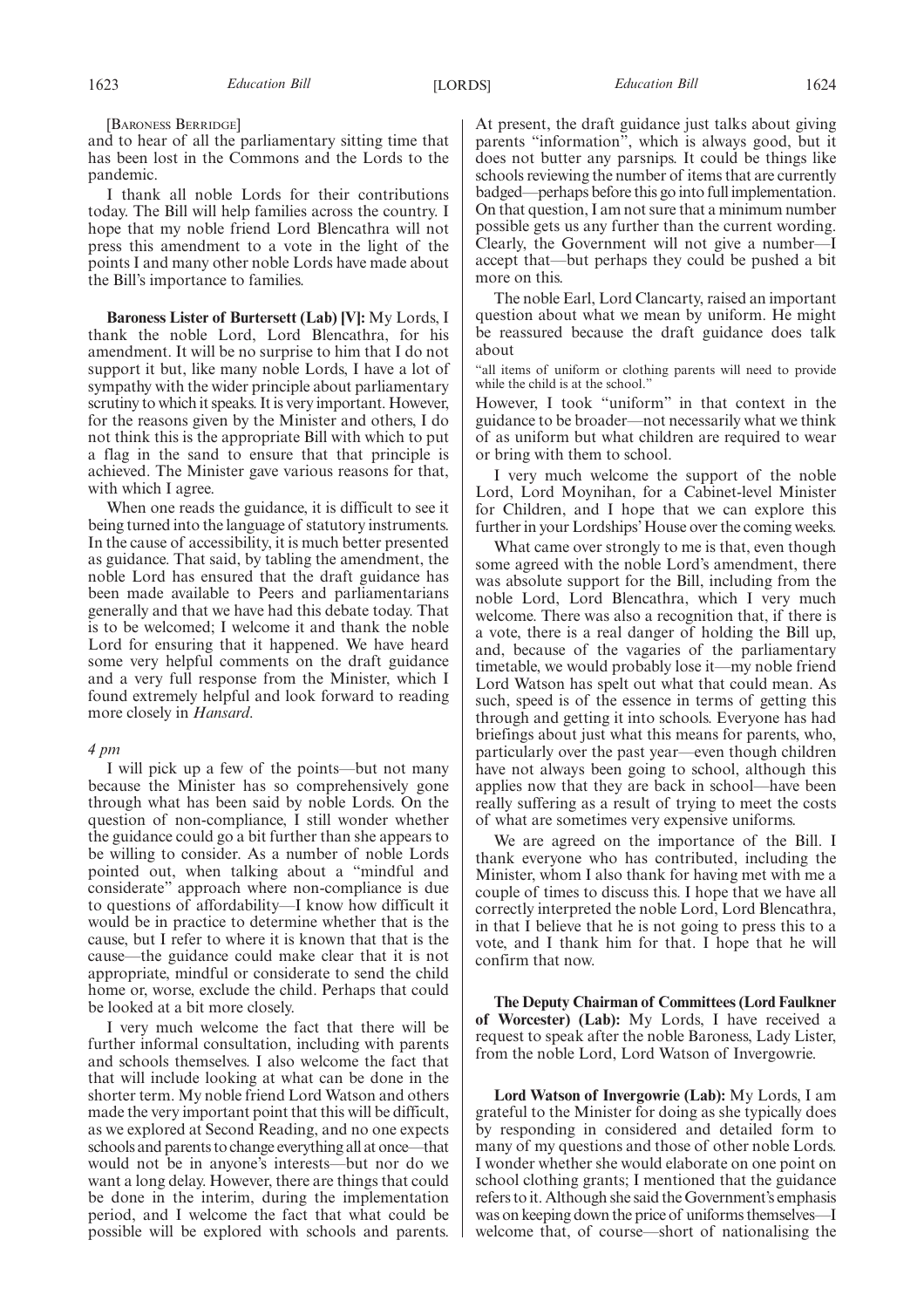[BARONESS BERRIDGE]

and to hear of all the parliamentary sitting time that has been lost in the Commons and the Lords to the pandemic.

I thank all noble Lords for their contributions today. The Bill will help families across the country. I hope that my noble friend Lord Blencathra will not press this amendment to a vote in the light of the points I and many other noble Lords have made about the Bill's importance to families.

**Baroness Lister of Burtersett (Lab) [V]:** My Lords, I thank the noble Lord, Lord Blencathra, for his amendment. It will be no surprise to him that I do not support it but, like many noble Lords, I have a lot of sympathy with the wider principle about parliamentary scrutiny to which it speaks. It is very important. However, for the reasons given by the Minister and others, I do not think this is the appropriate Bill with which to put a flag in the sand to ensure that that principle is achieved. The Minister gave various reasons for that, with which I agree.

When one reads the guidance, it is difficult to see it being turned into the language of statutory instruments. In the cause of accessibility, it is much better presented as guidance. That said, by tabling the amendment, the noble Lord has ensured that the draft guidance has been made available to Peers and parliamentarians generally and that we have had this debate today. That is to be welcomed; I welcome it and thank the noble Lord for ensuring that it happened. We have heard some very helpful comments on the draft guidance and a very full response from the Minister, which I found extremely helpful and look forward to reading more closely in *Hansard*.

#### *4 pm*

I will pick up a few of the points—but not many because the Minister has so comprehensively gone through what has been said by noble Lords. On the question of non-compliance, I still wonder whether the guidance could go a bit further than she appears to be willing to consider. As a number of noble Lords pointed out, when talking about a "mindful and considerate" approach where non-compliance is due to questions of affordability—I know how difficult it would be in practice to determine whether that is the cause, but I refer to where it is known that that is the cause—the guidance could make clear that it is not appropriate, mindful or considerate to send the child home or, worse, exclude the child. Perhaps that could be looked at a bit more closely.

I very much welcome the fact that there will be further informal consultation, including with parents and schools themselves. I also welcome the fact that that will include looking at what can be done in the shorter term. My noble friend Lord Watson and others made the very important point that this will be difficult, as we explored at Second Reading, and no one expects schools and parents to change everything all at once—that would not be in anyone's interests—but nor do we want a long delay. However, there are things that could be done in the interim, during the implementation period, and I welcome the fact that what could be possible will be explored with schools and parents. At present, the draft guidance just talks about giving parents "information", which is always good, but it does not butter any parsnips. It could be things like schools reviewing the number of items that are currently badged—perhaps before this go into full implementation. On that question, I am not sure that a minimum number possible gets us any further than the current wording. Clearly, the Government will not give a number—I accept that—but perhaps they could be pushed a bit more on this.

The noble Earl, Lord Clancarty, raised an important question about what we mean by uniform. He might be reassured because the draft guidance does talk about

"all items of uniform or clothing parents will need to provide while the child is at the school."

However, I took "uniform" in that context in the guidance to be broader—not necessarily what we think of as uniform but what children are required to wear or bring with them to school.

I very much welcome the support of the noble Lord, Lord Moynihan, for a Cabinet-level Minister for Children, and I hope that we can explore this further in your Lordships' House over the coming weeks.

What came over strongly to me is that, even though some agreed with the noble Lord's amendment, there was absolute support for the Bill, including from the noble Lord, Lord Blencathra, which I very much welcome. There was also a recognition that, if there is a vote, there is a real danger of holding the Bill up, and, because of the vagaries of the parliamentary timetable, we would probably lose it—my noble friend Lord Watson has spelt out what that could mean. As such, speed is of the essence in terms of getting this through and getting it into schools. Everyone has had briefings about just what this means for parents, who, particularly over the past year—even though children have not always been going to school, although this applies now that they are back in school—have been really suffering as a result of trying to meet the costs of what are sometimes very expensive uniforms.

We are agreed on the importance of the Bill. I thank everyone who has contributed, including the Minister, whom I also thank for having met with me a couple of times to discuss this. I hope that we have all correctly interpreted the noble Lord, Lord Blencathra, in that I believe that he is not going to press this to a vote, and I thank him for that. I hope that he will confirm that now.

**The Deputy Chairman of Committees (Lord Faulkner of Worcester) (Lab):** My Lords, I have received a request to speak after the noble Baroness, Lady Lister, from the noble Lord, Lord Watson of Invergowrie.

**Lord Watson of Invergowrie (Lab):** My Lords, I am grateful to the Minister for doing as she typically does by responding in considered and detailed form to many of my questions and those of other noble Lords. I wonder whether she would elaborate on one point on school clothing grants; I mentioned that the guidance refers to it. Although she said the Government's emphasis was on keeping down the price of uniforms themselves—I welcome that, of course—short of nationalising the